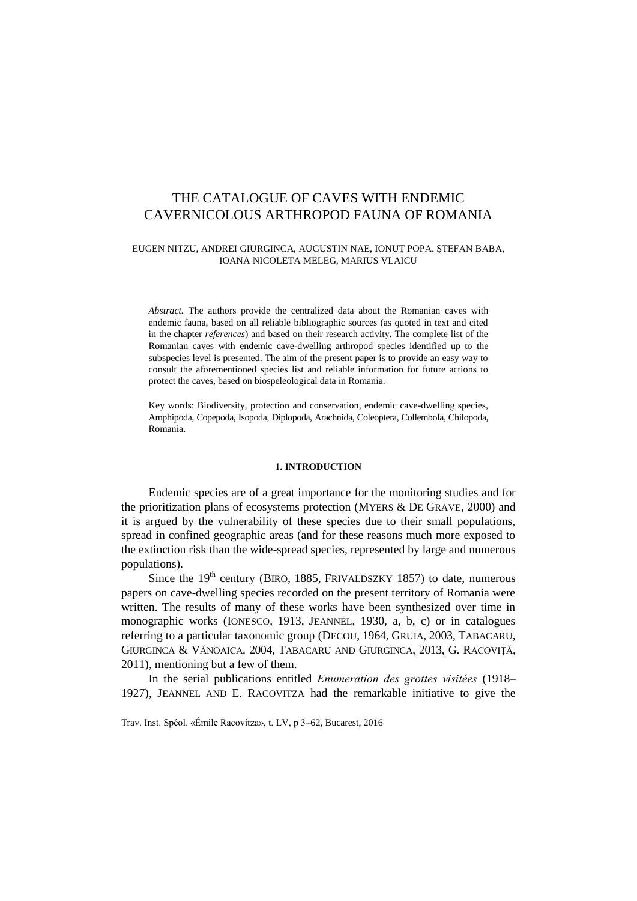# THE CATALOGUE OF CAVES WITH ENDEMIC CAVERNICOLOUS ARTHROPOD FAUNA OF ROMANIA

#### EUGEN NITZU, ANDREI GIURGINCA, AUGUSTIN NAE, IONUŢ POPA, ŞTEFAN BABA, IOANA NICOLETA MELEG, MARIUS VLAICU

*Abstract.* The authors provide the centralized data about the Romanian caves with endemic fauna, based on all reliable bibliographic sources (as quoted in text and cited in the chapter *references*) and based on their research activity. The complete list of the Romanian caves with endemic cave-dwelling arthropod species identified up to the subspecies level is presented. The aim of the present paper is to provide an easy way to consult the aforementioned species list and reliable information for future actions to protect the caves, based on biospeleological data in Romania.

Key words: Biodiversity, protection and conservation, endemic cave-dwelling species, Amphipoda, Copepoda, Isopoda, Diplopoda, Arachnida, Coleoptera, Collembola, Chilopoda, Romania.

### **1. INTRODUCTION**

Endemic species are of a great importance for the monitoring studies and for the prioritization plans of ecosystems protection (MYERS & DE GRAVE, 2000) and it is argued by the vulnerability of these species due to their small populations, spread in confined geographic areas (and for these reasons much more exposed to the extinction risk than the wide-spread species, represented by large and numerous populations).

Since the  $19<sup>th</sup>$  century (BIRO, 1885, FRIVALDSZKY 1857) to date, numerous papers on cave-dwelling species recorded on the present territory of Romania were written. The results of many of these works have been synthesized over time in monographic works (IONESCO, 1913, JEANNEL, 1930, a, b, c) or in catalogues referring to a particular taxonomic group (DECOU, 1964, GRUIA, 2003, TABACARU, GIURGINCA & VĂNOAICA, 2004, TABACARU AND GIURGINCA, 2013, G. RACOVIŢĂ, 2011), mentioning but a few of them.

In the serial publications entitled *Enumeration des grottes visitées* (1918– 1927), JEANNEL AND E. RACOVITZA had the remarkable initiative to give the

Trav. Inst. Spéol. «Émile Racovitza», t. LV, p 3–62, Bucarest, 2016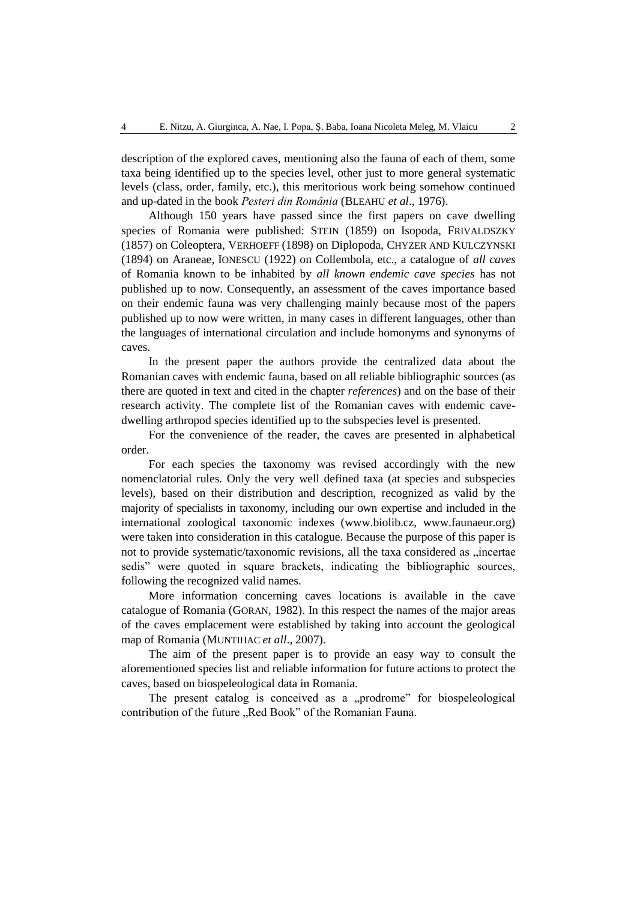description of the explored caves, mentioning also the fauna of each of them, some taxa being identified up to the species level, other just to more general systematic levels (class, order, family, etc.), this meritorious work being somehow continued and up-dated in the book *Pesteri din România* (BLEAHU *et al*., 1976).

Although 150 years have passed since the first papers on cave dwelling species of Romania were published: STEIN (1859) on Isopoda, FRIVALDSZKY (1857) on Coleoptera, VERHOEFF (1898) on Diplopoda, CHYZER AND KULCZYNSKI (1894) on Araneae, IONESCU (1922) on Collembola, etc., a catalogue of *all caves* of Romania known to be inhabited by *all known endemic cave species* has not published up to now. Consequently, an assessment of the caves importance based on their endemic fauna was very challenging mainly because most of the papers published up to now were written, in many cases in different languages, other than the languages of international circulation and include homonyms and synonyms of caves.

In the present paper the authors provide the centralized data about the Romanian caves with endemic fauna, based on all reliable bibliographic sources (as there are quoted in text and cited in the chapter *references*) and on the base of their research activity. The complete list of the Romanian caves with endemic cavedwelling arthropod species identified up to the subspecies level is presented.

For the convenience of the reader, the caves are presented in alphabetical order.

For each species the taxonomy was revised accordingly with the new nomenclatorial rules. Only the very well defined taxa (at species and subspecies levels), based on their distribution and description, recognized as valid by the majority of specialists in taxonomy, including our own expertise and included in the international zoological taxonomic indexes (www.biolib.cz, www.faunaeur.org) were taken into consideration in this catalogue. Because the purpose of this paper is not to provide systematic/taxonomic revisions, all the taxa considered as "incertae sedis" were quoted in square brackets, indicating the bibliographic sources, following the recognized valid names.

More information concerning caves locations is available in the cave catalogue of Romania (GORAN, 1982). In this respect the names of the major areas of the caves emplacement were established by taking into account the geological map of Romania (MUNTIHAC *et all*., 2007).

The aim of the present paper is to provide an easy way to consult the aforementioned species list and reliable information for future actions to protect the caves, based on biospeleological data in Romania.

The present catalog is conceived as a "prodrome" for biospeleological contribution of the future "Red Book" of the Romanian Fauna.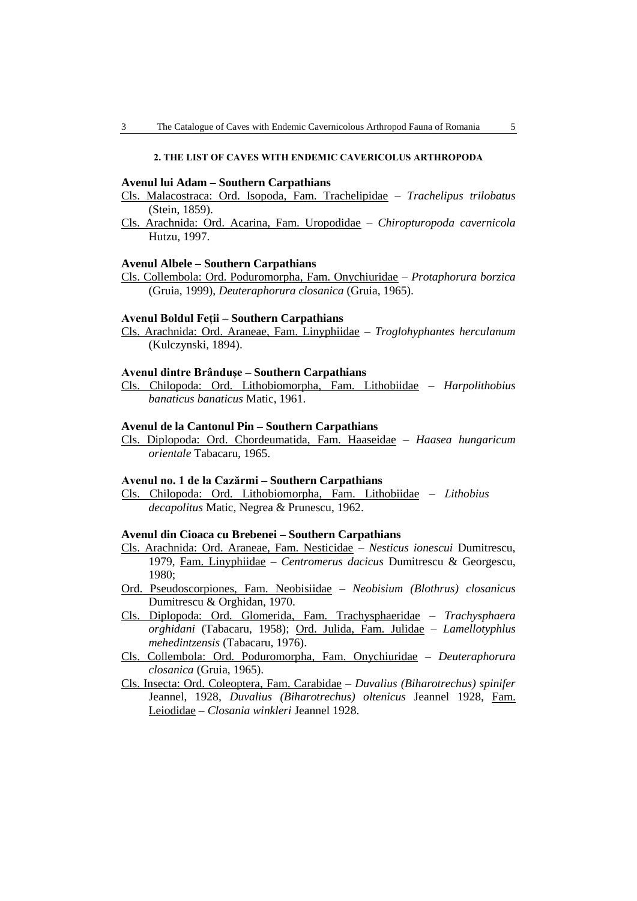### **2. THE LIST OF CAVES WITH ENDEMIC CAVERICOLUS ARTHROPODA**

### **Avenul lui Adam – Southern Carpathians**

- Cls. Malacostraca: Ord. Isopoda, Fam. Trachelipidae *Trachelipus trilobatus* (Stein, 1859).
- Cls. Arachnida: Ord. Acarina, Fam. Uropodidae *Chiropturopoda cavernicola*  Hutzu, 1997.

#### **Avenul Albele – Southern Carpathians**

Cls. Collembola: Ord. Poduromorpha, Fam. Onychiuridae – *Protaphorura borzica* (Gruia, 1999), *Deuteraphorura closanica* (Gruia, 1965).

#### **Avenul Boldul Feţii – Southern Carpathians**

Cls. Arachnida: Ord. Araneae, Fam. Linyphiidae – *Troglohyphantes herculanum*  (Kulczynski, 1894).

#### **Avenul dintre Brânduşe – Southern Carpathians**

Cls. Chilopoda: Ord. Lithobiomorpha, Fam. Lithobiidae – *Harpolithobius banaticus banaticus* Matic, 1961.

### **Avenul de la Cantonul Pin – Southern Carpathians**

Cls. Diplopoda: Ord. Chordeumatida, Fam. Haaseidae – *Haasea hungaricum orientale* Tabacaru, 1965.

### **Avenul no. 1 de la Cazărmi – Southern Carpathians**

Cls. Chilopoda: Ord. Lithobiomorpha, Fam. Lithobiidae – *Lithobius decapolitus* Matic, Negrea & Prunescu, 1962.

### **Avenul din Cioaca cu Brebenei – Southern Carpathians**

- Cls. Arachnida: Ord. Araneae, Fam. Nesticidae *Nesticus ionescui* Dumitrescu, 1979, Fam. Linyphiidae – *Centromerus dacicus* Dumitrescu & Georgescu, 1980;
- Ord. Pseudoscorpiones, Fam. Neobisiidae *Neobisium (Blothrus) closanicus* Dumitrescu & Orghidan, 1970.
- Cls. Diplopoda: Ord. Glomerida, Fam. Trachysphaeridae *Trachysphaera orghidani* (Tabacaru, 1958); Ord. Julida, Fam. Julidae – *Lamellotyphlus mehedintzensis* (Tabacaru, 1976).
- Cls. Collembola: Ord. Poduromorpha, Fam. Onychiuridae *Deuteraphorura closanica* (Gruia, 1965).
- Cls. Insecta: Ord. Coleoptera, Fam. Carabidae *Duvalius (Biharotrechus) spinifer* Jeannel, 1928, *Duvalius (Biharotrechus) oltenicus* Jeannel 1928, Fam. Leiodidae – *Closania winkleri* Jeannel 1928.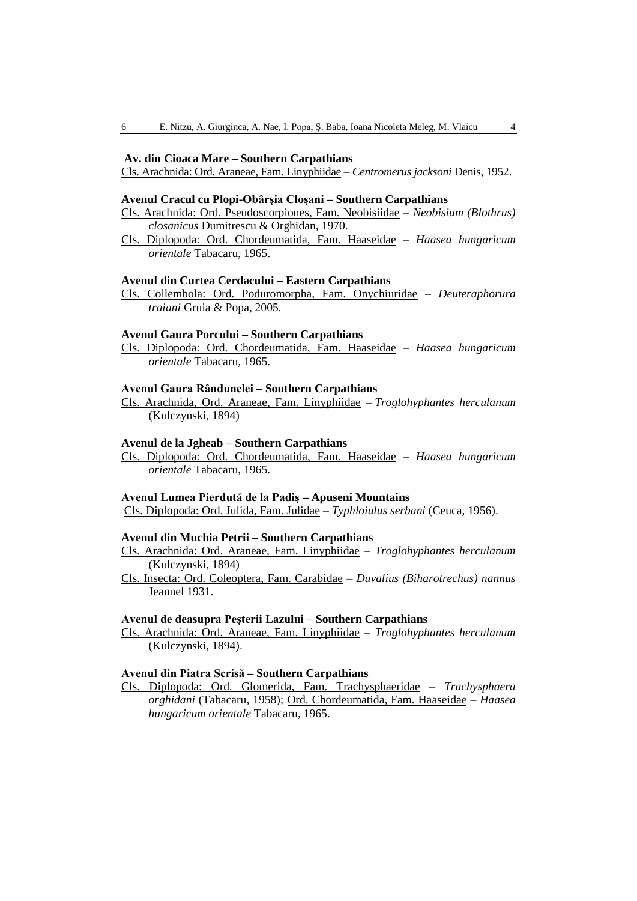### **Av. din Cioaca Mare – Southern Carpathians**

Cls. Arachnida: Ord. Araneae, Fam. Linyphiidae – *Centromerus jacksoni* Denis, 1952.

### **Avenul Cracul cu Plopi-Obârşia Cloşani – Southern Carpathians**

- Cls. Arachnida: Ord. Pseudoscorpiones, Fam. Neobisiidae *Neobisium (Blothrus) closanicus* Dumitrescu & Orghidan, 1970.
- Cls. Diplopoda: Ord. Chordeumatida, Fam. Haaseidae *Haasea hungaricum orientale* Tabacaru, 1965.

# **Avenul din Curtea Cerdacului – Eastern Carpathians**

Cls. Collembola: Ord. Poduromorpha, Fam. Onychiuridae – *Deuteraphorura traiani* Gruia & Popa, 2005.

### **Avenul Gaura Porcului – Southern Carpathians**

Cls. Diplopoda: Ord. Chordeumatida, Fam. Haaseidae – *Haasea hungaricum orientale* Tabacaru, 1965.

#### **Avenul Gaura Rândunelei – Southern Carpathians**

Cls. Arachnida, Ord. Araneae, Fam. Linyphiidae – *Troglohyphantes herculanum*  (Kulczynski, 1894)

#### **Avenul de la Jgheab – Southern Carpathians**

Cls. Diplopoda: Ord. Chordeumatida, Fam. Haaseidae – *Haasea hungaricum orientale* Tabacaru, 1965.

### **Avenul Lumea Pierdută de la Padiş – Apuseni Mountains**

Cls. Diplopoda: Ord. Julida, Fam. Julidae – *Typhloiulus serbani* (Ceuca, 1956).

### **Avenul din Muchia Petrii – Southern Carpathians**

- Cls. Arachnida: Ord. Araneae, Fam. Linyphiidae *Troglohyphantes herculanum*  (Kulczynski, 1894)
- Cls. Insecta: Ord. Coleoptera, Fam. Carabidae *Duvalius (Biharotrechus) nannus* Jeannel 1931.

### **Avenul de deasupra Peşterii Lazului – Southern Carpathians**

Cls. Arachnida: Ord. Araneae, Fam. Linyphiidae – *Troglohyphantes herculanum*  (Kulczynski, 1894).

### **Avenul din Piatra Scrisă – Southern Carpathians**

Cls. Diplopoda: Ord. Glomerida, Fam. Trachysphaeridae – *Trachysphaera orghidani* (Tabacaru, 1958); Ord. Chordeumatida, Fam. Haaseidae – *Haasea hungaricum orientale* Tabacaru, 1965.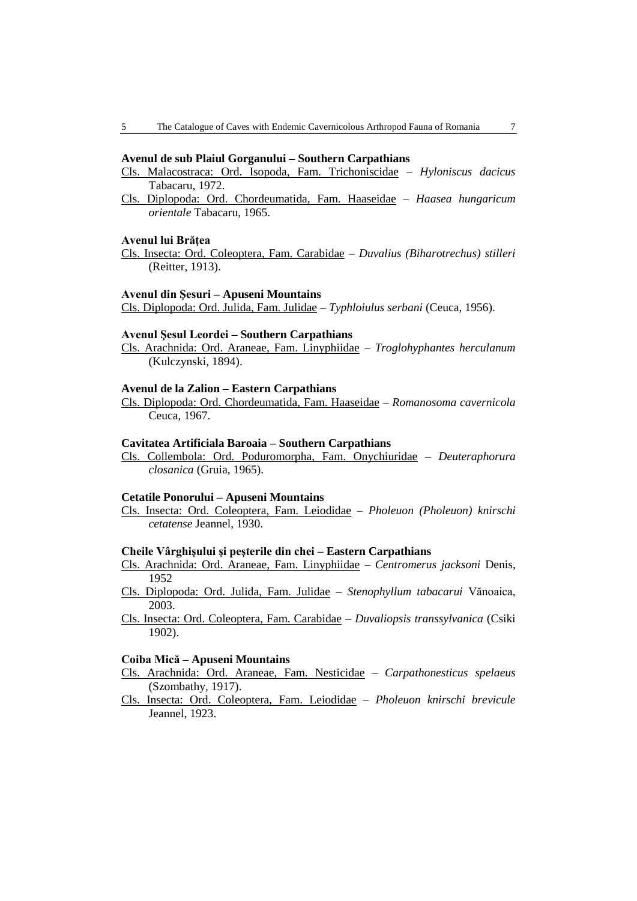#### **Avenul de sub Plaiul Gorganului – Southern Carpathians**

- Cls. Malacostraca: Ord. Isopoda, Fam. Trichoniscidae *Hyloniscus dacicus* Tabacaru, 1972.
- Cls. Diplopoda: Ord. Chordeumatida, Fam. Haaseidae *Haasea hungaricum orientale* Tabacaru, 1965.

### **Avenul lui Brăţea**

Cls. Insecta: Ord. Coleoptera, Fam. Carabidae – *Duvalius (Biharotrechus) stilleri* (Reitter, 1913).

#### **Avenul din Şesuri – Apuseni Mountains**

Cls. Diplopoda: Ord. Julida, Fam. Julidae – *Typhloiulus serbani* (Ceuca, 1956).

# **Avenul Şesul Leordei – Southern Carpathians**

Cls. Arachnida: Ord. Araneae, Fam. Linyphiidae – *Troglohyphantes herculanum*  (Kulczynski, 1894).

#### **Avenul de la Zalion – Eastern Carpathians**

Cls. Diplopoda: Ord. Chordeumatida, Fam. Haaseidae – *Romanosoma cavernicola* Ceuca, 1967.

#### **Cavitatea Artificiala Baroaia – Southern Carpathians**

Cls. Collembola: Ord. Poduromorpha, Fam. Onychiuridae – *Deuteraphorura closanica* (Gruia, 1965).

### **Cetatile Ponorului – Apuseni Mountains**

Cls. Insecta: Ord. Coleoptera, Fam. Leiodidae – *Pholeuon (Pholeuon) knirschi cetatense* Jeannel, 1930.

#### **Cheile Vârghişului şi peşterile din chei – Eastern Carpathians**

- Cls. Arachnida: Ord. Araneae, Fam. Linyphiidae *Centromerus jacksoni* Denis, 1952
- Cls. Diplopoda: Ord. Julida, Fam. Julidae *Stenophyllum tabacarui* Vănoaica, 2003.
- Cls. Insecta: Ord. Coleoptera, Fam. Carabidae *Duvaliopsis transsylvanica* (Csiki 1902).

#### **Coiba Mică – Apuseni Mountains**

- Cls. Arachnida: Ord. Araneae, Fam. Nesticidae *Carpathonesticus spelaeus*  (Szombathy, 1917).
- Cls. Insecta: Ord. Coleoptera, Fam. Leiodidae *Pholeuon knirschi brevicule* Jeannel, 1923.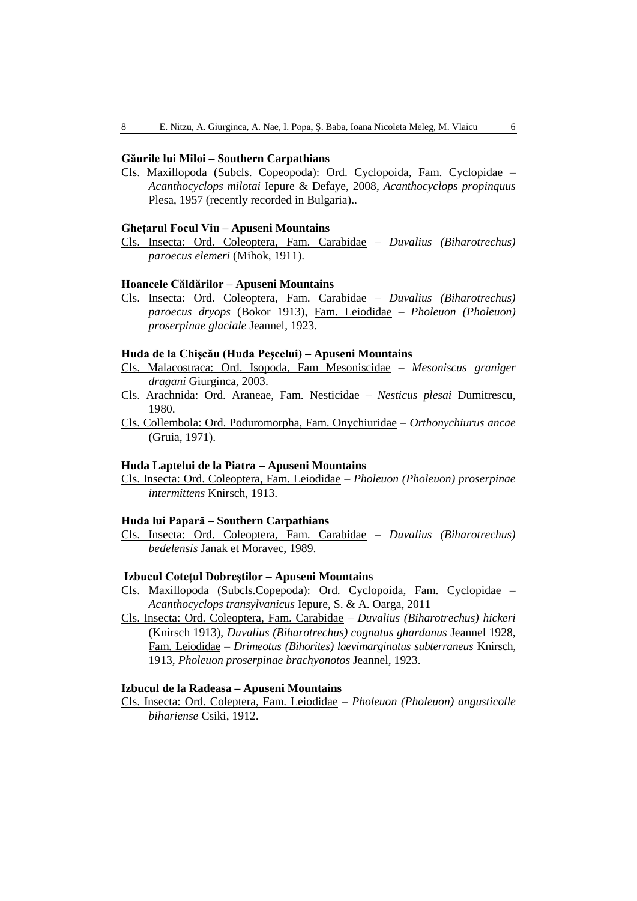### **Găurile lui Miloi – Southern Carpathians**

Cls. Maxillopoda (Subcls. Copeopoda): Ord. Cyclopoida, Fam. Cyclopidae – *Acanthocyclops milotai* Iepure & Defaye, 2008, *Acanthocyclops propinquus* Plesa, 1957 (recently recorded in Bulgaria)..

#### **Gheţarul Focul Viu – Apuseni Mountains**

Cls. Insecta: Ord. Coleoptera, Fam. Carabidae – *Duvalius (Biharotrechus) paroecus elemeri* (Mihok, 1911).

#### **Hoancele Căldărilor – Apuseni Mountains**

Cls. Insecta: Ord. Coleoptera, Fam. Carabidae – *Duvalius (Biharotrechus) paroecus dryops* (Bokor 1913), Fam. Leiodidae – *Pholeuon (Pholeuon) proserpinae glaciale* Jeannel, 1923.

#### **Huda de la Chişcău (Huda Peşcelui) – Apuseni Mountains**

- Cls. Malacostraca: Ord. Isopoda, Fam Mesoniscidae *Mesoniscus graniger dragani* Giurginca, 2003.
- Cls. Arachnida: Ord. Araneae, Fam. Nesticidae *Nesticus plesai* Dumitrescu, 1980.
- Cls. Collembola: Ord. Poduromorpha, Fam. Onychiuridae *Orthonychiurus ancae* (Gruia, 1971).

#### **Huda Laptelui de la Piatra – Apuseni Mountains**

Cls. Insecta: Ord. Coleoptera, Fam. Leiodidae – *Pholeuon (Pholeuon) proserpinae intermittens* Knirsch, 1913.

### **Huda lui Papară – Southern Carpathians**

Cls. Insecta: Ord. Coleoptera, Fam. Carabidae – *Duvalius (Biharotrechus) bedelensis* Janak et Moravec, 1989.

### **Izbucul Coteţul Dobreştilor – Apuseni Mountains**

- Cls. Maxillopoda (Subcls.Copepoda): Ord. Cyclopoida, Fam. Cyclopidae *Acanthocyclops transylvanicus* Iepure, S. & A. Oarga, 2011
- Cls. Insecta: Ord. Coleoptera, Fam. Carabidae *Duvalius (Biharotrechus) hickeri* (Knirsch 1913), *Duvalius (Biharotrechus) cognatus ghardanus* Jeannel 1928, Fam. Leiodidae – *Drimeotus (Bihorites) laevimarginatus subterraneus* Knirsch, 1913, *Pholeuon proserpinae brachyonotos* Jeannel, 1923.

#### **Izbucul de la Radeasa – Apuseni Mountains**

Cls. Insecta: Ord. Coleptera, Fam. Leiodidae – *Pholeuon (Pholeuon) angusticolle bihariense* Csiki, 1912.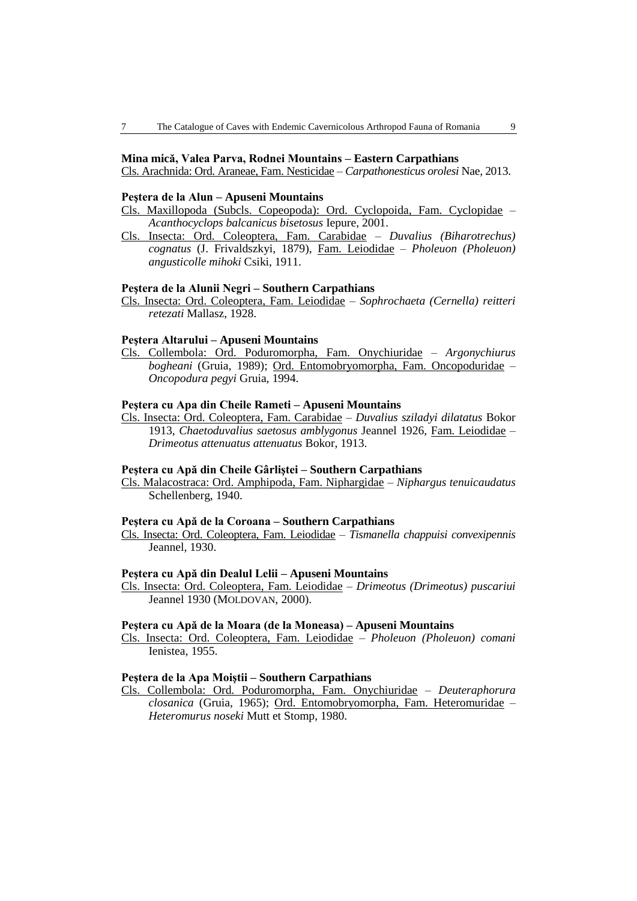### **Mina mică, Valea Parva, Rodnei Mountains – Eastern Carpathians**

Cls. Arachnida: Ord. Araneae, Fam. Nesticidae – *Carpathonesticus orolesi* Nae*,* 2013.

#### **Peştera de la Alun – Apuseni Mountains**

Cls. Maxillopoda (Subcls. Copeopoda): Ord. Cyclopoida, Fam. Cyclopidae – *Acanthocyclops balcanicus bisetosus* Iepure, 2001.

Cls. Insecta: Ord. Coleoptera, Fam. Carabidae – *Duvalius (Biharotrechus) cognatus* (J. Frivaldszkyi, 1879), Fam. Leiodidae – *Pholeuon (Pholeuon) angusticolle mihoki* Csiki, 1911.

### **Peştera de la Alunii Negri – Southern Carpathians**

Cls. Insecta: Ord. Coleoptera, Fam. Leiodidae – *Sophrochaeta (Cernella) reitteri retezati* Mallasz, 1928.

### **Peştera Altarului – Apuseni Mountains**

Cls. Collembola: Ord. Poduromorpha, Fam. Onychiuridae – *Argonychiurus bogheani* (Gruia, 1989); Ord. Entomobryomorpha, Fam. Oncopoduridae – *Oncopodura pegyi* Gruia, 1994.

### **Peştera cu Apa din Cheile Rameti – Apuseni Mountains**

Cls. Insecta: Ord. Coleoptera, Fam. Carabidae – *Duvalius sziladyi dilatatus* Bokor 1913, *Chaetoduvalius saetosus amblygonus* Jeannel 1926, Fam. Leiodidae – *[Drimeotus attenuatus attenuatus](http://www.biolib.cz/en/taxon/id553479/)* Bokor, 1913.

#### **Peştera cu Apă din Cheile Gârliştei – Southern Carpathians**

Cls. Malacostraca: Ord. Amphipoda, Fam. Niphargidae – *Niphargus tenuicaudatus* Schellenberg, 1940.

#### **Peştera cu Apă de la Coroana – Southern Carpathians**

Cls. Insecta: Ord. Coleoptera, Fam. Leiodidae – *Tismanella chappuisi convexipennis* Jeannel, 1930.

### **Peştera cu Apă din Dealul Lelii – Apuseni Mountains**

Cls. Insecta: Ord. Coleoptera, Fam. Leiodidae – *Drimeotus (Drimeotus) puscariui* Jeannel 1930 (MOLDOVAN, 2000).

# **Peştera cu Apă de la Moara (de la Moneasa) – Apuseni Mountains**

Cls. Insecta: Ord. Coleoptera, Fam. Leiodidae – *Pholeuon (Pholeuon) comani* Ienistea, 1955.

### **Peştera de la Apa Moiştii – Southern Carpathians**

Cls. Collembola: Ord. Poduromorpha, Fam. Onychiuridae – *Deuteraphorura closanica* (Gruia, 1965); Ord. Entomobryomorpha, Fam. Heteromuridae – *Heteromurus noseki* Mutt et Stomp, 1980.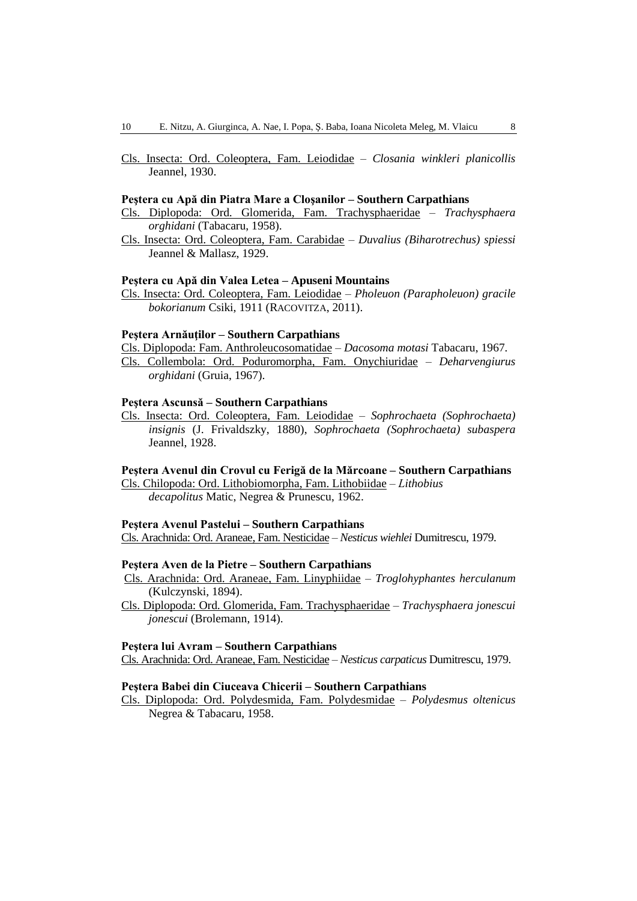Cls. Insecta: Ord. Coleoptera, Fam. Leiodidae – *Closania winkleri planicollis* Jeannel, 1930.

#### **Peştera cu Apă din Piatra Mare a Cloşanilor – Southern Carpathians**

- Cls. Diplopoda: Ord. Glomerida, Fam. Trachysphaeridae *Trachysphaera orghidani* (Tabacaru, 1958).
- Cls. Insecta: Ord. Coleoptera, Fam. Carabidae *Duvalius (Biharotrechus) spiessi* Jeannel & Mallasz, 1929.

### **Peştera cu Apă din Valea Letea – Apuseni Mountains**

Cls. Insecta: Ord. Coleoptera, Fam. Leiodidae – *Pholeuon (Parapholeuon) gracile bokorianum* Csiki, 1911 (RACOVITZA, 2011).

# **Peştera Arnăuţilor – Southern Carpathians**

Cls. Diplopoda: Fam. Anthroleucosomatidae – *Dacosoma motasi* Tabacaru, 1967. Cls. Collembola: Ord. Poduromorpha, Fam. Onychiuridae – *Deharvengiurus orghidani* (Gruia, 1967).

# **Peştera Ascunsă – Southern Carpathians**

Cls. Insecta: Ord. Coleoptera, Fam. Leiodidae – *Sophrochaeta (Sophrochaeta) insignis* (J. Frivaldszky, 1880), *Sophrochaeta (Sophrochaeta) subaspera* Jeannel, 1928.

### **Peştera Avenul din Crovul cu Ferigă de la Mărcoane – Southern Carpathians**

Cls. Chilopoda: Ord. Lithobiomorpha, Fam. Lithobiidae – *Lithobius decapolitus* Matic, Negrea & Prunescu, 1962.

**Peştera Avenul Pastelui – Southern Carpathians**  Cls. Arachnida: Ord. Araneae, Fam. Nesticidae – *Nesticus wiehlei* Dumitrescu, 1979.

#### **Peştera Aven de la Pietre – Southern Carpathians**

- Cls. Arachnida: Ord. Araneae, Fam. Linyphiidae *Troglohyphantes herculanum*  (Kulczynski, 1894).
- Cls. Diplopoda: Ord. Glomerida, Fam. Trachysphaeridae *Trachysphaera jonescui jonescui* (Brolemann, 1914).

### **Peştera lui Avram – Southern Carpathians**

Cls. Arachnida: Ord. Araneae, Fam. Nesticidae – *Nesticus carpaticus* Dumitrescu, 1979.

### **Peştera Babei din Ciuceava Chicerii – Southern Carpathians**

Cls. Diplopoda: Ord. Polydesmida, Fam. Polydesmidae – *Polydesmus oltenicus* Negrea & Tabacaru, 1958.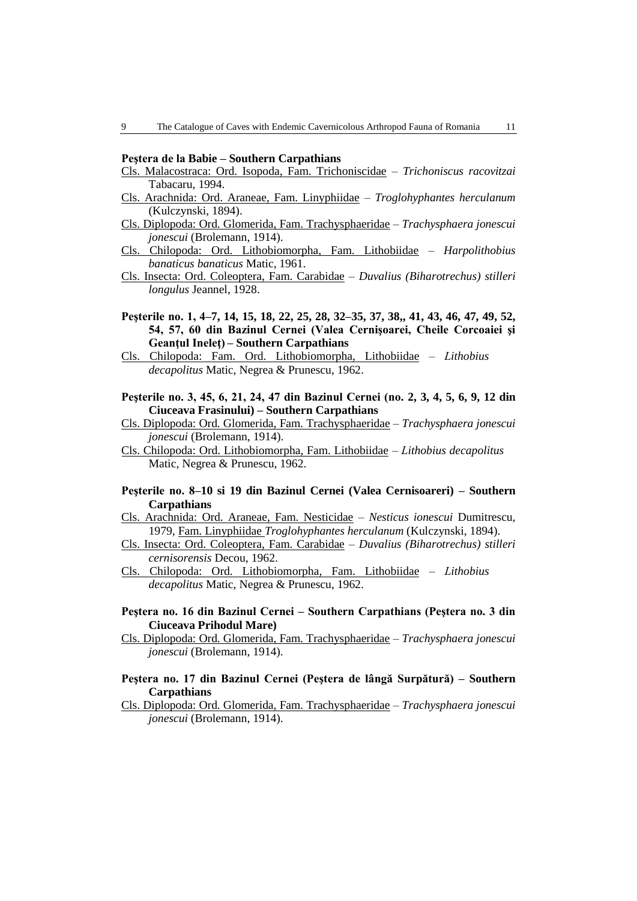#### **Peştera de la Babie – Southern Carpathians**

- Cls. Malacostraca: Ord. Isopoda, Fam. Trichoniscidae *Trichoniscus racovitzai* Tabacaru, 1994.
- Cls. Arachnida: Ord. Araneae, Fam. Linyphiidae *Troglohyphantes herculanum*  (Kulczynski, 1894).
- Cls. Diplopoda: Ord. Glomerida, Fam. Trachysphaeridae *Trachysphaera jonescui jonescui* (Brolemann, 1914).
- Cls. Chilopoda: Ord. Lithobiomorpha, Fam. Lithobiidae *Harpolithobius banaticus banaticus* Matic, 1961.
- Cls. Insecta: Ord. Coleoptera, Fam. Carabidae *Duvalius (Biharotrechus) stilleri longulus* Jeannel, 1928.
- **Peşterile no. 1, 4–7, 14, 15, 18, 22, 25, 28, 32–35, 37, 38,, 41, 43, 46, 47, 49, 52, 54, 57, 60 din Bazinul Cernei (Valea Cernişoarei, Cheile Corcoaiei şi Geanţul Ineleţ) – Southern Carpathians**
- Cls. Chilopoda: Fam. Ord. Lithobiomorpha, Lithobiidae *Lithobius decapolitus* Matic, Negrea & Prunescu, 1962.
- **Peşterile no. 3, 45, 6, 21, 24, 47 din Bazinul Cernei (no. 2, 3, 4, 5, 6, 9, 12 din Ciuceava Frasinului) – Southern Carpathians**
- Cls. Diplopoda: Ord. Glomerida, Fam. Trachysphaeridae *Trachysphaera jonescui jonescui* (Brolemann, 1914).
- Cls. Chilopoda: Ord. Lithobiomorpha, Fam. Lithobiidae *Lithobius decapolitus* Matic, Negrea & Prunescu, 1962.
- **Peşterile no. 8–10 si 19 din Bazinul Cernei (Valea Cernisoareri) – Southern Carpathians**
- Cls. Arachnida: Ord. Araneae, Fam. Nesticidae *Nesticus ionescui* Dumitrescu, 1979, Fam. Linyphiidae *Troglohyphantes herculanum* (Kulczynski, 1894).
- Cls. Insecta: Ord. Coleoptera, Fam. Carabidae *Duvalius (Biharotrechus) stilleri cernisorensis* Decou, 1962.
- Cls. Chilopoda: Ord. Lithobiomorpha, Fam. Lithobiidae *Lithobius decapolitus* Matic, Negrea & Prunescu, 1962.
- **Peştera no. 16 din Bazinul Cernei – Southern Carpathians (Peştera no. 3 din Ciuceava Prihodul Mare)**
- Cls. Diplopoda: Ord. Glomerida, Fam. Trachysphaeridae *Trachysphaera jonescui jonescui* (Brolemann, 1914).
- **Peştera no. 17 din Bazinul Cernei (Peştera de lângă Surpătură) Southern Carpathians**
- Cls. Diplopoda: Ord. Glomerida, Fam. Trachysphaeridae *Trachysphaera jonescui jonescui* (Brolemann, 1914).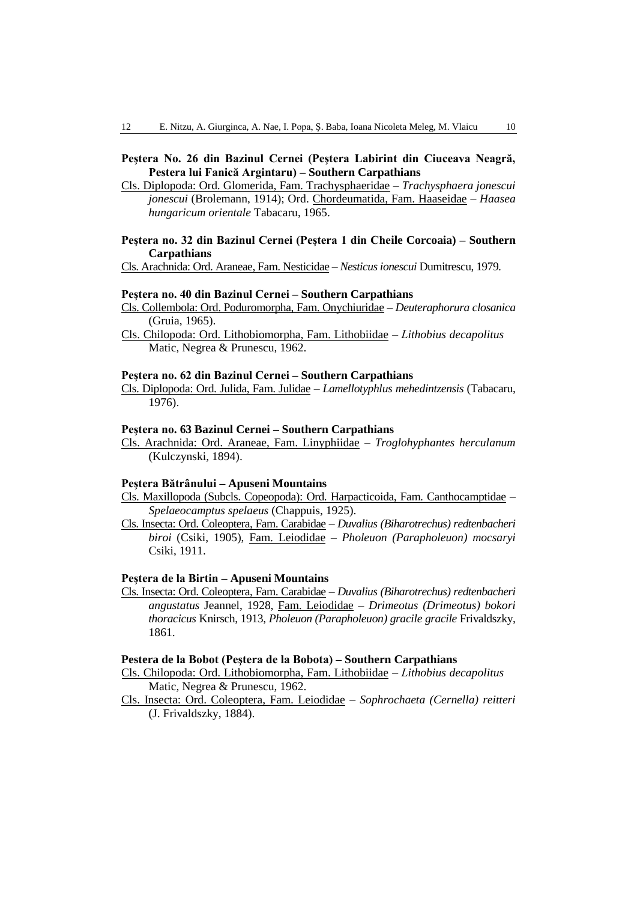# **Peştera No. 26 din Bazinul Cernei (Peştera Labirint din Ciuceava Neagră, Pestera lui Fanică Argintaru) – Southern Carpathians**

Cls. Diplopoda: Ord. Glomerida, Fam. Trachysphaeridae – *Trachysphaera jonescui jonescui* (Brolemann, 1914); Ord. Chordeumatida, Fam. Haaseidae – *Haasea hungaricum orientale* Tabacaru, 1965.

# **Peştera no. 32 din Bazinul Cernei (Peştera 1 din Cheile Corcoaia) – Southern Carpathians**

Cls. Arachnida: Ord. Araneae, Fam. Nesticidae – *Nesticus ionescui* Dumitrescu, 1979.

#### **Peştera no. 40 din Bazinul Cernei – Southern Carpathians**

- Cls. Collembola: Ord. Poduromorpha, Fam. Onychiuridae *Deuteraphorura closanica* (Gruia, 1965).
- Cls. Chilopoda: Ord. Lithobiomorpha, Fam. Lithobiidae *Lithobius decapolitus*  Matic, Negrea & Prunescu, 1962.

### **Peştera no. 62 din Bazinul Cernei – Southern Carpathians**

Cls. Diplopoda: Ord. Julida, Fam. Julidae – *Lamellotyphlus mehedintzensis* (Tabacaru, 1976).

### **Peştera no. 63 Bazinul Cernei – Southern Carpathians**

Cls. Arachnida: Ord. Araneae, Fam. Linyphiidae – *Troglohyphantes herculanum*  (Kulczynski, 1894).

#### **Peştera Bătrânului – Apuseni Mountains**

- Cls. Maxillopoda (Subcls. Copeopoda): Ord. Harpacticoida, Fam. Canthocamptidae *Spelaeocamptus spelaeus* (Chappuis, 1925).
- Cls. Insecta: Ord. Coleoptera, Fam. Carabidae *Duvalius (Biharotrechus) redtenbacheri biroi* (Csiki, 1905), Fam. Leiodidae – *Pholeuon (Parapholeuon) mocsaryi* Csiki, 1911.

### **Peştera de la Birtin – Apuseni Mountains**

Cls. Insecta: Ord. Coleoptera, Fam. Carabidae – *Duvalius (Biharotrechus) redtenbacheri angustatus* Jeannel, 1928, Fam. Leiodidae – *Drimeotus (Drimeotus) bokori thoracicus* Knirsch, 1913, *Pholeuon (Parapholeuon) gracile gracile* Frivaldszky, 1861.

#### **Pestera de la Bobot (Peştera de la Bobota) – Southern Carpathians**

- Cls. Chilopoda: Ord. Lithobiomorpha, Fam. Lithobiidae *Lithobius decapolitus*  Matic, Negrea & Prunescu, 1962.
- Cls. Insecta: Ord. Coleoptera, Fam. Leiodidae *Sophrochaeta (Cernella) reitteri* (J. Frivaldszky, 1884).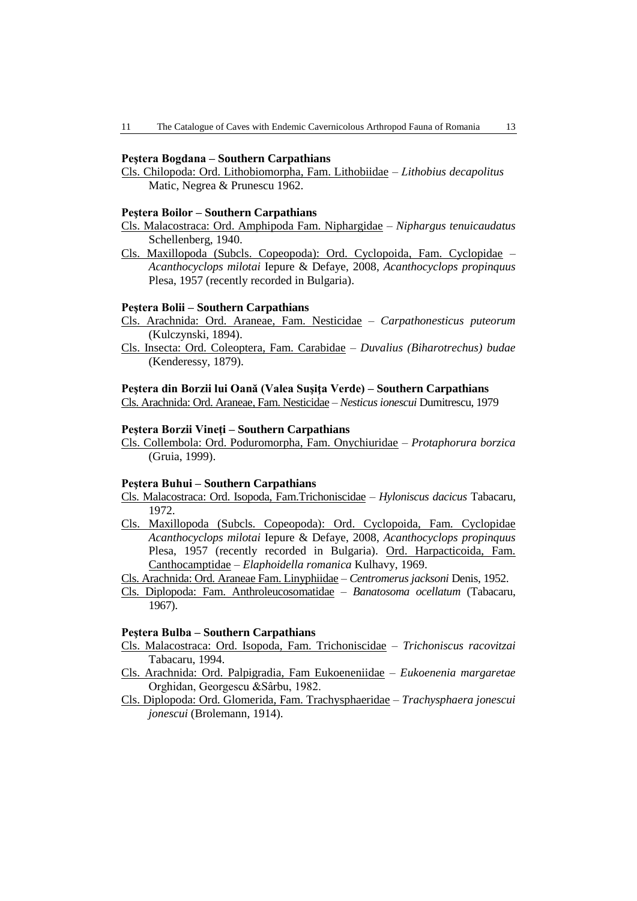### **Peştera Bogdana – Southern Carpathians**

Cls. Chilopoda: Ord. Lithobiomorpha, Fam. Lithobiidae – *Lithobius decapolitus*  Matic, Negrea & Prunescu 1962.

#### **Peştera Boilor – Southern Carpathians**

- Cls. Malacostraca: Ord. Amphipoda Fam. Niphargidae *Niphargus tenuicaudatus* Schellenberg, 1940.
- Cls. Maxillopoda (Subcls. Copeopoda): Ord. Cyclopoida, Fam. Cyclopidae *Acanthocyclops milotai* Iepure & Defaye, 2008, *Acanthocyclops propinquus* Plesa, 1957 (recently recorded in Bulgaria).

#### **Peştera Bolii – Southern Carpathians**

- Cls. Arachnida: Ord. Araneae, Fam. Nesticidae *Carpathonesticus puteorum*  (Kulczynski, 1894).
- Cls. Insecta: Ord. Coleoptera, Fam. Carabidae *Duvalius (Biharotrechus) budae* (Kenderessy, 1879).

### **Peştera din Borzii lui Oană (Valea Suşiţa Verde) – Southern Carpathians**

Cls. Arachnida: Ord. Araneae, Fam. Nesticidae – *Nesticus ionescui* Dumitrescu, 1979

### **Peştera Borzii Vineţi – Southern Carpathians**

Cls. Collembola: Ord. Poduromorpha, Fam. Onychiuridae – *Protaphorura borzica* (Gruia, 1999).

#### **Peştera Buhui – Southern Carpathians**

- Cls. Malacostraca: Ord. Isopoda, Fam.Trichoniscidae *Hyloniscus dacicus* Tabacaru, 1972.
- Cls. Maxillopoda (Subcls. Copeopoda): Ord. Cyclopoida, Fam. Cyclopidae *Acanthocyclops milotai* Iepure & Defaye, 2008, *Acanthocyclops propinquus* Plesa, 1957 (recently recorded in Bulgaria). Ord. Harpacticoida, Fam. Canthocamptidae – *Elaphoidella romanica* Kulhavy, 1969.

Cls. Arachnida: Ord. Araneae Fam. Linyphiidae – *Centromerus jacksoni* Denis, 1952.

Cls. Diplopoda: Fam. Anthroleucosomatidae – *Banatosoma ocellatum* (Tabacaru, 1967).

# **Peştera Bulba – Southern Carpathians**

- Cls. Malacostraca: Ord. Isopoda, Fam. Trichoniscidae *Trichoniscus racovitzai* Tabacaru, 1994.
- Cls. Arachnida: Ord. Palpigradia, Fam Eukoeneniidae *Eukoenenia margaretae*  Orghidan, Georgescu &Sârbu, 1982.
- Cls. Diplopoda: Ord. Glomerida, Fam. Trachysphaeridae *Trachysphaera jonescui jonescui* (Brolemann, 1914).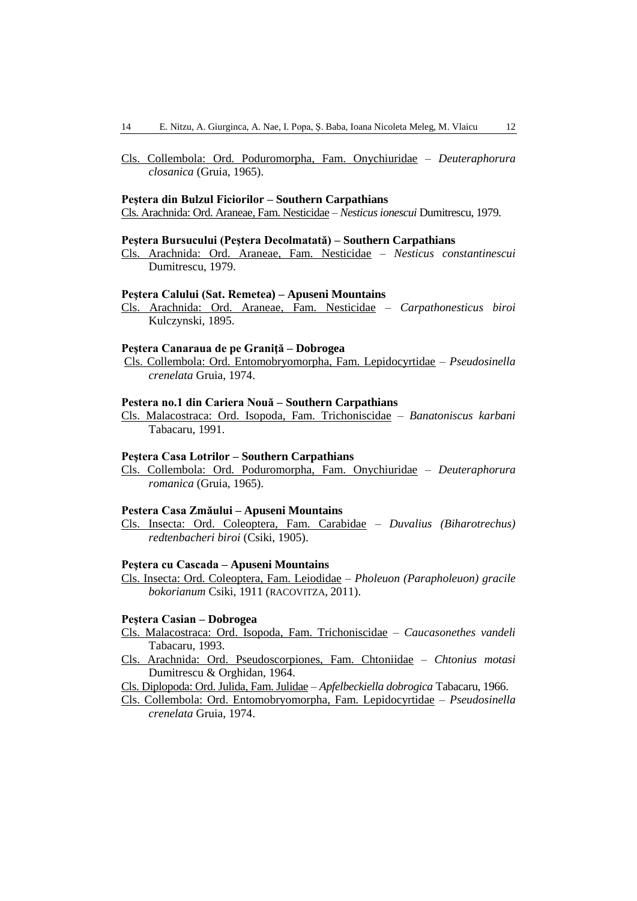Cls. Collembola: Ord. Poduromorpha, Fam. Onychiuridae – *Deuteraphorura closanica* (Gruia, 1965).

#### **Peştera din Bulzul Ficiorilor – Southern Carpathians**

Cls. Arachnida: Ord. Araneae, Fam. Nesticidae – *Nesticus ionescui* Dumitrescu, 1979.

#### **Peştera Bursucului (Peştera Decolmatată) – Southern Carpathians**

Cls. Arachnida: Ord. Araneae, Fam. Nesticidae – *Nesticus constantinescui*  Dumitrescu, 1979.

#### **Peştera Calului (Sat. Remetea) – Apuseni Mountains**

Cls. Arachnida: Ord. Araneae, Fam. Nesticidae – *Carpathonesticus biroi*  Kulczynski, 1895.

#### **Peştera Canaraua de pe Graniţă – Dobrogea**

Cls. Collembola: Ord. Entomobryomorpha, Fam. Lepidocyrtidae – *Pseudosinella crenelata* Gruia, 1974.

#### **Pestera no.1 din Cariera Nouă – Southern Carpathians**

Cls. Malacostraca: Ord. Isopoda, Fam. Trichoniscidae – *Banatoniscus karbani* Tabacaru, 1991.

### **Peştera Casa Lotrilor – Southern Carpathians**

Cls. Collembola: Ord. Poduromorpha, Fam. Onychiuridae – *Deuteraphorura romanica* (Gruia, 1965).

#### **Pestera Casa Zmăului – Apuseni Mountains**

Cls. Insecta: Ord. Coleoptera, Fam. Carabidae – *Duvalius (Biharotrechus) redtenbacheri biroi* (Csiki, 1905).

#### **Peştera cu Cascada – Apuseni Mountains**

Cls. Insecta: Ord. Coleoptera, Fam. Leiodidae *– Pholeuon (Parapholeuon) gracile bokorianum* Csiki, 1911 (RACOVITZA, 2011).

# **Peştera Casian – Dobrogea**

- Cls. Malacostraca: Ord. Isopoda, Fam. Trichoniscidae *Caucasonethes vandeli* Tabacaru, 1993.
- Cls. Arachnida: Ord. Pseudoscorpiones, Fam. Chtoniidae *Chtonius motasi* Dumitrescu & Orghidan, 1964.
- Cls. Diplopoda: Ord. Julida, Fam. Julidae *Apfelbeckiella dobrogica* Tabacaru, 1966.
- Cls. Collembola: Ord. Entomobryomorpha, Fam. Lepidocyrtidae *Pseudosinella crenelata* Gruia, 1974.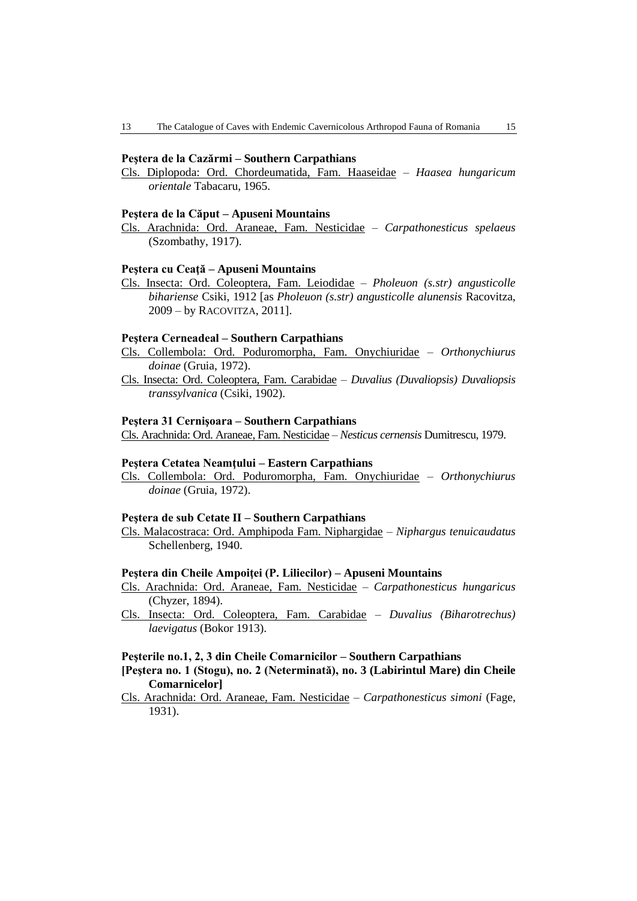### **Peştera de la Cazărmi – Southern Carpathians**

Cls. Diplopoda: Ord. Chordeumatida, Fam. Haaseidae – *Haasea hungaricum orientale* Tabacaru, 1965.

#### **Peştera de la Căput – Apuseni Mountains**

Cls. Arachnida: Ord. Araneae, Fam. Nesticidae – *Carpathonesticus spelaeus*  (Szombathy, 1917).

#### **Peştera cu Ceaţă – Apuseni Mountains**

Cls. Insecta: Ord. Coleoptera, Fam. Leiodidae *– Pholeuon (s.str) angusticolle bihariense* Csiki, 1912 [as *Pholeuon (s.str) angusticolle alunensis* Racovitza, 2009 – by RACOVITZA, 2011].

#### **Peştera Cerneadeal – Southern Carpathians**

- Cls. Collembola: Ord. Poduromorpha, Fam. Onychiuridae *Orthonychiurus doinae* (Gruia, 1972).
- Cls. Insecta: Ord. Coleoptera, Fam. Carabidae *Duvalius (Duvaliopsis) Duvaliopsis transsylvanica* (Csiki, 1902).

#### **Peştera 31 Cernişoara – Southern Carpathians**

Cls. Arachnida: Ord. Araneae, Fam. Nesticidae – *Nesticus cernensis* Dumitrescu, 1979.

### **Peştera Cetatea Neamţului – Eastern Carpathians**

Cls. Collembola: Ord. Poduromorpha, Fam. Onychiuridae – *Orthonychiurus doinae* (Gruia, 1972).

#### **Peştera de sub Cetate II – Southern Carpathians**

Cls. Malacostraca: Ord. Amphipoda Fam. Niphargidae – *Niphargus tenuicaudatus* Schellenberg, 1940.

#### **Peştera din Cheile Ampoiţei (P. Liliecilor) – Apuseni Mountains**

- Cls. Arachnida: Ord. Araneae, Fam. Nesticidae *Carpathonesticus hungaricus*  (Chyzer, 1894).
- Cls. Insecta: Ord. Coleoptera, Fam. Carabidae *Duvalius (Biharotrechus) laevigatus* (Bokor 1913).

### **Peşterile no.1, 2, 3 din Cheile Comarnicilor – Southern Carpathians**

- **[Peştera no. 1 (Stogu), no. 2 (Neterminată), no. 3 (Labirintul Mare) din Cheile Comarnicelor]**
- Cls. Arachnida: Ord. Araneae, Fam. Nesticidae *Carpathonesticus simoni* (Fage, 1931).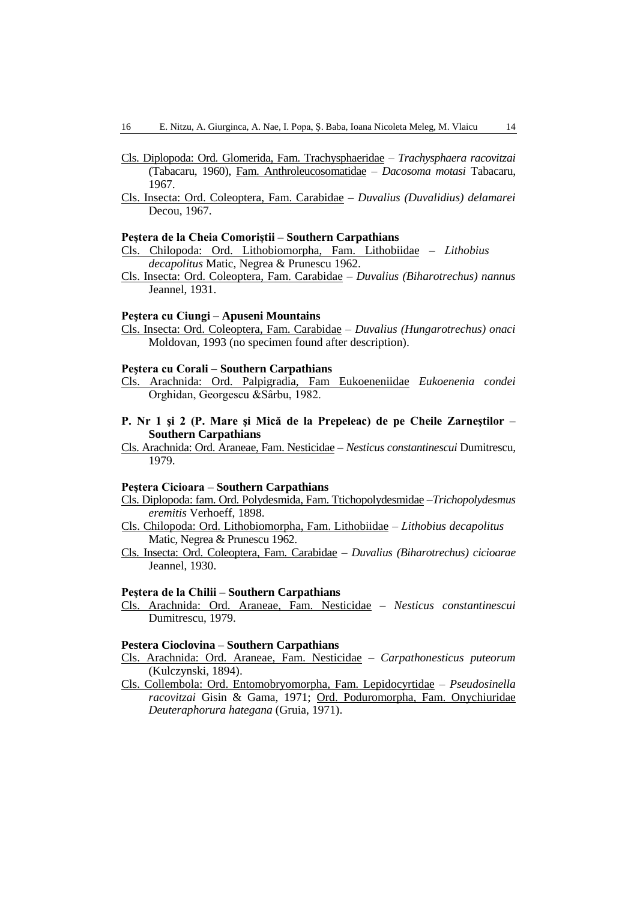- Cls. Diplopoda: Ord. Glomerida, Fam. Trachysphaeridae *Trachysphaera racovitzai* (Tabacaru, 1960), Fam. Anthroleucosomatidae – *Dacosoma motasi* Tabacaru, 1967.
- Cls. Insecta: Ord. Coleoptera, Fam. Carabidae *Duvalius (Duvalidius) delamarei*  Decou, 1967.

#### **Peştera de la Cheia Comoriştii – Southern Carpathians**

- Cls. Chilopoda: Ord. Lithobiomorpha, Fam. Lithobiidae *Lithobius decapolitus* Matic, Negrea & Prunescu 1962.
- Cls. Insecta: Ord. Coleoptera, Fam. Carabidae *Duvalius (Biharotrechus) nannus* Jeannel, 1931.

#### **Peştera cu Ciungi – Apuseni Mountains**

Cls. Insecta: Ord. Coleoptera, Fam. Carabidae – *Duvalius (Hungarotrechus) onaci* Moldovan, 1993 (no specimen found after description).

### **Peştera cu Corali – Southern Carpathians**

- Cls. Arachnida: Ord. Palpigradia, Fam Eukoeneniidae *Eukoenenia condei*  Orghidan, Georgescu &Sârbu, 1982.
- **P. Nr 1 şi 2 (P. Mare şi Mică de la Prepeleac) de pe Cheile Zarneştilor – Southern Carpathians**
- Cls. Arachnida: Ord. Araneae, Fam. Nesticidae *Nesticus constantinescui* Dumitrescu, 1979.

#### **Peştera Cicioara – Southern Carpathians**

- Cls. Diplopoda: fam. Ord. Polydesmida, Fam. Ttichopolydesmidae –*Trichopolydesmus eremitis* Verhoeff, 1898.
- Cls. Chilopoda: Ord. Lithobiomorpha, Fam. Lithobiidae *Lithobius decapolitus*  Matic, Negrea & Prunescu 1962.
- Cls. Insecta: Ord. Coleoptera, Fam. Carabidae *Duvalius (Biharotrechus) cicioarae* Jeannel, 1930.

### **Peştera de la Chilii – Southern Carpathians**

Cls. Arachnida: Ord. Araneae, Fam. Nesticidae – *Nesticus constantinescui*  Dumitrescu, 1979.

#### **Pestera Cioclovina – Southern Carpathians**

- Cls. Arachnida: Ord. Araneae, Fam. Nesticidae *Carpathonesticus puteorum*  (Kulczynski, 1894).
- Cls. Collembola: Ord. Entomobryomorpha, Fam. Lepidocyrtidae *Pseudosinella racovitzai* Gisin & Gama, 1971; Ord. Poduromorpha, Fam. Onychiuridae *Deuteraphorura hategana* (Gruia, 1971).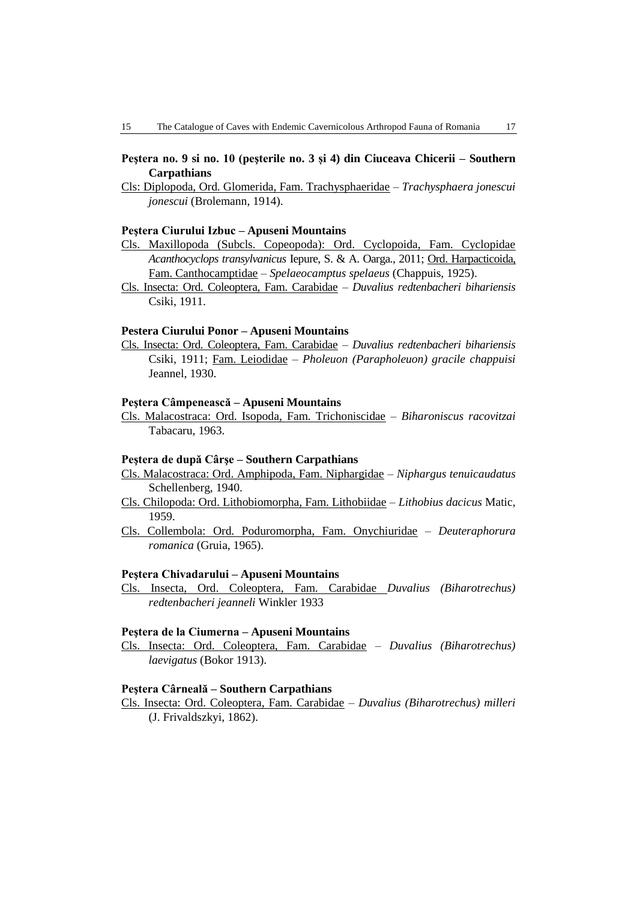# **Peştera no. 9 si no. 10 (peşterile no. 3 și 4) din Ciuceava Chicerii – Southern Carpathians**

Cls: Diplopoda, Ord. Glomerida, Fam. Trachysphaeridae – *Trachysphaera jonescui jonescui* (Brolemann, 1914).

# **Peştera Ciurului Izbuc – Apuseni Mountains**

- Cls. Maxillopoda (Subcls. Copeopoda): Ord. Cyclopoida, Fam. Cyclopidae *Acanthocyclops transylvanicus* Iepure, S. & A. Oarga., 2011; Ord. Harpacticoida, Fam. Canthocamptidae – *Spelaeocamptus spelaeus* (Chappuis, 1925).
- Cls. Insecta: Ord. Coleoptera, Fam. Carabidae *Duvalius redtenbacheri bihariensis* Csiki, 1911.

### **Pestera Ciurului Ponor – Apuseni Mountains**

Cls. Insecta: Ord. Coleoptera, Fam. Carabidae – *Duvalius redtenbacheri bihariensis* Csiki, 1911; Fam. Leiodidae – *Pholeuon (Parapholeuon) gracile chappuisi*  Jeannel, 1930.

### **Peştera Câmpenească – Apuseni Mountains**

Cls. Malacostraca: Ord. Isopoda, Fam. Trichoniscidae – *Biharoniscus racovitzai* Tabacaru, 1963.

# **Peştera de după Cârşe – Southern Carpathians**

- Cls. Malacostraca: Ord. Amphipoda, Fam. Niphargidae *Niphargus tenuicaudatus* Schellenberg, 1940.
- Cls. Chilopoda: Ord. Lithobiomorpha, Fam. Lithobiidae *Lithobius dacicus* Matic, 1959.
- Cls. Collembola: Ord. Poduromorpha, Fam. Onychiuridae *Deuteraphorura romanica* (Gruia, 1965).

### **Peştera Chivadarului – Apuseni Mountains**

Cls. Insecta, Ord. Coleoptera, Fam. Carabidae *Duvalius (Biharotrechus) redtenbacheri jeanneli* Winkler 1933

### **Peştera de la Ciumerna – Apuseni Mountains**

Cls. Insecta: Ord. Coleoptera, Fam. Carabidae – *Duvalius (Biharotrechus) laevigatus* (Bokor 1913).

### **Peştera Cârneală – Southern Carpathians**

Cls. Insecta: Ord. Coleoptera, Fam. Carabidae – *Duvalius (Biharotrechus) milleri* (J. Frivaldszkyi, 1862).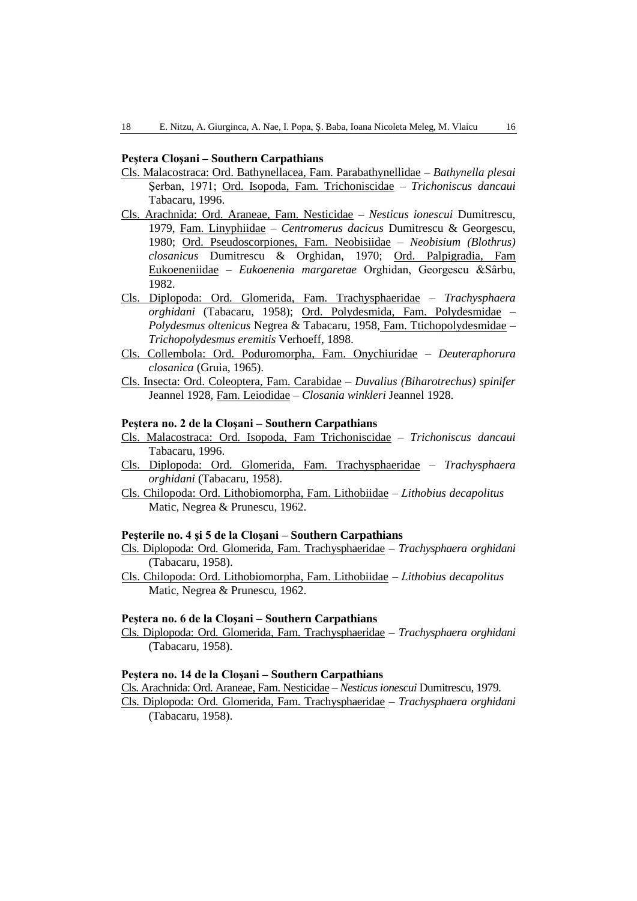### **Peştera Cloşani – Southern Carpathians**

- Cls. Malacostraca: Ord. Bathynellacea, Fam. Parabathynellidae  *Bathynella plesai* Şerban, 1971; Ord. Isopoda, Fam. Trichoniscidae – *Trichoniscus dancaui* Tabacaru, 1996.
- Cls. Arachnida: Ord. Araneae, Fam. Nesticidae *Nesticus ionescui* Dumitrescu, 1979, Fam. Linyphiidae – *Centromerus dacicus* Dumitrescu & Georgescu, 1980; Ord. Pseudoscorpiones, Fam. Neobisiidae – *Neobisium (Blothrus) closanicus* Dumitrescu & Orghidan, 1970; Ord. Palpigradia, Fam Eukoeneniidae – *Eukoenenia margaretae* Orghidan, Georgescu &Sârbu, 1982.
- Cls. Diplopoda: Ord. Glomerida, Fam. Trachysphaeridae *Trachysphaera orghidani* (Tabacaru, 1958); Ord. Polydesmida, Fam. Polydesmidae – *Polydesmus oltenicus* Negrea & Tabacaru, 1958, Fam. Ttichopolydesmidae – *Trichopolydesmus eremitis* Verhoeff, 1898.
- Cls. Collembola: Ord. Poduromorpha, Fam. Onychiuridae *Deuteraphorura closanica* (Gruia, 1965).
- Cls. Insecta: Ord. Coleoptera, Fam. Carabidae *Duvalius (Biharotrechus) spinifer* Jeannel 1928, Fam. Leiodidae – *Closania winkleri* Jeannel 1928.

### **Peştera no. 2 de la Cloşani – Southern Carpathians**

- Cls. Malacostraca: Ord. Isopoda, Fam Trichoniscidae *Trichoniscus dancaui* Tabacaru, 1996.
- Cls. Diplopoda: Ord. Glomerida, Fam. Trachysphaeridae *Trachysphaera orghidani* (Tabacaru, 1958).
- Cls. Chilopoda: Ord. Lithobiomorpha, Fam. Lithobiidae *Lithobius decapolitus*  Matic, Negrea & Prunescu, 1962.

### **Peşterile no. 4 şi 5 de la Cloşani – Southern Carpathians**

- Cls. Diplopoda: Ord. Glomerida, Fam. Trachysphaeridae *Trachysphaera orghidani* (Tabacaru, 1958).
- Cls. Chilopoda: Ord. Lithobiomorpha, Fam. Lithobiidae *Lithobius decapolitus*  Matic, Negrea & Prunescu, 1962.

### **Peştera no. 6 de la Cloşani – Southern Carpathians**

Cls. Diplopoda: Ord. Glomerida, Fam. Trachysphaeridae – *Trachysphaera orghidani* (Tabacaru, 1958).

## **Peştera no. 14 de la Cloşani – Southern Carpathians**

Cls. Arachnida: Ord. Araneae, Fam. Nesticidae – *Nesticus ionescui* Dumitrescu, 1979.

Cls. Diplopoda: Ord. Glomerida, Fam. Trachysphaeridae – *Trachysphaera orghidani* (Tabacaru, 1958).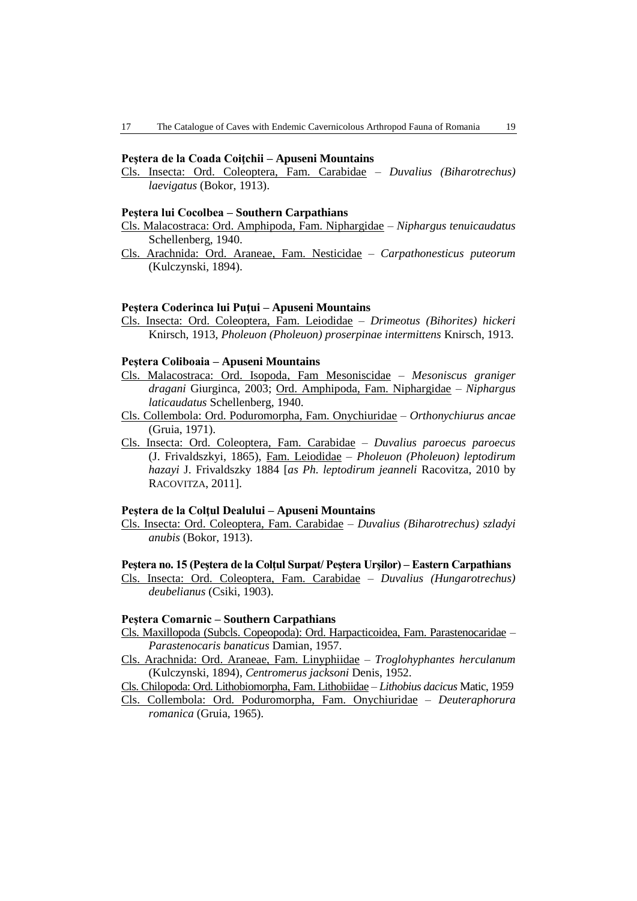### **Peştera de la Coada Coiţchii – Apuseni Mountains**

Cls. Insecta: Ord. Coleoptera, Fam. Carabidae – *Duvalius (Biharotrechus) laevigatus* (Bokor, 1913).

#### **Peştera lui Cocolbea – Southern Carpathians**

- Cls. Malacostraca: Ord. Amphipoda, Fam. Niphargidae *Niphargus tenuicaudatus* Schellenberg, 1940.
- Cls. Arachnida: Ord. Araneae, Fam. Nesticidae *Carpathonesticus puteorum*  (Kulczynski, 1894).

#### **Peştera Coderinca lui Puţui – Apuseni Mountains**

Cls. Insecta: Ord. Coleoptera, Fam. Leiodidae – *Drimeotus (Bihorites) hickeri* Knirsch, 1913, *Pholeuon (Pholeuon) proserpinae intermittens* Knirsch, 1913.

### **Peştera Coliboaia – Apuseni Mountains**

- Cls. Malacostraca: Ord. Isopoda, Fam Mesoniscidae *Mesoniscus graniger dragani* Giurginca, 2003; Ord. Amphipoda, Fam. Niphargidae – *Niphargus laticaudatus* Schellenberg, 1940.
- Cls. Collembola: Ord. Poduromorpha, Fam. Onychiuridae *Orthonychiurus ancae* (Gruia, 1971).
- Cls. Insecta: Ord. Coleoptera, Fam. Carabidae *Duvalius paroecus paroecus* (J. Frivaldszkyi, 1865), Fam. Leiodidae – *Pholeuon (Pholeuon) leptodirum hazayi* J. Frivaldszky 1884 [*as Ph. leptodirum jeanneli* Racovitza, 2010 by RACOVITZA, 2011].

### **Peştera de la Colţul Dealului – Apuseni Mountains**

Cls. Insecta: Ord. Coleoptera, Fam. Carabidae – *Duvalius (Biharotrechus) szladyi anubis* (Bokor, 1913).

#### **Peştera no. 15 (Peştera de la Colţul Surpat/ Peştera Urşilor) – Eastern Carpathians**

Cls. Insecta: Ord. Coleoptera, Fam. Carabidae – *Duvalius (Hungarotrechus) deubelianus* (Csiki, 1903).

# **Peştera Comarnic – Southern Carpathians**

- Cls. Maxillopoda (Subcls. Copeopoda): Ord. Harpacticoidea, Fam. Parastenocaridae *Parastenocaris banaticus* Damian, 1957.
- Cls. Arachnida: Ord. Araneae, Fam. Linyphiidae *Troglohyphantes herculanum*  (Kulczynski, 1894), *Centromerus jacksoni* Denis, 1952.
- Cls. Chilopoda: Ord. Lithobiomorpha, Fam. Lithobiidae *Lithobius dacicus* Matic, 1959
- Cls. Collembola: Ord. Poduromorpha, Fam. Onychiuridae *Deuteraphorura romanica* (Gruia, 1965).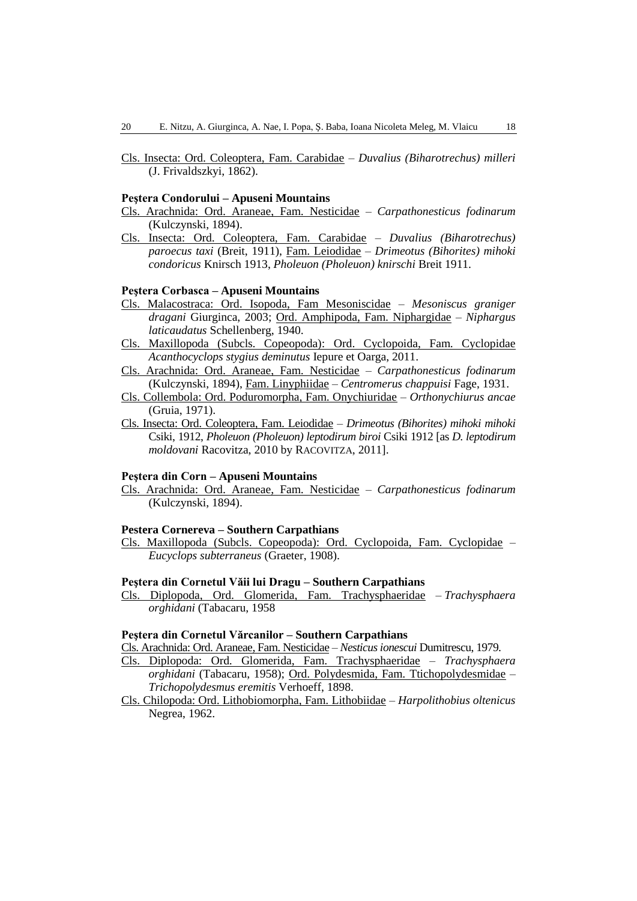Cls. Insecta: Ord. Coleoptera, Fam. Carabidae – *Duvalius (Biharotrechus) milleri* (J. Frivaldszkyi, 1862).

### **Peştera Condorului – Apuseni Mountains**

- Cls. Arachnida: Ord. Araneae, Fam. Nesticidae *Carpathonesticus fodinarum*  (Kulczynski, 1894).
- Cls. Insecta: Ord. Coleoptera, Fam. Carabidae *Duvalius (Biharotrechus) paroecus taxi* (Breit, 1911), Fam. Leiodidae – *Drimeotus (Bihorites) mihoki condoricus* Knirsch 1913, *Pholeuon (Pholeuon) knirschi* Breit 1911.

### **Peştera Corbasca – Apuseni Mountains**

- Cls. Malacostraca: Ord. Isopoda, Fam Mesoniscidae *Mesoniscus graniger dragani* Giurginca, 2003; Ord. Amphipoda, Fam. Niphargidae – *Niphargus laticaudatus* Schellenberg, 1940.
- Cls. Maxillopoda (Subcls. Copeopoda): Ord. Cyclopoida, Fam. Cyclopidae *Acanthocyclops stygius deminutus* Iepure et Oarga, 2011.
- Cls. Arachnida: Ord. Araneae, Fam. Nesticidae *Carpathonesticus fodinarum*  (Kulczynski, 1894), Fam. Linyphiidae – *Centromerus chappuisi* Fage, 1931.
- Cls. Collembola: Ord. Poduromorpha, Fam. Onychiuridae *Orthonychiurus ancae* (Gruia, 1971).
- Cls. Insecta: Ord. Coleoptera, Fam. Leiodidae *Drimeotus (Bihorites) mihoki mihoki* Csiki, 1912, *Pholeuon (Pholeuon) leptodirum biroi* Csiki 1912 [as *D. leptodirum moldovani* Racovitza, 2010 by RACOVITZA, 2011].

### **Peştera din Corn – Apuseni Mountains**

Cls. Arachnida: Ord. Araneae, Fam. Nesticidae – *Carpathonesticus fodinarum*  (Kulczynski, 1894).

### **Pestera Cornereva – Southern Carpathians**

Cls. Maxillopoda (Subcls. Copeopoda): Ord. Cyclopoida, Fam. Cyclopidae – *Eucyclops subterraneus* (Graeter, 1908).

### **Peştera din Cornetul Văii lui Dragu – Southern Carpathians**

Cls. Diplopoda, Ord. Glomerida, Fam. Trachysphaeridae – *Trachysphaera orghidani* (Tabacaru, 1958

### **Peştera din Cornetul Vărcanilor – Southern Carpathians**

Cls. Arachnida: Ord. Araneae, Fam. Nesticidae – *Nesticus ionescui* Dumitrescu, 1979.

- Cls. Diplopoda: Ord. Glomerida, Fam. Trachysphaeridae *Trachysphaera orghidani* (Tabacaru, 1958); Ord. Polydesmida, Fam. Ttichopolydesmidae – *Trichopolydesmus eremitis* Verhoeff, 1898.
- Cls. Chilopoda: Ord. Lithobiomorpha, Fam. Lithobiidae *Harpolithobius oltenicus*  Negrea, 1962.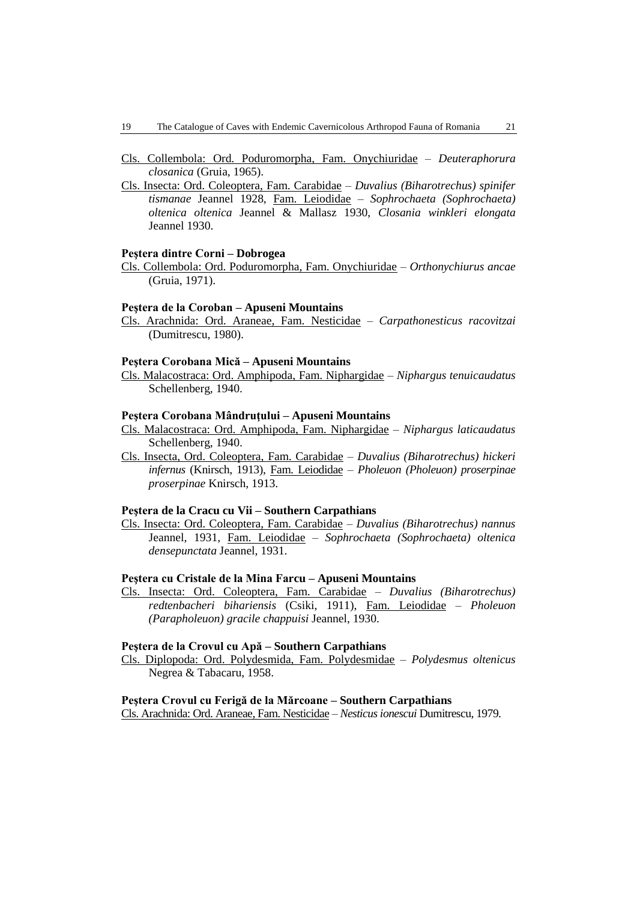- Cls. Collembola: Ord. Poduromorpha, Fam. Onychiuridae *Deuteraphorura closanica* (Gruia, 1965).
- Cls. Insecta: Ord. Coleoptera, Fam. Carabidae *Duvalius (Biharotrechus) spinifer tismanae* Jeannel 1928, Fam. Leiodidae – *Sophrochaeta (Sophrochaeta) oltenica oltenica* Jeannel & Mallasz 1930, *Closania winkleri elongata* Jeannel 1930.

#### **Peştera dintre Corni – Dobrogea**

Cls. Collembola: Ord. Poduromorpha, Fam. Onychiuridae – *Orthonychiurus ancae* (Gruia, 1971).

#### **Peştera de la Coroban – Apuseni Mountains**

Cls. Arachnida: Ord. Araneae, Fam. Nesticidae – *Carpathonesticus racovitzai*  (Dumitrescu, 1980).

### **Peştera Corobana Mică – Apuseni Mountains**

Cls. Malacostraca: Ord. Amphipoda, Fam. Niphargidae – *Niphargus tenuicaudatus* Schellenberg, 1940.

### **Peştera Corobana Mândruţului – Apuseni Mountains**

- Cls. Malacostraca: Ord. Amphipoda, Fam. Niphargidae *Niphargus laticaudatus* Schellenberg, 1940.
- Cls. Insecta, Ord. Coleoptera, Fam. Carabidae *Duvalius (Biharotrechus) hickeri infernus* (Knirsch, 1913), Fam. Leiodidae – *Pholeuon (Pholeuon) proserpinae proserpinae* Knirsch, 1913.

### **Peştera de la Cracu cu Vii – Southern Carpathians**

Cls. Insecta: Ord. Coleoptera, Fam. Carabidae – *Duvalius (Biharotrechus) nannus* Jeannel, 1931, Fam. Leiodidae – *Sophrochaeta (Sophrochaeta) oltenica densepunctata* Jeannel, 1931.

### **Peştera cu Cristale de la Mina Farcu – Apuseni Mountains**

Cls. Insecta: Ord. Coleoptera, Fam. Carabidae – *Duvalius (Biharotrechus) redtenbacheri bihariensis* (Csiki, 1911), Fam. Leiodidae – *Pholeuon (Parapholeuon) gracile chappuisi* Jeannel, 1930.

# **Peştera de la Crovul cu Apă – Southern Carpathians**

Cls. Diplopoda: Ord. Polydesmida, Fam. Polydesmidae – *Polydesmus oltenicus* Negrea & Tabacaru, 1958.

#### **Peştera Crovul cu Ferigă de la Mărcoane – Southern Carpathians**

Cls. Arachnida: Ord. Araneae, Fam. Nesticidae – *Nesticus ionescui* Dumitrescu, 1979.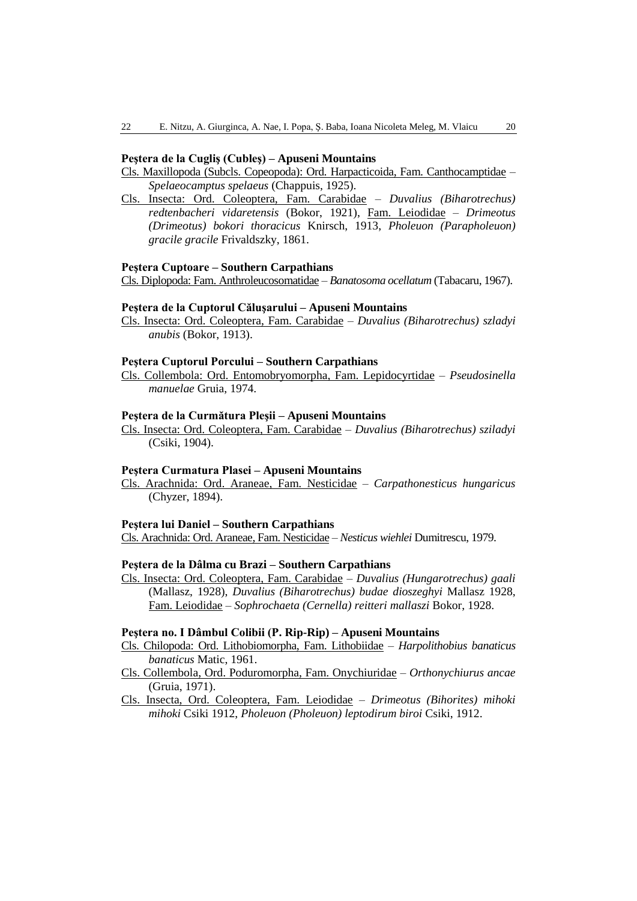#### **Peştera de la Cugliş (Cubleş) – Apuseni Mountains**

Cls. Maxillopoda (Subcls. Copeopoda): Ord. Harpacticoida, Fam. Canthocamptidae – *Spelaeocamptus spelaeus* (Chappuis, 1925).

Cls. Insecta: Ord. Coleoptera, Fam. Carabidae – *Duvalius (Biharotrechus) redtenbacheri vidaretensis* (Bokor, 1921), Fam. Leiodidae – *Drimeotus (Drimeotus) bokori thoracicus* Knirsch, 1913, *Pholeuon (Parapholeuon) gracile gracile* Frivaldszky, 1861.

#### **Peştera Cuptoare – Southern Carpathians**

Cls. Diplopoda: Fam. Anthroleucosomatidae – *Banatosoma ocellatum* (Tabacaru, 1967).

#### **Peştera de la Cuptorul Căluşarului – Apuseni Mountains**

Cls. Insecta: Ord. Coleoptera, Fam. Carabidae – *Duvalius (Biharotrechus) szladyi anubis* (Bokor, 1913).

### **Peştera Cuptorul Porcului – Southern Carpathians**

Cls. Collembola: Ord. Entomobryomorpha, Fam. Lepidocyrtidae – *Pseudosinella manuelae* Gruia, 1974.

### **Peştera de la Curmătura Pleşii – Apuseni Mountains**

Cls. Insecta: Ord. Coleoptera, Fam. Carabidae – *Duvalius (Biharotrechus) sziladyi* (Csiki, 1904).

#### **Peştera Curmatura Plasei – Apuseni Mountains**

Cls. Arachnida: Ord. Araneae, Fam. Nesticidae – *Carpathonesticus hungaricus*  (Chyzer, 1894).

#### **Peştera lui Daniel – Southern Carpathians**

Cls. Arachnida: Ord. Araneae, Fam. Nesticidae – *Nesticus wiehlei* Dumitrescu, 1979.

## **Peştera de la Dâlma cu Brazi – Southern Carpathians**

Cls. Insecta: Ord. Coleoptera, Fam. Carabidae – *Duvalius (Hungarotrechus) gaali* (Mallasz, 1928), *Duvalius (Biharotrechus) budae dioszeghyi* Mallasz 1928, Fam. Leiodidae – *Sophrochaeta (Cernella) reitteri mallaszi* Bokor, 1928.

#### **Peştera no. I Dâmbul Colibii (P. Rip-Rip) – Apuseni Mountains**

Cls. Chilopoda: Ord. Lithobiomorpha, Fam. Lithobiidae – *Harpolithobius banaticus banaticus* Matic, 1961.

Cls. Collembola, Ord. Poduromorpha, Fam. Onychiuridae – *Orthonychiurus ancae* (Gruia, 1971).

Cls. Insecta, Ord. Coleoptera, Fam. Leiodidae – *Drimeotus (Bihorites) mihoki mihoki* Csiki 1912, *Pholeuon (Pholeuon) leptodirum biroi* Csiki, 1912.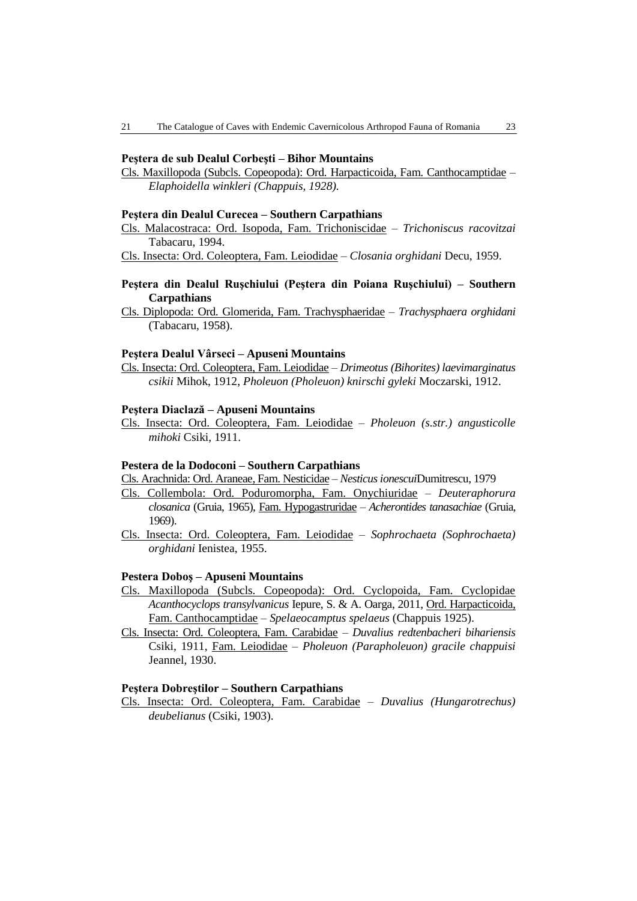### **Peştera de sub Dealul Corbeşti – Bihor Mountains**

Cls. Maxillopoda (Subcls. Copeopoda): Ord. Harpacticoida, Fam. Canthocamptidae – *Elaphoidella winkleri (Chappuis, 1928).*

#### **Peştera din Dealul Curecea – Southern Carpathians**

Cls. Malacostraca: Ord. Isopoda, Fam. Trichoniscidae – *Trichoniscus racovitzai* Tabacaru, 1994.

Cls. Insecta: Ord. Coleoptera, Fam. Leiodidae – *Closania orghidani* Decu, 1959.

# **Peştera din Dealul Ruşchiului (Peştera din Poiana Ruşchiului) – Southern Carpathians**

Cls. Diplopoda: Ord. Glomerida, Fam. Trachysphaeridae – *Trachysphaera orghidani* (Tabacaru, 1958).

#### **Peştera Dealul Vârseci – Apuseni Mountains**

Cls. Insecta: Ord. Coleoptera, Fam. Leiodidae – *Drimeotus (Bihorites) laevimarginatus csikii* Mihok, 1912, *Pholeuon (Pholeuon) knirschi gyleki* Moczarski, 1912.

### **Peştera Diaclază – Apuseni Mountains**

Cls. Insecta: Ord. Coleoptera, Fam. Leiodidae – *Pholeuon (s.str.) angusticolle mihoki* Csiki, 1911.

#### **Pestera de la Dodoconi – Southern Carpathians**

Cls. Arachnida: Ord. Araneae, Fam. Nesticidae – *Nesticus ionescui*Dumitrescu, 1979

- Cls. Collembola: Ord. Poduromorpha, Fam. Onychiuridae *Deuteraphorura closanica* (Gruia, 1965), Fam. Hypogastruridae – *Acherontides tanasachiae* (Gruia, 1969).
- Cls. Insecta: Ord. Coleoptera, Fam. Leiodidae *Sophrochaeta (Sophrochaeta) orghidani* Ienistea, 1955.

#### **Pestera Doboş – Apuseni Mountains**

- Cls. Maxillopoda (Subcls. Copeopoda): Ord. Cyclopoida, Fam. Cyclopidae *Acanthocyclops transylvanicus* Iepure, S. & A. Oarga, 2011, Ord. Harpacticoida, Fam. Canthocamptidae – *Spelaeocamptus spelaeus* (Chappuis 1925).
- Cls. Insecta: Ord. Coleoptera, Fam. Carabidae *Duvalius redtenbacheri bihariensis* Csiki, 1911, Fam. Leiodidae – *Pholeuon (Parapholeuon) gracile chappuisi* Jeannel, 1930.

### **Peştera Dobreştilor – Southern Carpathians**

Cls. Insecta: Ord. Coleoptera, Fam. Carabidae – *Duvalius (Hungarotrechus) deubelianus* (Csiki, 1903).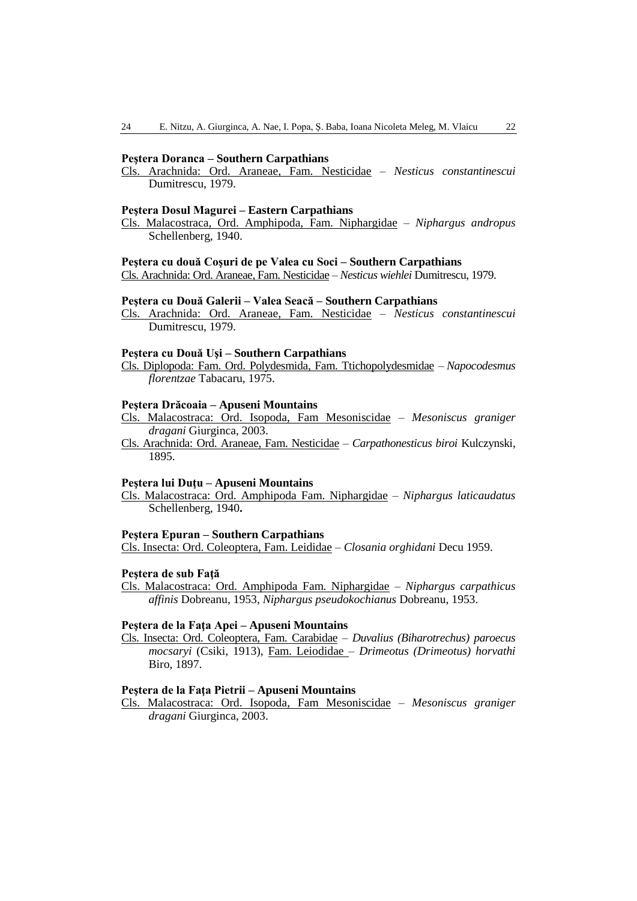#### **Peştera Doranca – Southern Carpathians**

Cls. Arachnida: Ord. Araneae, Fam. Nesticidae – *Nesticus constantinescui*  Dumitrescu, 1979.

#### **Peştera Dosul Magurei – Eastern Carpathians**

Cls. Malacostraca, Ord. Amphipoda, Fam. Niphargidae – *Niphargus andropus* Schellenberg, 1940.

### **Peştera cu două Coşuri de pe Valea cu Soci – Southern Carpathians**

Cls. Arachnida: Ord. Araneae, Fam. Nesticidae – *Nesticus wiehlei* Dumitrescu, 1979.

### **Peştera cu Două Galerii – Valea Seacă – Southern Carpathians**

Cls. Arachnida: Ord. Araneae, Fam. Nesticidae – *Nesticus constantinescui*  Dumitrescu, 1979.

### **Peştera cu Două Uşi – Southern Carpathians**

Cls. Diplopoda: Fam. Ord. Polydesmida, Fam. Ttichopolydesmidae – *Napocodesmus florentzae* Tabacaru, 1975.

#### **Peştera Drăcoaia – Apuseni Mountains**

Cls. Malacostraca: Ord. Isopoda, Fam Mesoniscidae – *Mesoniscus graniger dragani* Giurginca, 2003.

Cls. Arachnida: Ord. Araneae, Fam. Nesticidae – *Carpathonesticus biroi* Kulczynski, 1895.

#### **Peştera lui Duţu – Apuseni Mountains**

Cls. Malacostraca: Ord. Amphipoda Fam. Niphargidae – *Niphargus laticaudatus* Schellenberg, 1940**.**

#### **Peştera Epuran – Southern Carpathians**

Cls. Insecta: Ord. Coleoptera, Fam. Leididae – *Closania orghidani* Decu 1959.

#### **Peştera de sub Faţă**

Cls. Malacostraca: Ord. Amphipoda Fam. Niphargidae – *Niphargus carpathicus affinis* Dobreanu, 1953, *Niphargus pseudokochianus* Dobreanu, 1953.

### **Peştera de la Faţa Apei – Apuseni Mountains**

Cls. Insecta: Ord. Coleoptera, Fam. Carabidae – *Duvalius (Biharotrechus) paroecus mocsaryi* (Csiki, 1913), Fam. Leiodidae – *Drimeotus (Drimeotus) horvathi* Biro, 1897.

### **Peştera de la Faţa Pietrii – Apuseni Mountains**

Cls. Malacostraca: Ord. Isopoda, Fam Mesoniscidae – *Mesoniscus graniger dragani* Giurginca, 2003.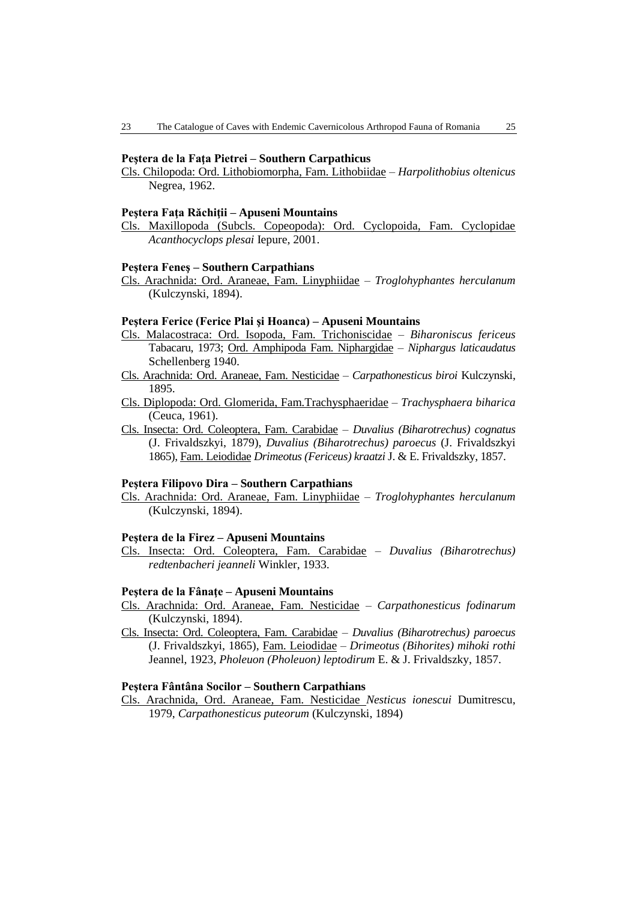#### **Peştera de la Faţa Pietrei – Southern Carpathicus**

Cls. Chilopoda: Ord. Lithobiomorpha, Fam. Lithobiidae – *Harpolithobius oltenicus*  Negrea, 1962.

#### **Peştera Faţa Răchiţii – Apuseni Mountains**

Cls. Maxillopoda (Subcls. Copeopoda): Ord. Cyclopoida, Fam. Cyclopidae *Acanthocyclops plesai* Iepure, 2001.

#### **Peştera Feneş – Southern Carpathians**

Cls. Arachnida: Ord. Araneae, Fam. Linyphiidae – *Troglohyphantes herculanum*  (Kulczynski, 1894).

### **Peştera Ferice (Ferice Plai şi Hoanca) – Apuseni Mountains**

- Cls. Malacostraca: Ord. Isopoda, Fam. Trichoniscidae *Biharoniscus fericeus* Tabacaru, 1973; Ord. Amphipoda Fam. Niphargidae – *Niphargus laticaudatus* Schellenberg 1940.
- Cls. Arachnida: Ord. Araneae, Fam. Nesticidae *Carpathonesticus biroi* Kulczynski, 1895.
- Cls. Diplopoda: Ord. Glomerida, Fam.Trachysphaeridae *Trachysphaera biharica* (Ceuca, 1961).
- Cls. Insecta: Ord. Coleoptera, Fam. Carabidae *Duvalius (Biharotrechus) cognatus* (J. Frivaldszkyi, 1879), *Duvalius (Biharotrechus) paroecus* (J. Frivaldszkyi 1865), Fam. Leiodidae *Drimeotus (Fericeus) kraatzi* J. & E. Frivaldszky, 1857.

# **Peştera Filipovo Dira – Southern Carpathians**

Cls. Arachnida: Ord. Araneae, Fam. Linyphiidae – *Troglohyphantes herculanum*  (Kulczynski, 1894).

#### **Peştera de la Firez – Apuseni Mountains**

Cls. Insecta: Ord. Coleoptera, Fam. Carabidae – *Duvalius (Biharotrechus) redtenbacheri jeanneli* Winkler, 1933.

### **Peştera de la Fânaţe – Apuseni Mountains**

- Cls. Arachnida: Ord. Araneae, Fam. Nesticidae *Carpathonesticus fodinarum*  (Kulczynski, 1894).
- Cls. Insecta: Ord. Coleoptera, Fam. Carabidae *Duvalius (Biharotrechus) paroecus* (J. Frivaldszkyi, 1865), Fam. Leiodidae – *Drimeotus (Bihorites) mihoki rothi* Jeannel, 1923, *Pholeuon (Pholeuon) leptodirum* E. & J. Frivaldszky, 1857.

### **Peştera Fântâna Socilor – Southern Carpathians**

Cls. Arachnida, Ord. Araneae, Fam. Nesticidae *Nesticus ionescui* Dumitrescu, 1979, *Carpathonesticus puteorum* (Kulczynski, 1894)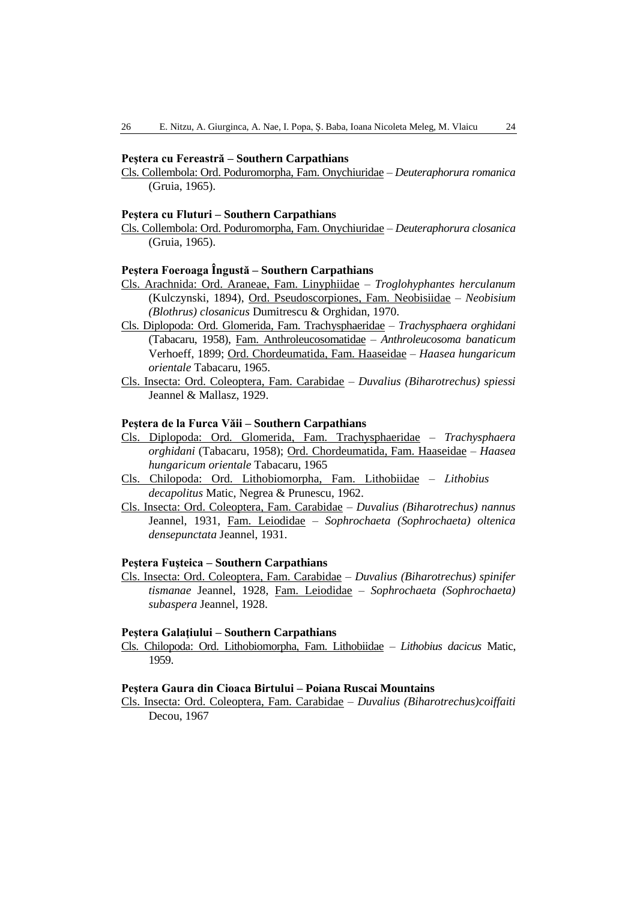### **Peştera cu Fereastră – Southern Carpathians**

Cls. Collembola: Ord. Poduromorpha, Fam. Onychiuridae – *Deuteraphorura romanica* (Gruia, 1965).

#### **Peştera cu Fluturi – Southern Carpathians**

Cls. Collembola: Ord. Poduromorpha, Fam. Onychiuridae – *Deuteraphorura closanica* (Gruia, 1965).

### **Peştera Foeroaga Îngustă – Southern Carpathians**

- Cls. Arachnida: Ord. Araneae, Fam. Linyphiidae *Troglohyphantes herculanum*  (Kulczynski, 1894), Ord. Pseudoscorpiones, Fam. Neobisiidae – *Neobisium (Blothrus) closanicus* Dumitrescu & Orghidan, 1970.
- Cls. Diplopoda: Ord. Glomerida, Fam. Trachysphaeridae *Trachysphaera orghidani* (Tabacaru, 1958), Fam. Anthroleucosomatidae – *Anthroleucosoma banaticum* Verhoeff, 1899; Ord. Chordeumatida, Fam. Haaseidae – *Haasea hungaricum orientale* Tabacaru, 1965.
- Cls. Insecta: Ord. Coleoptera, Fam. Carabidae *Duvalius (Biharotrechus) spiessi* Jeannel & Mallasz, 1929.

# **Peştera de la Furca Văii – Southern Carpathians**

- Cls. Diplopoda: Ord. Glomerida, Fam. Trachysphaeridae *Trachysphaera orghidani* (Tabacaru, 1958); Ord. Chordeumatida, Fam. Haaseidae – *Haasea hungaricum orientale* Tabacaru, 1965
- Cls. Chilopoda: Ord. Lithobiomorpha, Fam. Lithobiidae *Lithobius decapolitus* Matic, Negrea & Prunescu, 1962.
- Cls. Insecta: Ord. Coleoptera, Fam. Carabidae *Duvalius (Biharotrechus) nannus* Jeannel, 1931, Fam. Leiodidae – *Sophrochaeta (Sophrochaeta) oltenica densepunctata* Jeannel, 1931.

### **Peştera Fuşteica – Southern Carpathians**

Cls. Insecta: Ord. Coleoptera, Fam. Carabidae – *Duvalius (Biharotrechus) spinifer tismanae* Jeannel, 1928, Fam. Leiodidae – *Sophrochaeta (Sophrochaeta) subaspera* Jeannel, 1928.

### **Peştera Galaţiului – Southern Carpathians**

Cls. Chilopoda: Ord. Lithobiomorpha, Fam. Lithobiidae – *Lithobius dacicus* Matic, 1959.

#### **Peştera Gaura din Cioaca Birtului – Poiana Ruscai Mountains**

Cls. Insecta: Ord. Coleoptera, Fam. Carabidae – *Duvalius (Biharotrechus)coiffaiti* Decou, 1967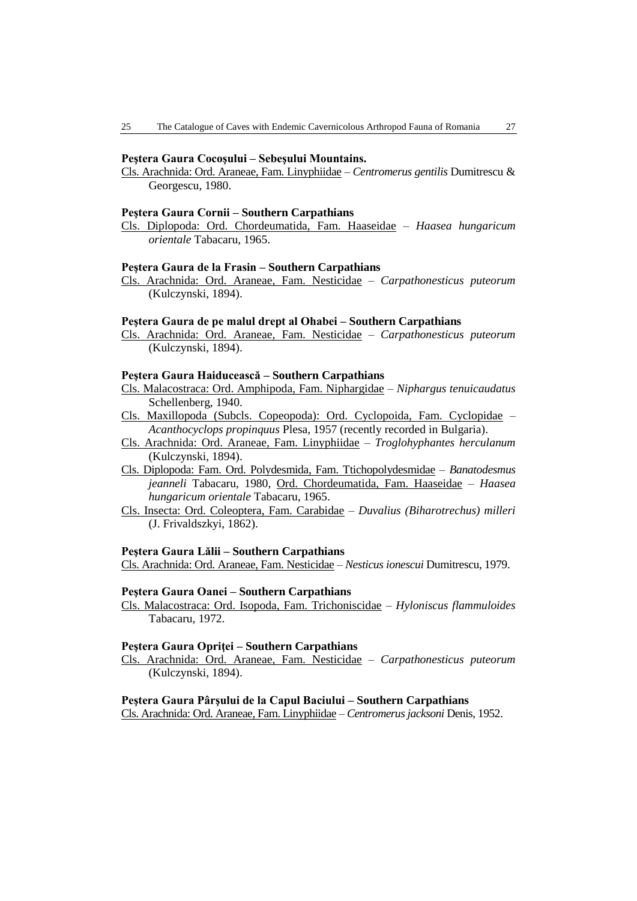#### **Peştera Gaura Cocoşului – Sebeşului Mountains.**

Cls. Arachnida: Ord. Araneae, Fam. Linyphiidae – *Centromerus gentilis* Dumitrescu & Georgescu, 1980.

#### **Peştera Gaura Cornii – Southern Carpathians**

Cls. Diplopoda: Ord. Chordeumatida, Fam. Haaseidae – *Haasea hungaricum orientale* Tabacaru, 1965.

#### **Peştera Gaura de la Frasin – Southern Carpathians**

Cls. Arachnida: Ord. Araneae, Fam. Nesticidae – *Carpathonesticus puteorum*  (Kulczynski, 1894).

### **Peştera Gaura de pe malul drept al Ohabei – Southern Carpathians**

Cls. Arachnida: Ord. Araneae, Fam. Nesticidae – *Carpathonesticus puteorum*  (Kulczynski, 1894).

#### **Peştera Gaura Haiducească – Southern Carpathians**

- Cls. Malacostraca: Ord. Amphipoda, Fam. Niphargidae *Niphargus tenuicaudatus* Schellenberg, 1940.
- Cls. Maxillopoda (Subcls. Copeopoda): Ord. Cyclopoida, Fam. Cyclopidae *Acanthocyclops propinquus* Plesa, 1957 (recently recorded in Bulgaria).
- Cls. Arachnida: Ord. Araneae, Fam. Linyphiidae *Troglohyphantes herculanum*  (Kulczynski, 1894).
- Cls. Diplopoda: Fam. Ord. Polydesmida, Fam. Ttichopolydesmidae *Banatodesmus jeanneli* Tabacaru, 1980, Ord. Chordeumatida, Fam. Haaseidae – *Haasea hungaricum orientale* Tabacaru, 1965.
- Cls. Insecta: Ord. Coleoptera, Fam. Carabidae *Duvalius (Biharotrechus) milleri* (J. Frivaldszkyi, 1862).

#### **Peştera Gaura Lălii – Southern Carpathians**

Cls. Arachnida: Ord. Araneae, Fam. Nesticidae – *Nesticus ionescui* Dumitrescu, 1979.

### **Peştera Gaura Oanei – Southern Carpathians**

Cls. Malacostraca: Ord. Isopoda, Fam. Trichoniscidae – *Hyloniscus flammuloides* Tabacaru, 1972.

### **Peştera Gaura Opriţei – Southern Carpathians**

Cls. Arachnida: Ord. Araneae, Fam. Nesticidae – *Carpathonesticus puteorum*  (Kulczynski, 1894).

### **Peştera Gaura Pârşului de la Capul Baciului – Southern Carpathians**

Cls. Arachnida: Ord. Araneae, Fam. Linyphiidae – *Centromerus jacksoni* Denis, 1952.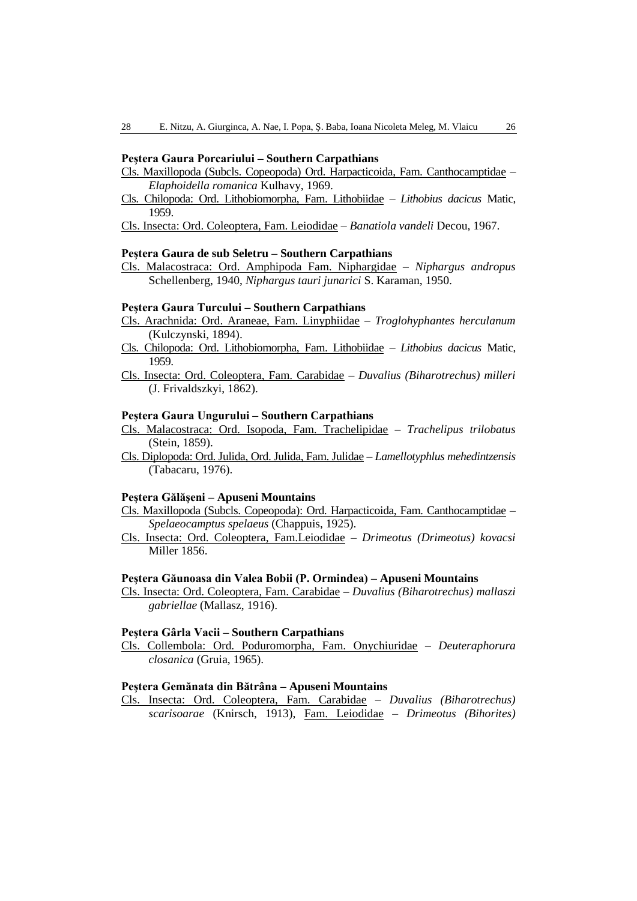### **Peştera Gaura Porcariului – Southern Carpathians**

- Cls. Maxillopoda (Subcls. Copeopoda) Ord. Harpacticoida, Fam. Canthocamptidae *Elaphoidella romanica* Kulhavy, 1969.
- Cls. Chilopoda: Ord. Lithobiomorpha, Fam. Lithobiidae *Lithobius dacicus* Matic, 1959.

Cls. Insecta: Ord. Coleoptera, Fam. Leiodidae – *Banatiola vandeli* Decou, 1967.

#### **Peştera Gaura de sub Seletru – Southern Carpathians**

Cls. Malacostraca: Ord. Amphipoda Fam. Niphargidae – *Niphargus andropus* Schellenberg, 1940, *Niphargus tauri junarici* S. Karaman, 1950.

#### **Peştera Gaura Turcului – Southern Carpathians**

- Cls. Arachnida: Ord. Araneae, Fam. Linyphiidae *Troglohyphantes herculanum*  (Kulczynski, 1894).
- Cls. Chilopoda: Ord. Lithobiomorpha, Fam. Lithobiidae *Lithobius dacicus* Matic, 1959.
- Cls. Insecta: Ord. Coleoptera, Fam. Carabidae *Duvalius (Biharotrechus) milleri* (J. Frivaldszkyi, 1862).

#### **Peştera Gaura Ungurului – Southern Carpathians**

- Cls. Malacostraca: Ord. Isopoda, Fam. Trachelipidae *Trachelipus trilobatus* (Stein, 1859).
- Cls. Diplopoda: Ord. Julida, Ord. Julida, Fam. Julidae *Lamellotyphlus mehedintzensis* (Tabacaru, 1976).

### **Peştera Gălăşeni – Apuseni Mountains**

- Cls. Maxillopoda (Subcls. Copeopoda): Ord. Harpacticoida, Fam. Canthocamptidae *Spelaeocamptus spelaeus* (Chappuis, 1925).
- Cls. Insecta: Ord. Coleoptera, Fam.Leiodidae *Drimeotus (Drimeotus) kovacsi* Miller 1856.

#### **Peştera Găunoasa din Valea Bobii (P. Ormindea) – Apuseni Mountains**

Cls. Insecta: Ord. Coleoptera, Fam. Carabidae – *Duvalius (Biharotrechus) mallaszi gabriellae* (Mallasz, 1916).

# **Peştera Gârla Vacii – Southern Carpathians**

Cls. Collembola: Ord. Poduromorpha, Fam. Onychiuridae – *Deuteraphorura closanica* (Gruia, 1965).

#### **Peştera Gemănata din Bătrâna – Apuseni Mountains**

Cls. Insecta: Ord. Coleoptera, Fam. Carabidae – *Duvalius (Biharotrechus) scarisoarae* (Knirsch, 1913), Fam. Leiodidae – *Drimeotus (Bihorites)*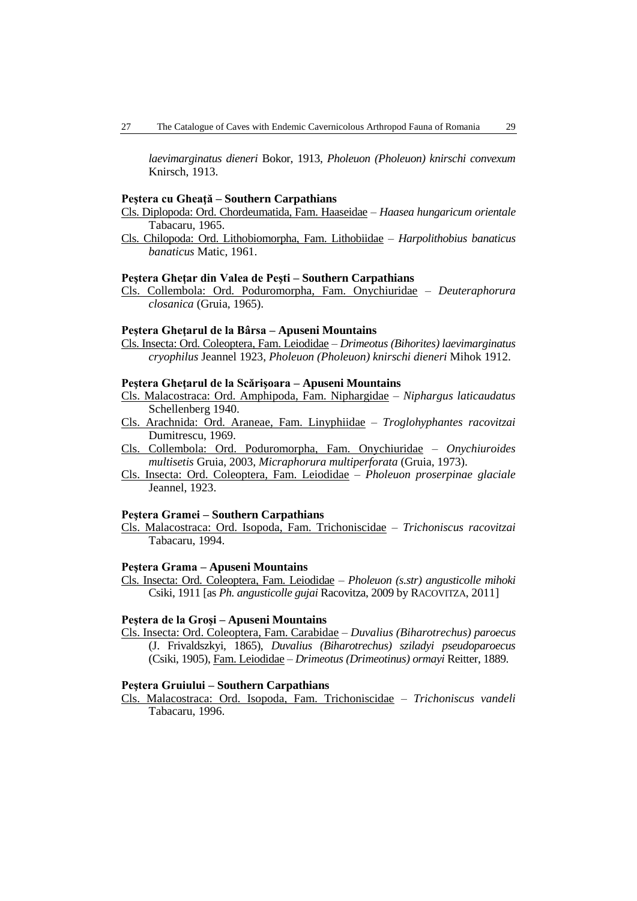*laevimarginatus dieneri* Bokor, 1913, *Pholeuon (Pholeuon) knirschi convexum* Knirsch, 1913.

#### **Peştera cu Gheaţă – Southern Carpathians**

Cls. Diplopoda: Ord. Chordeumatida, Fam. Haaseidae – *Haasea hungaricum orientale* Tabacaru, 1965.

Cls. Chilopoda: Ord. Lithobiomorpha, Fam. Lithobiidae – *Harpolithobius banaticus banaticus* Matic, 1961.

#### **Peştera Gheţar din Valea de Peşti – Southern Carpathians**

Cls. Collembola: Ord. Poduromorpha, Fam. Onychiuridae – *Deuteraphorura closanica* (Gruia, 1965).

#### **Peştera Gheţarul de la Bârsa – Apuseni Mountains**

Cls. Insecta: Ord. Coleoptera, Fam. Leiodidae – *Drimeotus (Bihorites) laevimarginatus cryophilus* Jeannel 1923, *Pholeuon (Pholeuon) knirschi dieneri* Mihok 1912.

### **Peştera Gheţarul de la Scărişoara – Apuseni Mountains**

- Cls. Malacostraca: Ord. Amphipoda, Fam. Niphargidae *Niphargus laticaudatus* Schellenberg 1940.
- Cls. Arachnida: Ord. Araneae, Fam. Linyphiidae *– Troglohyphantes racovitzai*  Dumitrescu, 1969.
- Cls. Collembola: Ord. Poduromorpha, Fam. Onychiuridae *Onychiuroides multisetis* Gruia, 2003, *Micraphorura multiperforata* (Gruia, 1973).
- Cls. Insecta: Ord. Coleoptera, Fam. Leiodidae *Pholeuon proserpinae glaciale* Jeannel, 1923.

#### **Peştera Gramei – Southern Carpathians**

Cls. Malacostraca: Ord. Isopoda, Fam. Trichoniscidae – *Trichoniscus racovitzai* Tabacaru, 1994.

### **Peştera Grama – Apuseni Mountains**

Cls. Insecta: Ord. Coleoptera, Fam. Leiodidae – *Pholeuon (s.str) angusticolle mihoki* Csiki, 1911 [as *Ph. angusticolle gujai* Racovitza, 2009 by RACOVITZA, 2011]

### **Peştera de la Groşi – Apuseni Mountains**

Cls. Insecta: Ord. Coleoptera, Fam. Carabidae – *Duvalius (Biharotrechus) paroecus* (J. Frivaldszkyi, 1865), *Duvalius (Biharotrechus) sziladyi pseudoparoecus* (Csiki, 1905), Fam. Leiodidae – *Drimeotus (Drimeotinus) ormayi* Reitter, 1889.

#### **Peştera Gruiului – Southern Carpathians**

Cls. Malacostraca: Ord. Isopoda, Fam. Trichoniscidae – *Trichoniscus vandeli*  Tabacaru, 1996.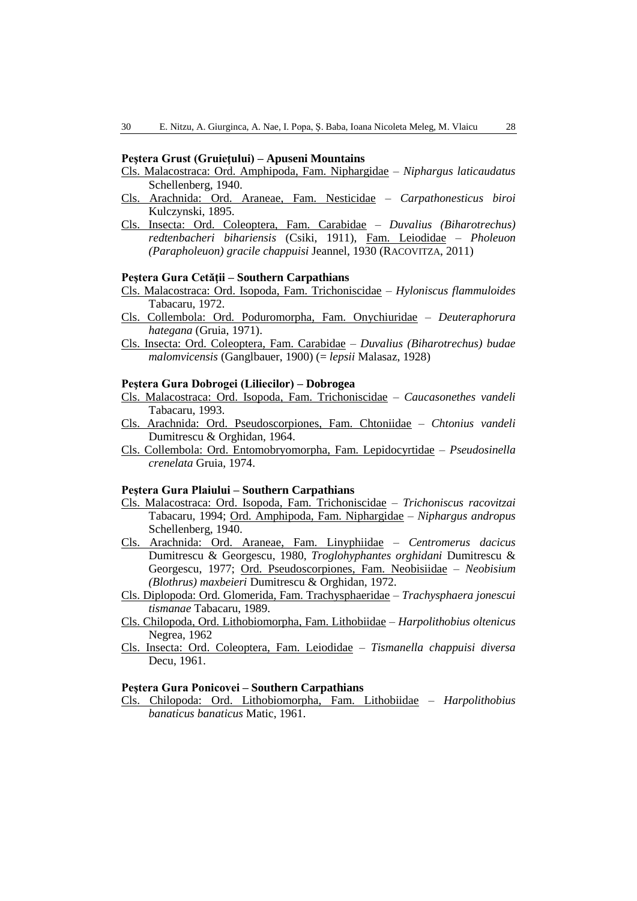### **Peştera Grust (Gruieţului) – Apuseni Mountains**

- Cls. Malacostraca: Ord. Amphipoda, Fam. Niphargidae *Niphargus laticaudatus* Schellenberg, 1940.
- Cls. Arachnida: Ord. Araneae, Fam. Nesticidae *Carpathonesticus biroi*  Kulczynski, 1895.
- Cls. Insecta: Ord. Coleoptera, Fam. Carabidae *Duvalius (Biharotrechus) redtenbacheri bihariensis* (Csiki, 1911), Fam. Leiodidae – *Pholeuon (Parapholeuon) gracile chappuisi* Jeannel, 1930 (RACOVITZA, 2011)

### **Peştera Gura Cetăţii – Southern Carpathians**

- Cls. Malacostraca: Ord. Isopoda, Fam. Trichoniscidae *Hyloniscus flammuloides* Tabacaru, 1972.
- Cls. Collembola: Ord. Poduromorpha, Fam. Onychiuridae *Deuteraphorura hategana* (Gruia, 1971).
- Cls. Insecta: Ord. Coleoptera, Fam. Carabidae *Duvalius (Biharotrechus) budae malomvicensis* (Ganglbauer, 1900) (= *lepsii* Malasaz, 1928)

#### **Peştera Gura Dobrogei (Liliecilor) – Dobrogea**

- Cls. Malacostraca: Ord. Isopoda, Fam. Trichoniscidae *Caucasonethes vandeli* Tabacaru, 1993.
- Cls. Arachnida: Ord. Pseudoscorpiones, Fam. Chtoniidae *Chtonius vandeli* Dumitrescu & Orghidan, 1964.
- Cls. Collembola: Ord. Entomobryomorpha, Fam. Lepidocyrtidae *Pseudosinella crenelata* Gruia, 1974.

#### **Peştera Gura Plaiului – Southern Carpathians**

- Cls. Malacostraca: Ord. Isopoda, Fam. Trichoniscidae *Trichoniscus racovitzai* Tabacaru, 1994; Ord. Amphipoda, Fam. Niphargidae – *Niphargus andropus* Schellenberg, 1940.
- Cls. Arachnida: Ord. Araneae, Fam. Linyphiidae *Centromerus dacicus*  Dumitrescu & Georgescu, 1980, *Troglohyphantes orghidani* Dumitrescu & Georgescu, 1977; Ord. Pseudoscorpiones, Fam. Neobisiidae – *Neobisium (Blothrus) maxbeieri* Dumitrescu & Orghidan, 1972.
- Cls. Diplopoda: Ord. Glomerida, Fam. Trachysphaeridae *Trachysphaera jonescui tismanae* Tabacaru, 1989.
- Cls. Chilopoda, Ord. Lithobiomorpha, Fam. Lithobiidae *Harpolithobius oltenicus*  Negrea, 1962
- Cls. Insecta: Ord. Coleoptera, Fam. Leiodidae *Tismanella chappuisi diversa* Decu, 1961.

#### **Peştera Gura Ponicovei – Southern Carpathians**

Cls. Chilopoda: Ord. Lithobiomorpha, Fam. Lithobiidae – *Harpolithobius banaticus banaticus* Matic, 1961.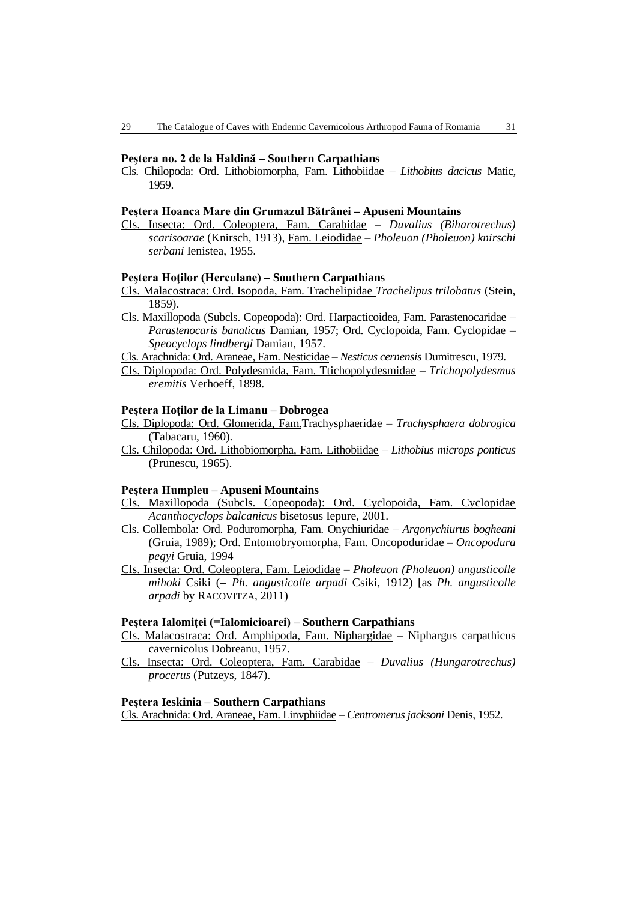#### **Peştera no. 2 de la Haldină – Southern Carpathians**

Cls. Chilopoda: Ord. Lithobiomorpha, Fam. Lithobiidae – *Lithobius dacicus* Matic, 1959.

### **Peştera Hoanca Mare din Grumazul Bătrânei – Apuseni Mountains**

Cls. Insecta: Ord. Coleoptera, Fam. Carabidae – *Duvalius (Biharotrechus) scarisoarae* (Knirsch, 1913), Fam. Leiodidae – *Pholeuon (Pholeuon) knirschi serbani* Ienistea, 1955.

### **Peştera Hoţilor (Herculane) – Southern Carpathians**

- Cls. Malacostraca: Ord. Isopoda, Fam. Trachelipidae *Trachelipus trilobatus* (Stein, 1859).
- Cls. Maxillopoda (Subcls. Copeopoda): Ord. Harpacticoidea, Fam. Parastenocaridae *Parastenocaris banaticus* Damian, 1957; Ord. Cyclopoida, Fam. Cyclopidae – *Speocyclops lindbergi* Damian, 1957.
- Cls. Arachnida: Ord. Araneae, Fam. Nesticidae *Nesticus cernensis* Dumitrescu, 1979.
- Cls. Diplopoda: Ord. Polydesmida, Fam. Ttichopolydesmidae *Trichopolydesmus eremitis* Verhoeff, 1898.

#### **Peştera Hoţilor de la Limanu – Dobrogea**

- Cls. Diplopoda: Ord. Glomerida, Fam.Trachysphaeridae *Trachysphaera dobrogica* (Tabacaru, 1960).
- Cls. Chilopoda: Ord. Lithobiomorpha, Fam. Lithobiidae *Lithobius microps ponticus* (Prunescu, 1965).

### **Peştera Humpleu – Apuseni Mountains**

- Cls. Maxillopoda (Subcls. Copeopoda): Ord. Cyclopoida, Fam. Cyclopidae *Acanthocyclops balcanicus* bisetosus Iepure, 2001.
- Cls. Collembola: Ord. Poduromorpha, Fam. Onychiuridae *Argonychiurus bogheani* (Gruia, 1989); Ord. Entomobryomorpha, Fam. Oncopoduridae – *Oncopodura pegyi* Gruia, 1994
- Cls. Insecta: Ord. Coleoptera, Fam. Leiodidae *Pholeuon (Pholeuon) angusticolle mihoki* Csiki (= *Ph. angusticolle arpadi* Csiki, 1912) [as *Ph. angusticolle arpadi* by RACOVITZA, 2011)

#### **Peştera Ialomiţei (=Ialomicioarei) – Southern Carpathians**

- Cls. Malacostraca: Ord. Amphipoda, Fam. Niphargidae Niphargus carpathicus cavernicolus Dobreanu, 1957.
- Cls. Insecta: Ord. Coleoptera, Fam. Carabidae *Duvalius (Hungarotrechus) procerus* (Putzeys, 1847).

#### **Peştera Ieskinia – Southern Carpathians**

Cls. Arachnida: Ord. Araneae, Fam. Linyphiidae – *Centromerus jacksoni* Denis, 1952.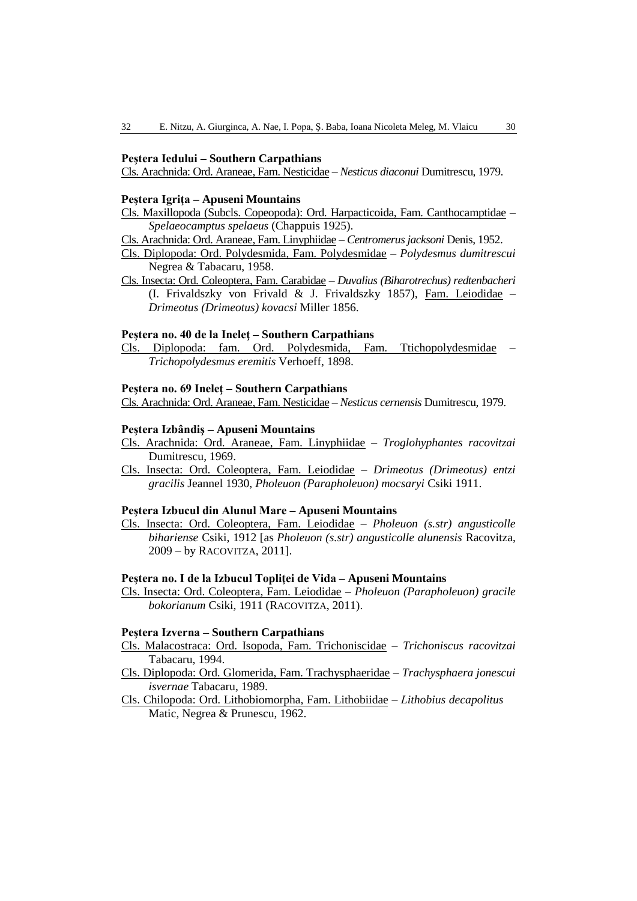### **Peştera Iedului – Southern Carpathians**

Cls. Arachnida: Ord. Araneae, Fam. Nesticidae – *Nesticus diaconui* Dumitrescu, 1979.

### **Peştera Igriţa – Apuseni Mountains**

Cls. Maxillopoda (Subcls. Copeopoda): Ord. Harpacticoida, Fam. Canthocamptidae – *Spelaeocamptus spelaeus* (Chappuis 1925).

- Cls. Arachnida: Ord. Araneae, Fam. Linyphiidae *Centromerus jacksoni* Denis, 1952.
- Cls. Diplopoda: Ord. Polydesmida, Fam. Polydesmidae *Polydesmus dumitrescui* Negrea & Tabacaru, 1958.
- Cls. Insecta: Ord. Coleoptera, Fam. Carabidae *Duvalius (Biharotrechus) redtenbacheri* (I. Frivaldszky von Frivald & J. Frivaldszky 1857), Fam. Leiodidae – *Drimeotus (Drimeotus) kovacsi* Miller 1856.

### **Peştera no. 40 de la Ineleţ – Southern Carpathians**

Cls. Diplopoda: fam. Ord. Polydesmida, Fam. Ttichopolydesmidae – *Trichopolydesmus eremitis* Verhoeff, 1898.

#### **Peştera no. 69 Ineleţ – Southern Carpathians**

Cls. Arachnida: Ord. Araneae, Fam. Nesticidae – *Nesticus cernensis* Dumitrescu, 1979.

### **Peştera Izbândiş – Apuseni Mountains**

- Cls. Arachnida: Ord. Araneae, Fam. Linyphiidae *Troglohyphantes racovitzai*  Dumitrescu, 1969.
- Cls. Insecta: Ord. Coleoptera, Fam. Leiodidae *Drimeotus (Drimeotus) entzi gracilis* Jeannel 1930, *Pholeuon (Parapholeuon) mocsaryi* Csiki 1911.

## **Peştera Izbucul din Alunul Mare – Apuseni Mountains**

Cls. Insecta: Ord. Coleoptera, Fam. Leiodidae – *Pholeuon (s.str) angusticolle bihariense* Csiki, 1912 [as *Pholeuon (s.str) angusticolle alunensis* Racovitza, 2009 – by RACOVITZA, 2011].

### **Peştera no. I de la Izbucul Topliţei de Vida – Apuseni Mountains**

Cls. Insecta: Ord. Coleoptera, Fam. Leiodidae – *Pholeuon (Parapholeuon) gracile bokorianum* Csiki, 1911 (RACOVITZA, 2011).

#### **Peştera Izverna – Southern Carpathians**

- Cls. Malacostraca: Ord. Isopoda, Fam. Trichoniscidae *Trichoniscus racovitzai* Tabacaru, 1994.
- Cls. Diplopoda: Ord. Glomerida, Fam. Trachysphaeridae *Trachysphaera jonescui isvernae* Tabacaru, 1989.
- Cls. Chilopoda: Ord. Lithobiomorpha, Fam. Lithobiidae *Lithobius decapolitus*  Matic, Negrea & Prunescu, 1962.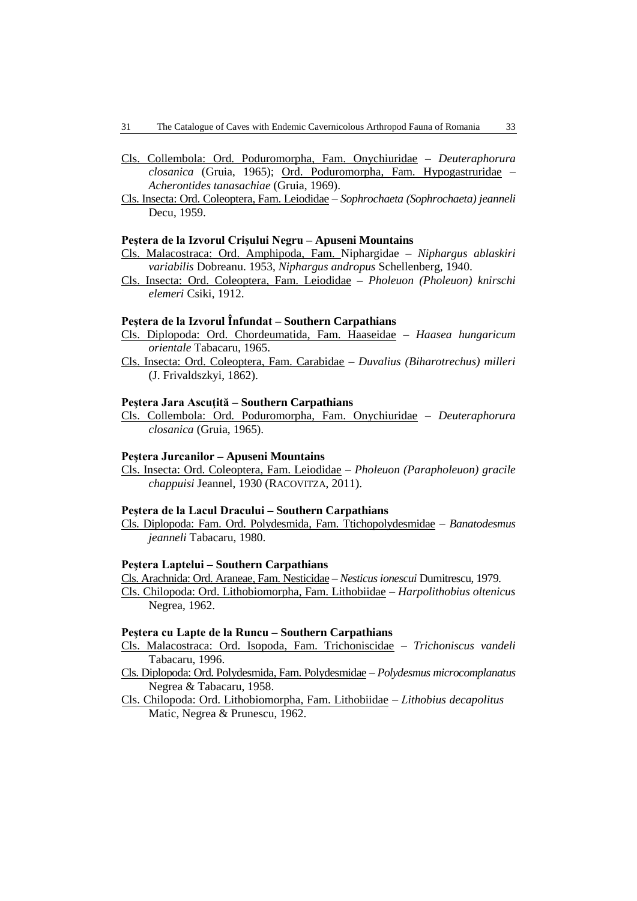- Cls. Collembola: Ord. Poduromorpha, Fam. Onychiuridae *Deuteraphorura closanica* (Gruia, 1965); Ord. Poduromorpha, Fam. Hypogastruridae – *Acherontides tanasachiae* (Gruia, 1969).
- Cls. Insecta: Ord. Coleoptera, Fam. Leiodidae *Sophrochaeta (Sophrochaeta) jeanneli* Decu, 1959.

#### **Peştera de la Izvorul Crişului Negru – Apuseni Mountains**

- Cls. Malacostraca: Ord. Amphipoda, Fam. Niphargidae *Niphargus ablaskiri variabilis* Dobreanu. 1953, *Niphargus andropus* Schellenberg, 1940.
- Cls. Insecta: Ord. Coleoptera, Fam. Leiodidae *Pholeuon (Pholeuon) knirschi elemeri* Csiki, 1912.

# **Peştera de la Izvorul Înfundat – Southern Carpathians**

- Cls. Diplopoda: Ord. Chordeumatida, Fam. Haaseidae *Haasea hungaricum orientale* Tabacaru, 1965.
- Cls. Insecta: Ord. Coleoptera, Fam. Carabidae *Duvalius (Biharotrechus) milleri* (J. Frivaldszkyi, 1862).

# **Peştera Jara Ascuţită – Southern Carpathians**

Cls. Collembola: Ord. Poduromorpha, Fam. Onychiuridae – *Deuteraphorura closanica* (Gruia, 1965).

#### **Peştera Jurcanilor – Apuseni Mountains**

Cls. Insecta: Ord. Coleoptera, Fam. Leiodidae – *Pholeuon (Parapholeuon) gracile chappuisi* Jeannel, 1930 (RACOVITZA, 2011).

### **Peştera de la Lacul Dracului – Southern Carpathians**

Cls. Diplopoda: Fam. Ord. Polydesmida, Fam. Ttichopolydesmidae – *Banatodesmus jeanneli* Tabacaru, 1980.

### **Peştera Laptelui – Southern Carpathians**

- Cls. Arachnida: Ord. Araneae, Fam. Nesticidae *Nesticus ionescui* Dumitrescu, 1979.
- Cls. Chilopoda: Ord. Lithobiomorpha, Fam. Lithobiidae *Harpolithobius oltenicus*  Negrea, 1962.

#### **Peştera cu Lapte de la Runcu – Southern Carpathians**

- Cls. Malacostraca: Ord. Isopoda, Fam. Trichoniscidae *Trichoniscus vandeli*  Tabacaru, 1996.
- Cls. Diplopoda: Ord. Polydesmida, Fam. Polydesmidae *Polydesmus microcomplanatus* Negrea & Tabacaru, 1958.
- Cls. Chilopoda: Ord. Lithobiomorpha, Fam. Lithobiidae *Lithobius decapolitus*  Matic, Negrea & Prunescu, 1962.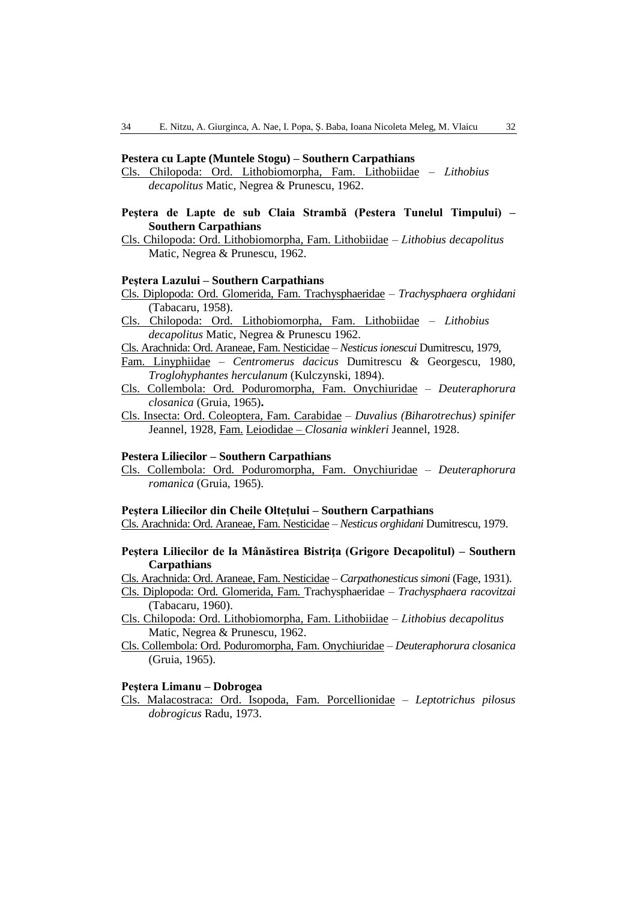### **Pestera cu Lapte (Muntele Stogu) – Southern Carpathians**

Cls. Chilopoda: Ord. Lithobiomorpha, Fam. Lithobiidae – *Lithobius decapolitus* Matic, Negrea & Prunescu, 1962.

# **Peştera de Lapte de sub Claia Strambă (Pestera Tunelul Timpului) – Southern Carpathians**

Cls. Chilopoda: Ord. Lithobiomorpha, Fam. Lithobiidae – *Lithobius decapolitus* Matic, Negrea & Prunescu, 1962.

### **Peştera Lazului – Southern Carpathians**

- Cls. Diplopoda: Ord. Glomerida, Fam. Trachysphaeridae *Trachysphaera orghidani* (Tabacaru, 1958).
- Cls. Chilopoda: Ord. Lithobiomorpha, Fam. Lithobiidae *Lithobius decapolitus* Matic, Negrea & Prunescu 1962.
- Cls. Arachnida: Ord. Araneae, Fam. Nesticidae *Nesticus ionescui* Dumitrescu, 1979,

Fam. Linyphiidae – *Centromerus dacicus* Dumitrescu & Georgescu, 1980, *Troglohyphantes herculanum* (Kulczynski, 1894).

- Cls. Collembola: Ord. Poduromorpha, Fam. Onychiuridae *Deuteraphorura closanica* (Gruia, 1965)**.**
- Cls. Insecta: Ord. Coleoptera, Fam. Carabidae *Duvalius (Biharotrechus) spinifer* Jeannel, 1928, Fam. Leiodidae *– Closania winkleri* Jeannel, 1928.

### **Pestera Liliecilor – Southern Carpathians**

Cls. Collembola: Ord. Poduromorpha, Fam. Onychiuridae – *Deuteraphorura romanica* (Gruia, 1965).

#### **Peştera Liliecilor din Cheile Oltețului – Southern Carpathians**

Cls. Arachnida: Ord. Araneae, Fam. Nesticidae – *Nesticus orghidani* Dumitrescu, 1979.

## **Peştera Liliecilor de la Mânăstirea Bistriţa (Grigore Decapolitul) – Southern Carpathians**

Cls. Arachnida: Ord. Araneae, Fam. Nesticidae – *Carpathonesticus simoni* (Fage, 1931).

- Cls. Diplopoda: Ord. Glomerida, Fam. Trachysphaeridae *Trachysphaera racovitzai* (Tabacaru, 1960).
- Cls. Chilopoda: Ord. Lithobiomorpha, Fam. Lithobiidae *Lithobius decapolitus* Matic, Negrea & Prunescu, 1962.
- Cls. Collembola: Ord. Poduromorpha, Fam. Onychiuridae *Deuteraphorura closanica* (Gruia, 1965).

### **Peştera Limanu – Dobrogea**

Cls. Malacostraca: Ord. Isopoda, Fam. Porcellionidae – *Leptotrichus pilosus dobrogicus* Radu, 1973.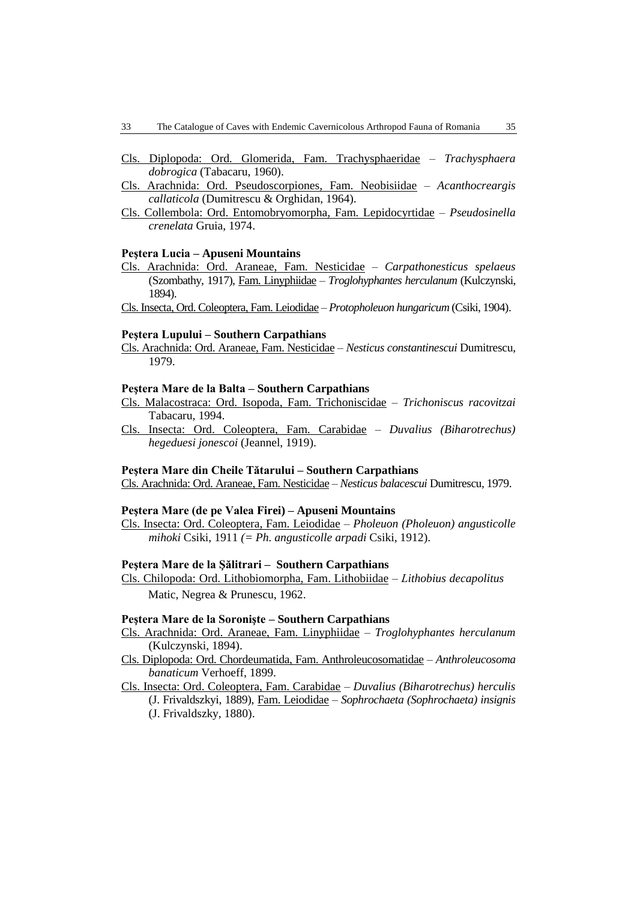- Cls. Diplopoda: Ord. Glomerida, Fam. Trachysphaeridae *Trachysphaera dobrogica* (Tabacaru, 1960).
- Cls. Arachnida: Ord. Pseudoscorpiones, Fam. Neobisiidae *Acanthocreargis callaticola* (Dumitrescu & Orghidan, 1964).
- Cls. Collembola: Ord. Entomobryomorpha, Fam. Lepidocyrtidae *Pseudosinella crenelata* Gruia, 1974.

#### **Peştera Lucia – Apuseni Mountains**

Cls. Arachnida: Ord. Araneae, Fam. Nesticidae – *Carpathonesticus spelaeus*  (Szombathy, 1917), Fam. Linyphiidae – *Troglohyphantes herculanum* (Kulczynski, 1894).

Cls. Insecta, Ord. Coleoptera, Fam. Leiodidae – *Protopholeuon hungaricum* (Csiki, 1904).

### **Peştera Lupului – Southern Carpathians**

Cls. Arachnida: Ord. Araneae, Fam. Nesticidae – *Nesticus constantinescui* Dumitrescu, 1979.

#### **Peştera Mare de la Balta – Southern Carpathians**

- Cls. Malacostraca: Ord. Isopoda, Fam. Trichoniscidae *Trichoniscus racovitzai* Tabacaru, 1994.
- Cls. Insecta: Ord. Coleoptera, Fam. Carabidae *Duvalius (Biharotrechus) hegeduesi jonescoi* (Jeannel, 1919).

#### **Peştera Mare din Cheile Tătarului – Southern Carpathians**

Cls. Arachnida: Ord. Araneae, Fam. Nesticidae – *Nesticus balacescui* Dumitrescu, 1979.

### **Peştera Mare (de pe Valea Firei) – Apuseni Mountains**

Cls. Insecta: Ord. Coleoptera, Fam. Leiodidae – *Pholeuon (Pholeuon) angusticolle mihoki* Csiki, 1911 *(= Ph. angusticolle arpadi* Csiki, 1912).

### **Peştera Mare de la Şălitrari – Southern Carpathians**

Cls. Chilopoda: Ord. Lithobiomorpha, Fam. Lithobiidae – *Lithobius decapolitus* Matic, Negrea & Prunescu, 1962.

# **Peştera Mare de la Soronişte – Southern Carpathians**

- Cls. Arachnida: Ord. Araneae, Fam. Linyphiidae *Troglohyphantes herculanum*  (Kulczynski, 1894).
- Cls. Diplopoda: Ord. Chordeumatida, Fam. Anthroleucosomatidae *Anthroleucosoma banaticum* Verhoeff, 1899.
- Cls. Insecta: Ord. Coleoptera, Fam. Carabidae *Duvalius (Biharotrechus) herculis*

(J. Frivaldszkyi, 1889), Fam. Leiodidae – *Sophrochaeta (Sophrochaeta) insignis* (J. Frivaldszky, 1880).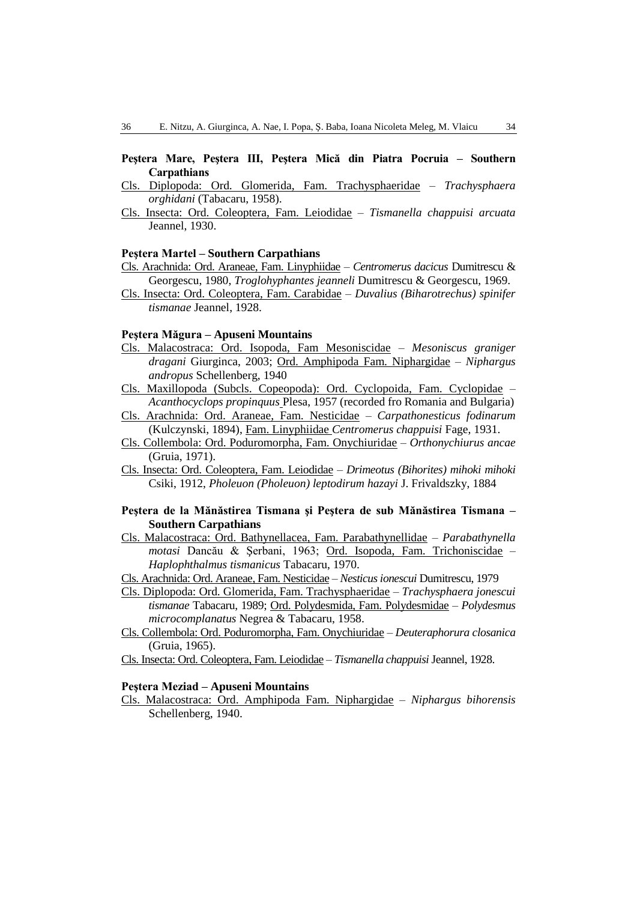# **Peştera Mare, Peştera III, Peştera Mică din Piatra Pocruia – Southern Carpathians**

- Cls. Diplopoda: Ord. Glomerida, Fam. Trachysphaeridae *Trachysphaera orghidani* (Tabacaru, 1958).
- Cls. Insecta: Ord. Coleoptera, Fam. Leiodidae *Tismanella chappuisi arcuata* Jeannel, 1930.

#### **Peştera Martel – Southern Carpathians**

- Cls. Arachnida: Ord. Araneae, Fam. Linyphiidae *Centromerus dacicus* Dumitrescu & Georgescu, 1980, *Troglohyphantes jeanneli* Dumitrescu & Georgescu, 1969.
- Cls. Insecta: Ord. Coleoptera, Fam. Carabidae *Duvalius (Biharotrechus) spinifer tismanae* Jeannel, 1928.

# **Peştera Măgura – Apuseni Mountains**

- Cls. Malacostraca: Ord. Isopoda, Fam Mesoniscidae *Mesoniscus graniger dragani* Giurginca, 2003; Ord. Amphipoda Fam. Niphargidae – *Niphargus andropus* Schellenberg, 1940
- Cls. Maxillopoda (Subcls. Copeopoda): Ord. Cyclopoida, Fam. Cyclopidae *Acanthocyclops propinquus* Plesa, 1957 (recorded fro Romania and Bulgaria)
- Cls. Arachnida: Ord. Araneae, Fam. Nesticidae *Carpathonesticus fodinarum*  (Kulczynski, 1894), Fam. Linyphiidae *Centromerus chappuisi* Fage, 1931.
- Cls. Collembola: Ord. Poduromorpha, Fam. Onychiuridae *Orthonychiurus ancae* (Gruia, 1971).
- Cls. Insecta: Ord. Coleoptera, Fam. Leiodidae *Drimeotus (Bihorites) mihoki mihoki* Csiki, 1912, *Pholeuon (Pholeuon) leptodirum hazayi* J. Frivaldszky, 1884

## **Peştera de la Mănăstirea Tismana şi Peştera de sub Mănăstirea Tismana – Southern Carpathians**

- Cls. Malacostraca: Ord. Bathynellacea, Fam. Parabathynellidae *Parabathynella motasi* Dancău & Şerbani, 1963; Ord. Isopoda, Fam. Trichoniscidae – *Haplophthalmus tismanicus* Tabacaru, 1970.
- Cls. Arachnida: Ord. Araneae, Fam. Nesticidae *Nesticus ionescui* Dumitrescu, 1979
- Cls. Diplopoda: Ord. Glomerida, Fam. Trachysphaeridae *Trachysphaera jonescui tismanae* Tabacaru, 1989; Ord. Polydesmida, Fam. Polydesmidae – *Polydesmus microcomplanatus* Negrea & Tabacaru, 1958.
- Cls. Collembola: Ord. Poduromorpha, Fam. Onychiuridae *Deuteraphorura closanica* (Gruia, 1965).
- Cls. Insecta: Ord. Coleoptera, Fam. Leiodidae *Tismanella chappuisi* Jeannel, 1928.

### **Peştera Meziad – Apuseni Mountains**

Cls. Malacostraca: Ord. Amphipoda Fam. Niphargidae – *Niphargus bihorensis* Schellenberg, 1940.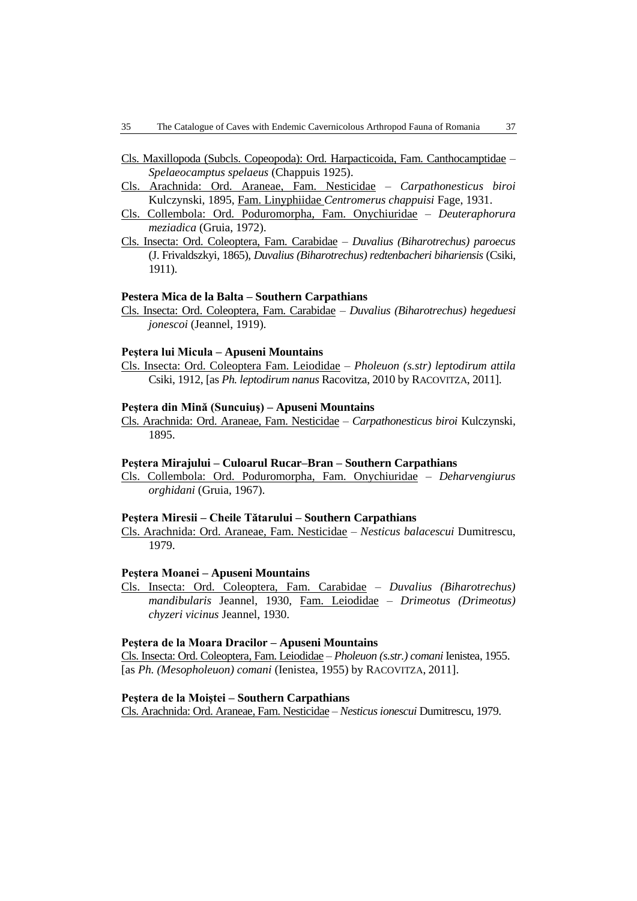- Cls. Maxillopoda (Subcls. Copeopoda): Ord. Harpacticoida, Fam. Canthocamptidae *Spelaeocamptus spelaeus* (Chappuis 1925).
- Cls. Arachnida: Ord. Araneae, Fam. Nesticidae *Carpathonesticus biroi*  Kulczynski, 1895, Fam. Linyphiidae *Centromerus chappuisi* Fage, 1931.
- Cls. Collembola: Ord. Poduromorpha, Fam. Onychiuridae *Deuteraphorura meziadica* (Gruia, 1972).
- Cls. Insecta: Ord. Coleoptera, Fam. Carabidae *Duvalius (Biharotrechus) paroecus* (J. Frivaldszkyi, 1865), *Duvalius (Biharotrechus) redtenbacheri bihariensis* (Csiki, 1911).

### **Pestera Mica de la Balta – Southern Carpathians**

Cls. Insecta: Ord. Coleoptera, Fam. Carabidae – *Duvalius (Biharotrechus) hegeduesi jonescoi* (Jeannel, 1919).

#### **Peştera lui Micula – Apuseni Mountains**

Cls. Insecta: Ord. Coleoptera Fam. Leiodidae – *Pholeuon (s.str) leptodirum attila* Csiki, 1912, [as *Ph. leptodirum nanus* Racovitza, 2010 by RACOVITZA, 2011].

### **Peştera din Mină (Suncuiuş) – Apuseni Mountains**

Cls. Arachnida: Ord. Araneae, Fam. Nesticidae – *Carpathonesticus biroi* Kulczynski, 1895.

#### **Peştera Mirajului – Culoarul Rucar–Bran – Southern Carpathians**

Cls. Collembola: Ord. Poduromorpha, Fam. Onychiuridae – *Deharvengiurus orghidani* (Gruia, 1967).

#### **Peştera Miresii – Cheile Tătarului – Southern Carpathians**

Cls. Arachnida: Ord. Araneae, Fam. Nesticidae – *Nesticus balacescui* Dumitrescu, 1979.

#### **Peştera Moanei – Apuseni Mountains**

Cls. Insecta: Ord. Coleoptera, Fam. Carabidae – *Duvalius (Biharotrechus) mandibularis* Jeannel, 1930, Fam. Leiodidae – *Drimeotus (Drimeotus) chyzeri vicinus* Jeannel, 1930.

### **Peştera de la Moara Dracilor – Apuseni Mountains**

Cls. Insecta: Ord. Coleoptera, Fam. Leiodidae – *Pholeuon (s.str.) comani* Ienistea, 1955. [as *Ph. (Mesopholeuon) comani* (Ienistea, 1955) by RACOVITZA, 2011].

#### **Peştera de la Moiştei – Southern Carpathians**

Cls. Arachnida: Ord. Araneae, Fam. Nesticidae – *Nesticus ionescui* Dumitrescu, 1979.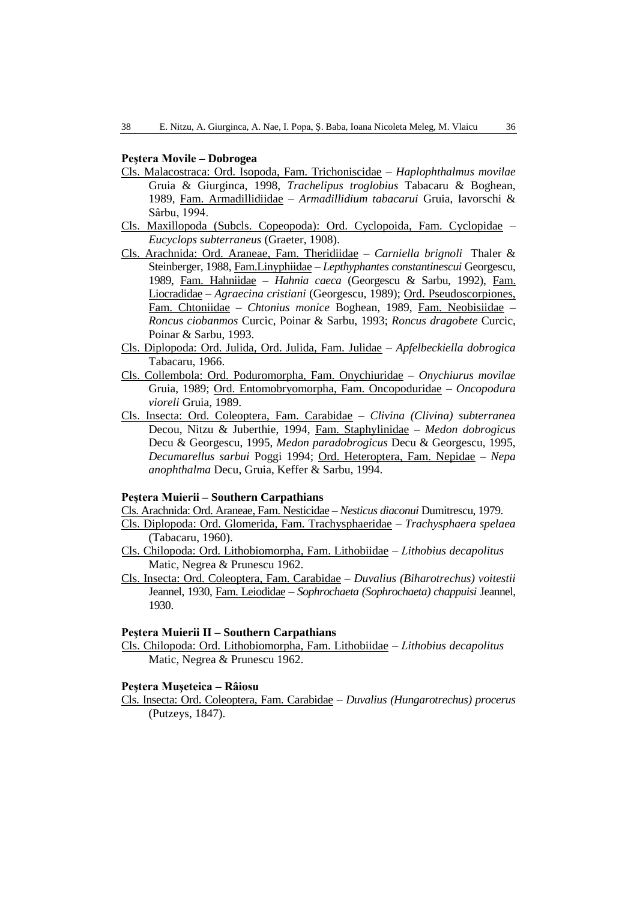### **Peştera Movile – Dobrogea**

- Cls. Malacostraca: Ord. Isopoda, Fam. Trichoniscidae *Haplophthalmus movilae* Gruia & Giurginca, 1998, *Trachelipus troglobius* Tabacaru & Boghean, 1989, Fam. Armadillidiidae – *Armadillidium tabacarui* Gruia, Iavorschi & Sârbu, 1994.
- Cls. Maxillopoda (Subcls. Copeopoda): Ord. Cyclopoida, Fam. Cyclopidae *Eucyclops subterraneus* (Graeter, 1908).
- Cls. Arachnida: Ord. Araneae, Fam. Theridiidae *Carniella brignoli* Thaler & Steinberger, 1988, Fam.Linyphiidae – *Lepthyphantes constantinescui* Georgescu, 1989, Fam. Hahniidae – *Hahnia caeca* (Georgescu & Sarbu, 1992), Fam. Liocradidae – *Agraecina cristiani* (Georgescu, 1989); Ord. Pseudoscorpiones, Fam. Chtoniidae – *Chtonius monice* Boghean, 1989, Fam. Neobisiidae – *Roncus ciobanmos* Curcic, Poinar & Sarbu, 1993; *Roncus dragobete* Curcic, Poinar & Sarbu, 1993.
- Cls. Diplopoda: Ord. Julida, Ord. Julida, Fam. Julidae *Apfelbeckiella dobrogica* Tabacaru, 1966.
- Cls. Collembola: Ord. Poduromorpha, Fam. Onychiuridae *Onychiurus movilae* Gruia, 1989; Ord. Entomobryomorpha, Fam. Oncopoduridae – *Oncopodura vioreli* Gruia, 1989.
- Cls. Insecta: Ord. Coleoptera, Fam. Carabidae *Clivina (Clivina) subterranea* Decou, Nitzu & Juberthie, 1994, Fam. Staphylinidae – *Medon dobrogicus* Decu & Georgescu, 1995, *Medon paradobrogicus* Decu & Georgescu, 1995, *Decumarellus sarbui* Poggi 1994; Ord. Heteroptera, Fam. Nepidae – *Nepa anophthalma* Decu, Gruia, Keffer & Sarbu, 1994.

#### **Peştera Muierii – Southern Carpathians**

Cls. Arachnida: Ord. Araneae, Fam. Nesticidae – *Nesticus diaconui* Dumitrescu, 1979.

- Cls. Diplopoda: Ord. Glomerida, Fam. Trachysphaeridae *Trachysphaera spelaea* (Tabacaru, 1960).
- Cls. Chilopoda: Ord. Lithobiomorpha, Fam. Lithobiidae *Lithobius decapolitus* Matic, Negrea & Prunescu 1962.
- Cls. Insecta: Ord. Coleoptera, Fam. Carabidae *Duvalius (Biharotrechus) voitestii* Jeannel, 1930, Fam. Leiodidae – *Sophrochaeta (Sophrochaeta) chappuisi* Jeannel, 1930.

#### **Peştera Muierii II – Southern Carpathians**

Cls. Chilopoda: Ord. Lithobiomorpha, Fam. Lithobiidae – *Lithobius decapolitus* Matic, Negrea & Prunescu 1962.

### **Peştera Muşeteica – Râiosu**

Cls. Insecta: Ord. Coleoptera, Fam. Carabidae – *Duvalius (Hungarotrechus) procerus* (Putzeys, 1847).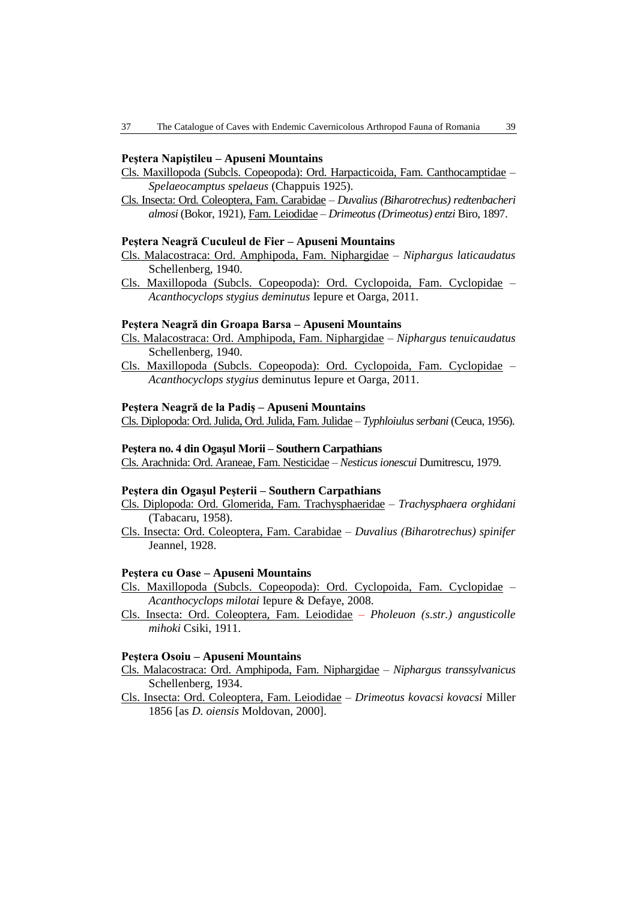### **Peştera Napiştileu – Apuseni Mountains**

- Cls. Maxillopoda (Subcls. Copeopoda): Ord. Harpacticoida, Fam. Canthocamptidae *Spelaeocamptus spelaeus* (Chappuis 1925).
- Cls. Insecta: Ord. Coleoptera, Fam. Carabidae *Duvalius (Biharotrechus) redtenbacheri almosi* (Bokor, 1921), Fam. Leiodidae – *Drimeotus (Drimeotus) entzi* Biro, 1897.

### **Peştera Neagră Cuculeul de Fier – Apuseni Mountains**

- Cls. Malacostraca: Ord. Amphipoda, Fam. Niphargidae *Niphargus laticaudatus* Schellenberg, 1940.
- Cls. Maxillopoda (Subcls. Copeopoda): Ord. Cyclopoida, Fam. Cyclopidae *Acanthocyclops stygius deminutus* Iepure et Oarga, 2011.

### **Peştera Neagră din Groapa Barsa – Apuseni Mountains**

- Cls. Malacostraca: Ord. Amphipoda, Fam. Niphargidae *Niphargus tenuicaudatus* Schellenberg, 1940.
- Cls. Maxillopoda (Subcls. Copeopoda): Ord. Cyclopoida, Fam. Cyclopidae *Acanthocyclops stygius* deminutus Iepure et Oarga, 2011.

#### **Peştera Neagră de la Padiş – Apuseni Mountains**

Cls. Diplopoda: Ord. Julida, Ord. Julida, Fam. Julidae – *Typhloiulus serbani* (Ceuca, 1956).

### **Peştera no. 4 din Ogaşul Morii – Southern Carpathians**

Cls. Arachnida: Ord. Araneae, Fam. Nesticidae – *Nesticus ionescui* Dumitrescu, 1979.

### **Peştera din Ogaşul Peşterii – Southern Carpathians**

- Cls. Diplopoda: Ord. Glomerida, Fam. Trachysphaeridae *Trachysphaera orghidani* (Tabacaru, 1958).
- Cls. Insecta: Ord. Coleoptera, Fam. Carabidae *Duvalius (Biharotrechus) spinifer* Jeannel, 1928.

#### **Peştera cu Oase – Apuseni Mountains**

- Cls. Maxillopoda (Subcls. Copeopoda): Ord. Cyclopoida, Fam. Cyclopidae *Acanthocyclops milotai* Iepure & Defaye, 2008.
- Cls. Insecta: Ord. Coleoptera, Fam. Leiodidae *Pholeuon (s.str.) angusticolle mihoki* Csiki, 1911.

#### **Peştera Osoiu – Apuseni Mountains**

- Cls. Malacostraca: Ord. Amphipoda, Fam. Niphargidae *Niphargus transsylvanicus* Schellenberg, 1934.
- Cls. Insecta: Ord. Coleoptera, Fam. Leiodidae *Drimeotus kovacsi kovacsi* Miller 1856 [as *D. oiensis* Moldovan, 2000].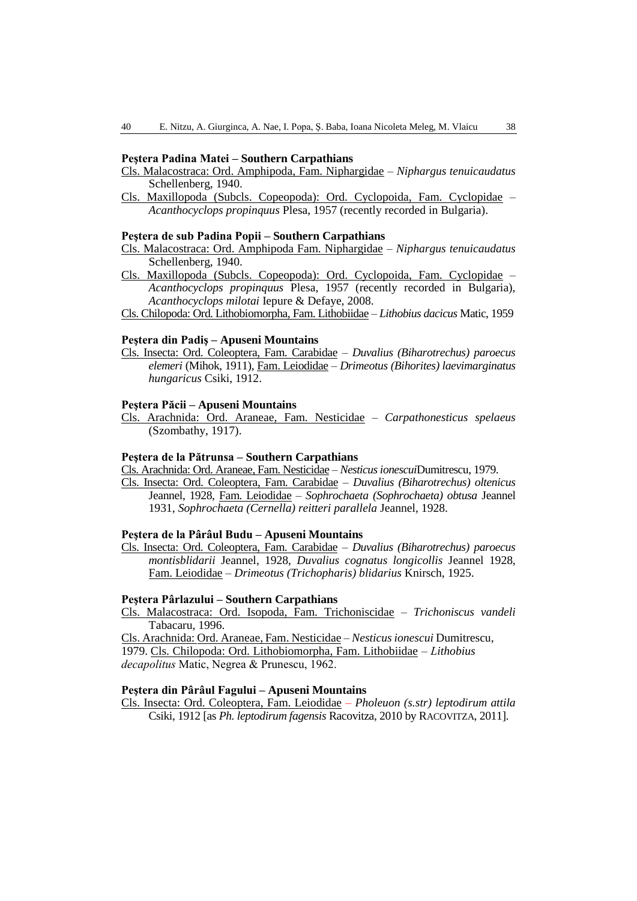### **Peştera Padina Matei – Southern Carpathians**

- Cls. Malacostraca: Ord. Amphipoda, Fam. Niphargidae *Niphargus tenuicaudatus* Schellenberg, 1940.
- Cls. Maxillopoda (Subcls. Copeopoda): Ord. Cyclopoida, Fam. Cyclopidae *Acanthocyclops propinquus* Plesa, 1957 (recently recorded in Bulgaria).

#### **Peştera de sub Padina Popii – Southern Carpathians**

- Cls. Malacostraca: Ord. Amphipoda Fam. Niphargidae *Niphargus tenuicaudatus* Schellenberg, 1940.
- Cls. Maxillopoda (Subcls. Copeopoda): Ord. Cyclopoida, Fam. Cyclopidae *Acanthocyclops propinquus* Plesa, 1957 (recently recorded in Bulgaria), *Acanthocyclops milotai* Iepure & Defaye, 2008.
- Cls. Chilopoda: Ord. Lithobiomorpha, Fam. Lithobiidae *Lithobius dacicus* Matic, 1959

#### **Peştera din Padiş – Apuseni Mountains**

Cls. Insecta: Ord. Coleoptera, Fam. Carabidae – *Duvalius (Biharotrechus) paroecus elemeri* (Mihok, 1911), Fam. Leiodidae – *Drimeotus (Bihorites) laevimarginatus hungaricus* Csiki, 1912.

### **Peştera Păcii – Apuseni Mountains**

Cls. Arachnida: Ord. Araneae, Fam. Nesticidae – *Carpathonesticus spelaeus*  (Szombathy, 1917).

# **Peştera de la Pătrunsa – Southern Carpathians**

Cls. Arachnida: Ord. Araneae, Fam. Nesticidae – *Nesticus ionescui*Dumitrescu, 1979.

Cls. Insecta: Ord. Coleoptera, Fam. Carabidae – *Duvalius (Biharotrechus) oltenicus* Jeannel, 1928, Fam. Leiodidae – *Sophrochaeta (Sophrochaeta) obtusa* Jeannel 1931, *Sophrochaeta (Cernella) reitteri parallela* Jeannel, 1928.

### **Peştera de la Pârâul Budu – Apuseni Mountains**

Cls. Insecta: Ord. Coleoptera, Fam. Carabidae – *Duvalius (Biharotrechus) paroecus montisblidarii* Jeannel, 1928, *Duvalius cognatus longicollis* Jeannel 1928, Fam. Leiodidae – *Drimeotus (Trichopharis) blidarius* Knirsch, 1925.

#### **Peştera Pârlazului – Southern Carpathians**

Cls. Malacostraca: Ord. Isopoda, Fam. Trichoniscidae – *Trichoniscus vandeli*  Tabacaru, 1996.

Cls. Arachnida: Ord. Araneae, Fam. Nesticidae – *Nesticus ionescui* Dumitrescu, 1979. Cls. Chilopoda: Ord. Lithobiomorpha, Fam. Lithobiidae – *Lithobius decapolitus* Matic, Negrea & Prunescu, 1962.

### **Peştera din Pârâul Fagului – Apuseni Mountains**

Cls. Insecta: Ord. Coleoptera, Fam. Leiodidae – *Pholeuon (s.str) leptodirum attila* Csiki, 1912 [as *Ph. leptodirum fagensis* Racovitza, 2010 by RACOVITZA, 2011].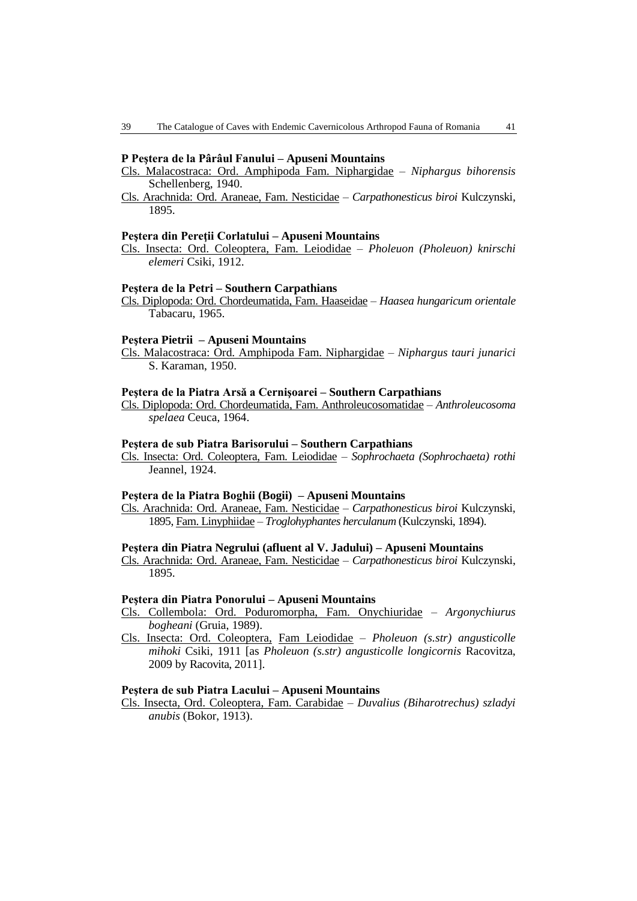#### **P Peştera de la Pârâul Fanului – Apuseni Mountains**

- Cls. Malacostraca: Ord. Amphipoda Fam. Niphargidae *Niphargus bihorensis* Schellenberg, 1940.
- Cls. Arachnida: Ord. Araneae, Fam. Nesticidae *Carpathonesticus biroi* Kulczynski, 1895.

#### **Peştera din Pereţii Corlatului – Apuseni Mountains**

Cls. Insecta: Ord. Coleoptera, Fam. Leiodidae – *Pholeuon (Pholeuon) knirschi elemeri* Csiki, 1912.

#### **Peştera de la Petri – Southern Carpathians**

Cls. Diplopoda: Ord. Chordeumatida, Fam. Haaseidae – *Haasea hungaricum orientale* Tabacaru, 1965.

#### **Peştera Pietrii – Apuseni Mountains**

Cls. Malacostraca: Ord. Amphipoda Fam. Niphargidae – *Niphargus tauri junarici* S. Karaman, 1950.

#### **Peştera de la Piatra Arsă a Cernişoarei – Southern Carpathians**

Cls. Diplopoda: Ord. Chordeumatida, Fam. Anthroleucosomatidae – *Anthroleucosoma spelaea* Ceuca, 1964.

### **Peştera de sub Piatra Barisorului – Southern Carpathians**

Cls. Insecta: Ord. Coleoptera, Fam. Leiodidae – *Sophrochaeta (Sophrochaeta) rothi* Jeannel, 1924.

#### **Peştera de la Piatra Boghii (Bogii) – Apuseni Mountains**

Cls. Arachnida: Ord. Araneae, Fam. Nesticidae – *Carpathonesticus biroi* Kulczynski, 1895, Fam. Linyphiidae – *Troglohyphantes herculanum* (Kulczynski, 1894).

## **Peştera din Piatra Negrului (afluent al V. Jadului) – Apuseni Mountains**

Cls. Arachnida: Ord. Araneae, Fam. Nesticidae – *Carpathonesticus biroi* Kulczynski, 1895.

#### **Peştera din Piatra Ponorului – Apuseni Mountains**

- Cls. Collembola: Ord. Poduromorpha, Fam. Onychiuridae *Argonychiurus bogheani* (Gruia, 1989).
- Cls. Insecta: Ord. Coleoptera, Fam Leiodidae *Pholeuon (s.str) angusticolle mihoki* Csiki, 1911 [as *Pholeuon (s.str) angusticolle longicornis* Racovitza, 2009 by Racovita, 2011].

### **Peştera de sub Piatra Lacului – Apuseni Mountains**

Cls. Insecta, Ord. Coleoptera, Fam. Carabidae – *Duvalius (Biharotrechus) szladyi anubis* (Bokor, 1913).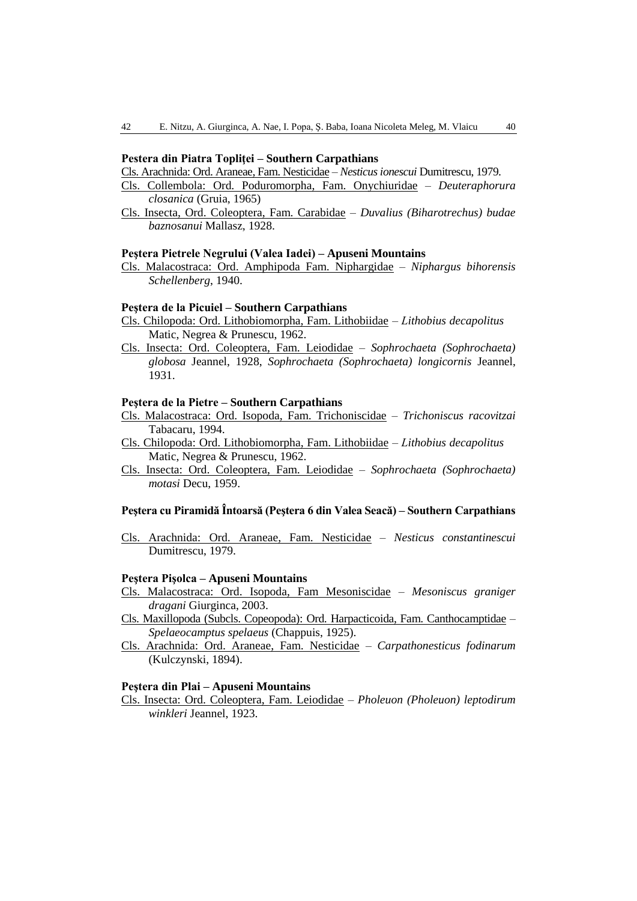### **Pestera din Piatra Topliţei – Southern Carpathians**

Cls. Arachnida: Ord. Araneae, Fam. Nesticidae – *Nesticus ionescui* Dumitrescu, 1979.

- Cls. Collembola: Ord. Poduromorpha, Fam. Onychiuridae *Deuteraphorura closanica* (Gruia, 1965)
- Cls. Insecta, Ord. Coleoptera, Fam. Carabidae *Duvalius (Biharotrechus) budae baznosanui* Mallasz, 1928.

#### **Peştera Pietrele Negrului (Valea Iadei) – Apuseni Mountains**

Cls. Malacostraca: Ord. Amphipoda Fam. Niphargidae – *Niphargus bihorensis Schellenberg*, 1940.

#### **Peştera de la Picuiel – Southern Carpathians**

- Cls. Chilopoda: Ord. Lithobiomorpha, Fam. Lithobiidae *Lithobius decapolitus* Matic, Negrea & Prunescu, 1962.
- Cls. Insecta: Ord. Coleoptera, Fam. Leiodidae *Sophrochaeta (Sophrochaeta) globosa* Jeannel, 1928, *Sophrochaeta (Sophrochaeta) longicornis* Jeannel, 1931.

# **Peştera de la Pietre – Southern Carpathians**

- Cls. Malacostraca: Ord. Isopoda, Fam. Trichoniscidae *Trichoniscus racovitzai* Tabacaru, 1994.
- Cls. Chilopoda: Ord. Lithobiomorpha, Fam. Lithobiidae *Lithobius decapolitus* Matic, Negrea & Prunescu, 1962.
- Cls. Insecta: Ord. Coleoptera, Fam. Leiodidae *Sophrochaeta (Sophrochaeta) motasi* Decu, 1959.

# **Peştera cu Piramidă Întoarsă (Peştera 6 din Valea Seacă) – Southern Carpathians**

Cls. Arachnida: Ord. Araneae, Fam. Nesticidae – *Nesticus constantinescui*  Dumitrescu, 1979.

### **Peştera Pişolca – Apuseni Mountains**

- Cls. Malacostraca: Ord. Isopoda, Fam Mesoniscidae *Mesoniscus graniger dragani* Giurginca, 2003.
- Cls. Maxillopoda (Subcls. Copeopoda): Ord. Harpacticoida, Fam. Canthocamptidae *Spelaeocamptus spelaeus* (Chappuis, 1925).
- Cls. Arachnida: Ord. Araneae, Fam. Nesticidae *Carpathonesticus fodinarum*  (Kulczynski, 1894).

### **Peştera din Plai – Apuseni Mountains**

Cls. Insecta: Ord. Coleoptera, Fam. Leiodidae – *Pholeuon (Pholeuon) leptodirum winkleri* Jeannel, 1923.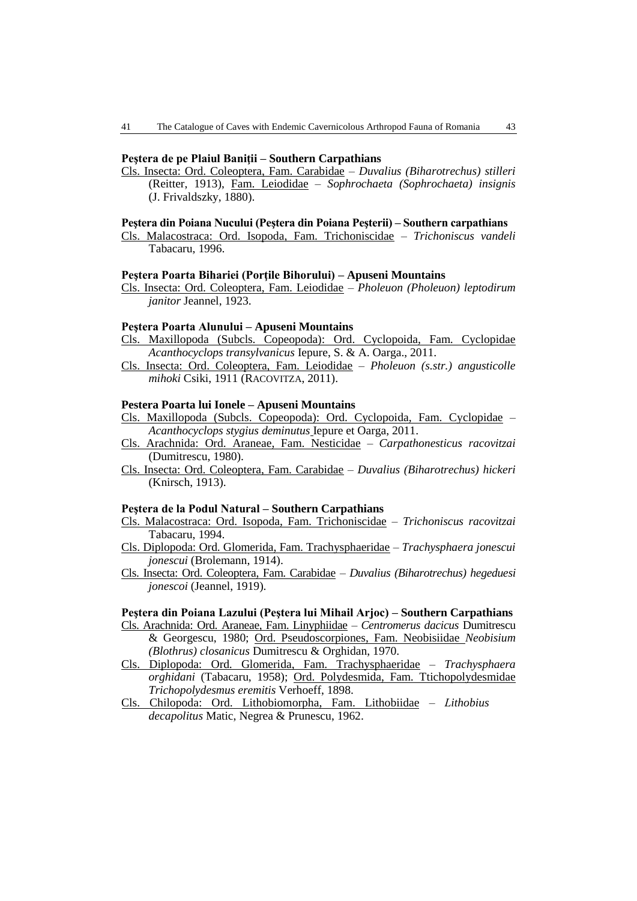### **Peştera de pe Plaiul Baniţii – Southern Carpathians**

Cls. Insecta: Ord. Coleoptera, Fam. Carabidae – *Duvalius (Biharotrechus) stilleri* (Reitter, 1913), Fam. Leiodidae – *Sophrochaeta (Sophrochaeta) insignis* (J. Frivaldszky, 1880).

#### **Peştera din Poiana Nucului (Peştera din Poiana Peşterii) – Southern carpathians**

Cls. Malacostraca: Ord. Isopoda, Fam. Trichoniscidae – *Trichoniscus vandeli*  Tabacaru, 1996.

#### **Peştera Poarta Bihariei (Porţile Bihorului) – Apuseni Mountains**

Cls. Insecta: Ord. Coleoptera, Fam. Leiodidae – *Pholeuon (Pholeuon) leptodirum janitor* Jeannel, 1923.

#### **Peştera Poarta Alunului – Apuseni Mountains**

- Cls. Maxillopoda (Subcls. Copeopoda): Ord. Cyclopoida, Fam. Cyclopidae *Acanthocyclops transylvanicus* Iepure, S. & A. Oarga., 2011.
- Cls. Insecta: Ord. Coleoptera, Fam. Leiodidae *Pholeuon (s.str.) angusticolle mihoki* Csiki, 1911 (RACOVITZA, 2011).

### **Pestera Poarta lui Ionele – Apuseni Mountains**

- Cls. Maxillopoda (Subcls. Copeopoda): Ord. Cyclopoida, Fam. Cyclopidae *Acanthocyclops stygius deminutus* Iepure et Oarga, 2011.
- Cls. Arachnida: Ord. Araneae, Fam. Nesticidae *Carpathonesticus racovitzai*  (Dumitrescu, 1980).
- Cls. Insecta: Ord. Coleoptera, Fam. Carabidae *Duvalius (Biharotrechus) hickeri* (Knirsch, 1913).

#### **Peştera de la Podul Natural – Southern Carpathians**

- Cls. Malacostraca: Ord. Isopoda, Fam. Trichoniscidae *Trichoniscus racovitzai* Tabacaru, 1994.
- Cls. Diplopoda: Ord. Glomerida, Fam. Trachysphaeridae *Trachysphaera jonescui jonescui* (Brolemann, 1914).
- Cls. Insecta: Ord. Coleoptera, Fam. Carabidae *Duvalius (Biharotrechus) hegeduesi jonescoi* (Jeannel, 1919).

#### **Peştera din Poiana Lazului (Peştera lui Mihail Arjoc) – Southern Carpathians**

- Cls. Arachnida: Ord. Araneae, Fam. Linyphiidae *Centromerus dacicus* Dumitrescu & Georgescu, 1980; Ord. Pseudoscorpiones, Fam. Neobisiidae *Neobisium (Blothrus) closanicus* Dumitrescu & Orghidan, 1970.
- Cls. Diplopoda: Ord. Glomerida, Fam. Trachysphaeridae *Trachysphaera orghidani* (Tabacaru, 1958); Ord. Polydesmida, Fam. Ttichopolydesmidae *Trichopolydesmus eremitis* Verhoeff, 1898.
- Cls. Chilopoda: Ord. Lithobiomorpha, Fam. Lithobiidae *Lithobius decapolitus* Matic, Negrea & Prunescu, 1962.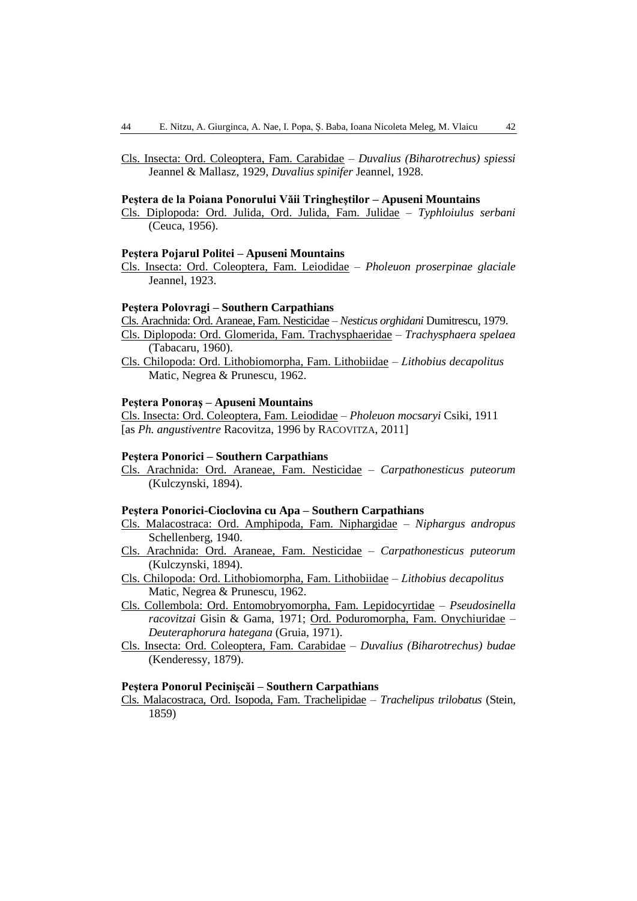Cls. Insecta: Ord. Coleoptera, Fam. Carabidae – *Duvalius (Biharotrechus) spiessi* Jeannel & Mallasz, 1929, *Duvalius spinifer* Jeannel, 1928.

### **Peştera de la Poiana Ponorului Văii Tringheştilor – Apuseni Mountains**

Cls. Diplopoda: Ord. Julida, Ord. Julida, Fam. Julidae – *Typhloiulus serbani* (Ceuca, 1956).

#### **Peştera Pojarul Politei – Apuseni Mountains**

Cls. Insecta: Ord. Coleoptera, Fam. Leiodidae – *Pholeuon proserpinae glaciale* Jeannel, 1923.

#### **Peştera Polovragi – Southern Carpathians**

Cls. Arachnida: Ord. Araneae, Fam. Nesticidae – *Nesticus orghidani* Dumitrescu, 1979.

- Cls. Diplopoda: Ord. Glomerida, Fam. Trachysphaeridae *Trachysphaera spelaea* (Tabacaru, 1960).
- Cls. Chilopoda: Ord. Lithobiomorpha, Fam. Lithobiidae *Lithobius decapolitus* Matic, Negrea & Prunescu, 1962.

# **Peştera Ponoraş – Apuseni Mountains**

Cls. Insecta: Ord. Coleoptera, Fam. Leiodidae – *Pholeuon mocsaryi* Csiki, 1911 [as *Ph. angustiventre* Racovitza, 1996 by RACOVITZA, 2011]

#### **Peştera Ponorici – Southern Carpathians**

Cls. Arachnida: Ord. Araneae, Fam. Nesticidae – *Carpathonesticus puteorum*  (Kulczynski, 1894).

#### **Peştera Ponorici-Cioclovina cu Apa – Southern Carpathians**

- Cls. Malacostraca: Ord. Amphipoda, Fam. Niphargidae *Niphargus andropus* Schellenberg, 1940.
- Cls. Arachnida: Ord. Araneae, Fam. Nesticidae *Carpathonesticus puteorum*  (Kulczynski, 1894).
- Cls. Chilopoda: Ord. Lithobiomorpha, Fam. Lithobiidae *Lithobius decapolitus* Matic, Negrea & Prunescu, 1962.
- Cls. Collembola: Ord. Entomobryomorpha, Fam. Lepidocyrtidae *Pseudosinella racovitzai* Gisin & Gama, 1971; Ord. Poduromorpha, Fam. Onychiuridae – *Deuteraphorura hategana* (Gruia, 1971).
- Cls. Insecta: Ord. Coleoptera, Fam. Carabidae *Duvalius (Biharotrechus) budae* (Kenderessy, 1879).

### **Peştera Ponorul Pecinişcăi – Southern Carpathians**

Cls. Malacostraca, Ord. Isopoda, Fam. Trachelipidae – *Trachelipus trilobatus* (Stein, 1859)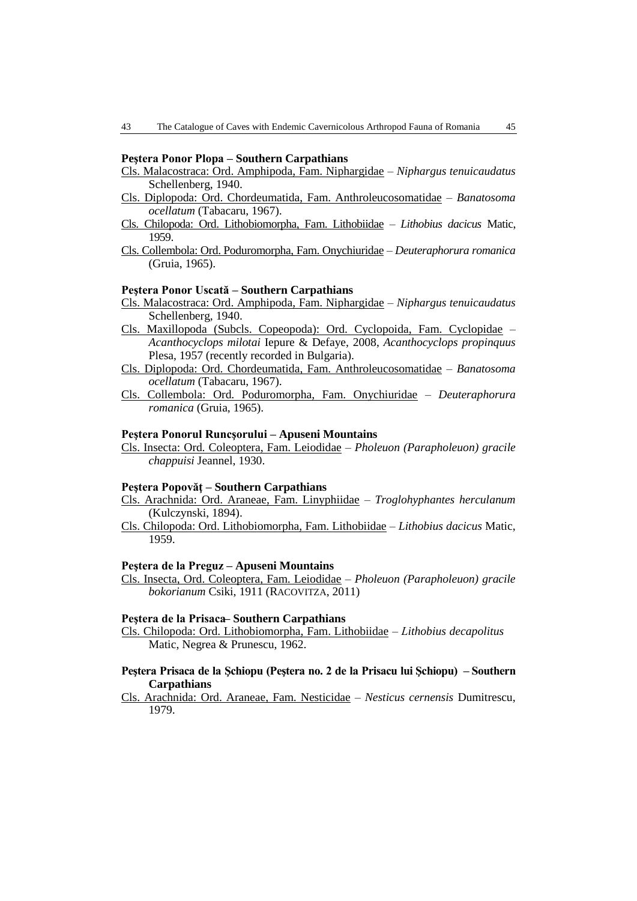### **Peştera Ponor Plopa – Southern Carpathians**

- Cls. Malacostraca: Ord. Amphipoda, Fam. Niphargidae *Niphargus tenuicaudatus* Schellenberg, 1940.
- Cls. Diplopoda: Ord. Chordeumatida, Fam. Anthroleucosomatidae *Banatosoma ocellatum* (Tabacaru, 1967).
- Cls. Chilopoda: Ord. Lithobiomorpha, Fam. Lithobiidae *Lithobius dacicus* Matic, 1959.
- Cls. Collembola: Ord. Poduromorpha, Fam. Onychiuridae *Deuteraphorura romanica* (Gruia, 1965).

### **Peştera Ponor Uscată – Southern Carpathians**

- Cls. Malacostraca: Ord. Amphipoda, Fam. Niphargidae *Niphargus tenuicaudatus* Schellenberg, 1940.
- Cls. Maxillopoda (Subcls. Copeopoda): Ord. Cyclopoida, Fam. Cyclopidae *Acanthocyclops milotai* Iepure & Defaye, 2008, *Acanthocyclops propinquus* Plesa, 1957 (recently recorded in Bulgaria).
- Cls. Diplopoda: Ord. Chordeumatida, Fam. Anthroleucosomatidae *Banatosoma ocellatum* (Tabacaru, 1967).
- Cls. Collembola: Ord. Poduromorpha, Fam. Onychiuridae *Deuteraphorura romanica* (Gruia, 1965).

#### **Peştera Ponorul Runcşorului – Apuseni Mountains**

Cls. Insecta: Ord. Coleoptera, Fam. Leiodidae – *Pholeuon (Parapholeuon) gracile chappuisi* Jeannel, 1930.

### **Peştera Popovăţ – Southern Carpathians**

- Cls. Arachnida: Ord. Araneae, Fam. Linyphiidae *Troglohyphantes herculanum*  (Kulczynski, 1894).
- Cls. Chilopoda: Ord. Lithobiomorpha, Fam. Lithobiidae *Lithobius dacicus* Matic, 1959.

#### **Peştera de la Preguz – Apuseni Mountains**

Cls. Insecta, Ord. Coleoptera, Fam. Leiodidae – *Pholeuon (Parapholeuon) gracile bokorianum* Csiki, 1911 (RACOVITZA, 2011)

#### **Peştera de la Prisaca– Southern Carpathians**

Cls. Chilopoda: Ord. Lithobiomorpha, Fam. Lithobiidae – *Lithobius decapolitus* Matic, Negrea & Prunescu, 1962.

### **Peştera Prisaca de la Şchiopu (Peştera no. 2 de la Prisacu lui Şchiopu) – Southern Carpathians**

Cls. Arachnida: Ord. Araneae, Fam. Nesticidae – *Nesticus cernensis* Dumitrescu, 1979.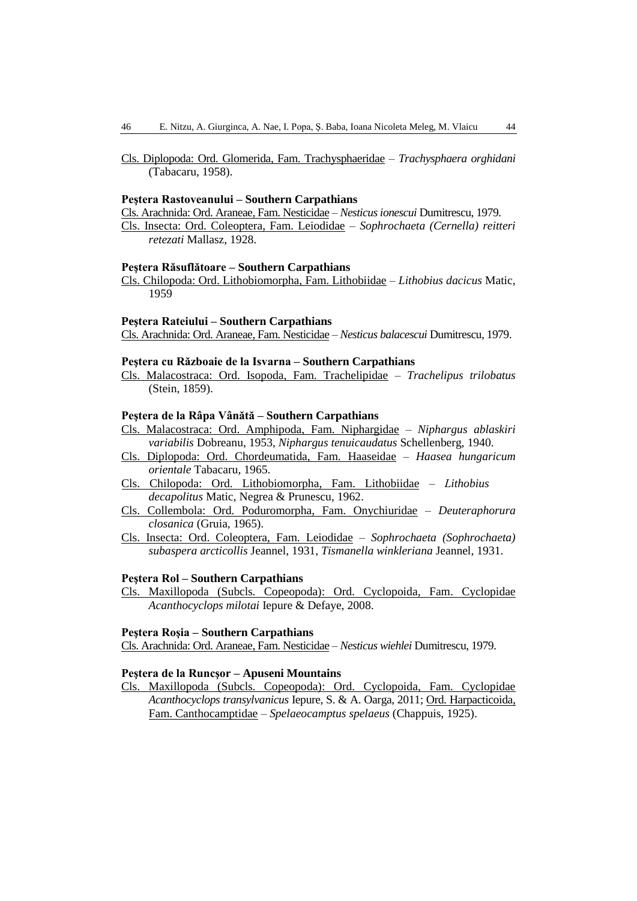Cls. Diplopoda: Ord. Glomerida, Fam. Trachysphaeridae – *Trachysphaera orghidani* (Tabacaru, 1958).

### **Peştera Rastoveanului – Southern Carpathians**

Cls. Arachnida: Ord. Araneae, Fam. Nesticidae – *Nesticus ionescui* Dumitrescu, 1979.

Cls. Insecta: Ord. Coleoptera, Fam. Leiodidae – *Sophrochaeta (Cernella) reitteri retezati* Mallasz, 1928.

#### **Peştera Răsuflătoare – Southern Carpathians**

Cls. Chilopoda: Ord. Lithobiomorpha, Fam. Lithobiidae – *Lithobius dacicus* Matic, 1959

### **Peştera Rateiului – Southern Carpathians**

Cls. Arachnida: Ord. Araneae, Fam. Nesticidae – *Nesticus balacescui* Dumitrescu, 1979.

#### **Peştera cu Războaie de la Isvarna – Southern Carpathians**

Cls. Malacostraca: Ord. Isopoda, Fam. Trachelipidae – *Trachelipus trilobatus* (Stein, 1859).

### **Peştera de la Râpa Vânătă – Southern Carpathians**

- Cls. Malacostraca: Ord. Amphipoda, Fam. Niphargidae *Niphargus ablaskiri variabilis* Dobreanu, 1953, *Niphargus tenuicaudatus* Schellenberg, 1940.
- Cls. Diplopoda: Ord. Chordeumatida, Fam. Haaseidae *Haasea hungaricum orientale* Tabacaru, 1965.
- Cls. Chilopoda: Ord. Lithobiomorpha, Fam. Lithobiidae *Lithobius decapolitus* Matic, Negrea & Prunescu, 1962.
- Cls. Collembola: Ord. Poduromorpha, Fam. Onychiuridae *Deuteraphorura closanica* (Gruia, 1965).
- Cls. Insecta: Ord. Coleoptera, Fam. Leiodidae *Sophrochaeta (Sophrochaeta) subaspera arcticollis* Jeannel, 1931, *Tismanella winkleriana* Jeannel, 1931.

### **Peştera Rol – Southern Carpathians**

Cls. Maxillopoda (Subcls. Copeopoda): Ord. Cyclopoida, Fam. Cyclopidae *Acanthocyclops milotai* Iepure & Defaye, 2008.

#### **Peştera Roşia – Southern Carpathians**

Cls. Arachnida: Ord. Araneae, Fam. Nesticidae – *Nesticus wiehlei* Dumitrescu, 1979.

# **Peştera de la Runcşor – Apuseni Mountains**

Cls. Maxillopoda (Subcls. Copeopoda): Ord. Cyclopoida, Fam. Cyclopidae *Acanthocyclops transylvanicus* Iepure, S. & A. Oarga, 2011; Ord. Harpacticoida, Fam. Canthocamptidae – *Spelaeocamptus spelaeus* (Chappuis, 1925).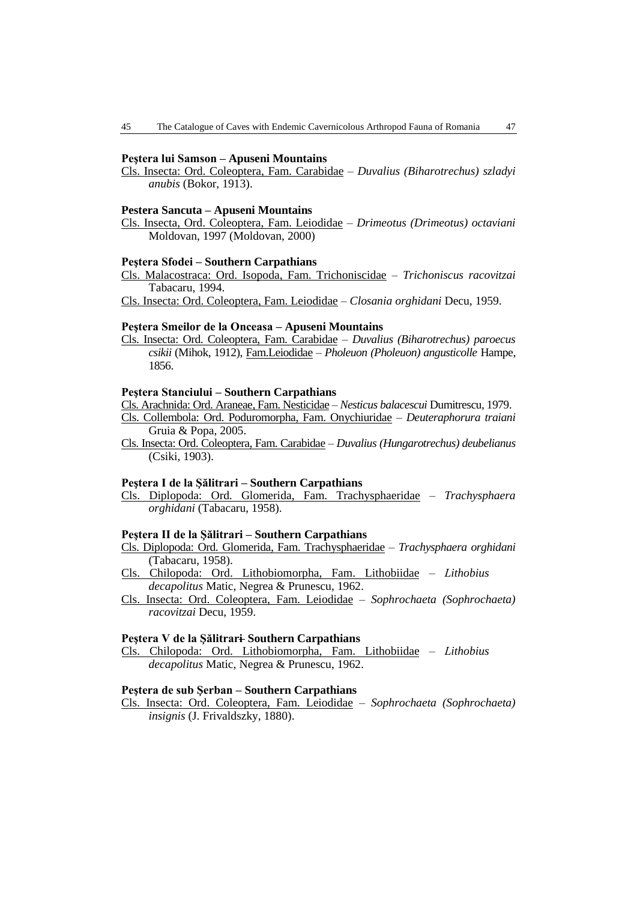#### **Peştera lui Samson – Apuseni Mountains**

Cls. Insecta: Ord. Coleoptera, Fam. Carabidae – *Duvalius (Biharotrechus) szladyi anubis* (Bokor, 1913).

### **Pestera Sancuta – Apuseni Mountains**

Cls. Insecta, Ord. Coleoptera, Fam. Leiodidae – *Drimeotus (Drimeotus) octaviani*  Moldovan, 1997 (Moldovan, 2000)

#### **Peştera Sfodei – Southern Carpathians**

Cls. Malacostraca: Ord. Isopoda, Fam. Trichoniscidae – *Trichoniscus racovitzai* Tabacaru, 1994.

Cls. Insecta: Ord. Coleoptera, Fam. Leiodidae – *Closania orghidani* Decu, 1959.

#### **Peştera Smeilor de la Onceasa – Apuseni Mountains**

Cls. Insecta: Ord. Coleoptera, Fam. Carabidae – *Duvalius (Biharotrechus) paroecus csikii* (Mihok, 1912), Fam.Leiodidae – *Pholeuon (Pholeuon) angusticolle* Hampe, 1856.

### **Peştera Stanciului – Southern Carpathians**

Cls. Arachnida: Ord. Araneae, Fam. Nesticidae – *Nesticus balacescui* Dumitrescu, 1979. Cls. Collembola: Ord. Poduromorpha, Fam. Onychiuridae – *Deuteraphorura traiani* Gruia & Popa, 2005.

Cls. Insecta: Ord. Coleoptera, Fam. Carabidae – *Duvalius (Hungarotrechus) deubelianus* (Csiki, 1903).

#### **Peştera I de la Şălitrari – Southern Carpathians**

Cls. Diplopoda: Ord. Glomerida, Fam. Trachysphaeridae – *Trachysphaera orghidani* (Tabacaru, 1958).

### **Peştera II de la Şălitrari – Southern Carpathians**

Cls. Diplopoda: Ord. Glomerida, Fam. Trachysphaeridae – *Trachysphaera orghidani* (Tabacaru, 1958).

Cls. Chilopoda: Ord. Lithobiomorpha, Fam. Lithobiidae – *Lithobius decapolitus* Matic, Negrea & Prunescu, 1962.

Cls. Insecta: Ord. Coleoptera, Fam. Leiodidae – *Sophrochaeta (Sophrochaeta) racovitzai* Decu, 1959.

#### **Peştera V de la Şălitrari– Southern Carpathians**

Cls. Chilopoda: Ord. Lithobiomorpha, Fam. Lithobiidae – *Lithobius decapolitus* Matic, Negrea & Prunescu, 1962.

### **Peştera de sub Şerban – Southern Carpathians**

Cls. Insecta: Ord. Coleoptera, Fam. Leiodidae – *Sophrochaeta (Sophrochaeta) insignis* (J. Frivaldszky, 1880).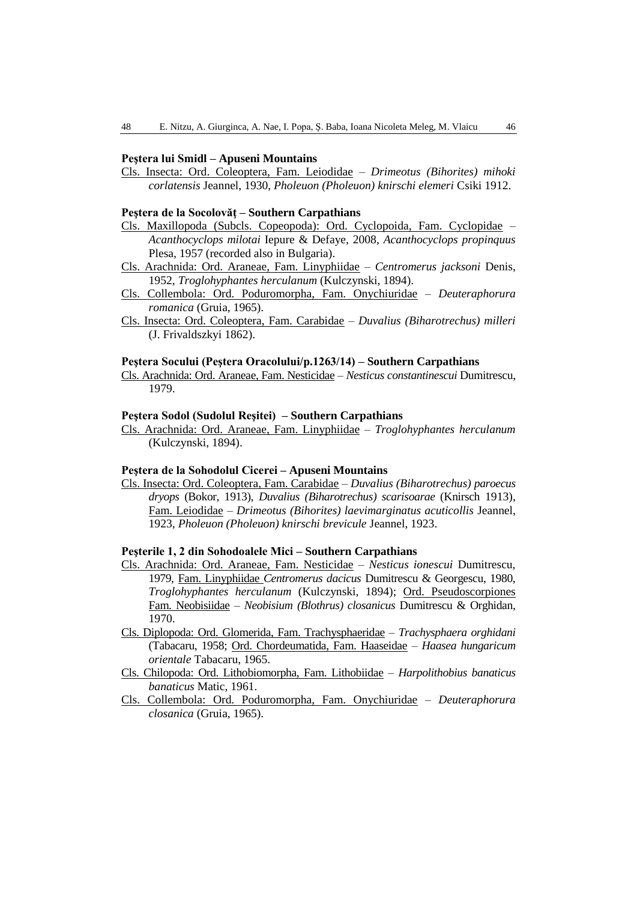### **Peştera lui Smidl – Apuseni Mountains**

Cls. Insecta: Ord. Coleoptera, Fam. Leiodidae – *Drimeotus (Bihorites) mihoki corlatensis* Jeannel, 1930, *Pholeuon (Pholeuon) knirschi elemeri* Csiki 1912.

#### **Peştera de la Socolovăţ – Southern Carpathians**

- Cls. Maxillopoda (Subcls. Copeopoda): Ord. Cyclopoida, Fam. Cyclopidae *Acanthocyclops milotai* Iepure & Defaye, 2008, *Acanthocyclops propinquus* Plesa, 1957 (recorded also in Bulgaria).
- Cls. Arachnida: Ord. Araneae, Fam. Linyphiidae *Centromerus jacksoni* Denis, 1952, *Troglohyphantes herculanum* (Kulczynski, 1894).
- Cls. Collembola: Ord. Poduromorpha, Fam. Onychiuridae *Deuteraphorura romanica* (Gruia, 1965).
- Cls. Insecta: Ord. Coleoptera, Fam. Carabidae *Duvalius (Biharotrechus) milleri* (J. Frivaldszkyi 1862).

#### **Peştera Socului (Peştera Oracolului/p.1263/14) – Southern Carpathians**

Cls. Arachnida: Ord. Araneae, Fam. Nesticidae – *Nesticus constantinescui* Dumitrescu, 1979.

### **Peştera Sodol (Sudolul Reşitei) – Southern Carpathians**

Cls. Arachnida: Ord. Araneae, Fam. Linyphiidae – *Troglohyphantes herculanum*  (Kulczynski, 1894).

#### **Peştera de la Sohodolul Cicerei – Apuseni Mountains**

Cls. Insecta: Ord. Coleoptera, Fam. Carabidae – *Duvalius (Biharotrechus) paroecus dryops* (Bokor, 1913), *Duvalius (Biharotrechus) scarisoarae* (Knirsch 1913), Fam. Leiodidae – *Drimeotus (Bihorites) laevimarginatus acuticollis* Jeannel, 1923, *Pholeuon (Pholeuon) knirschi brevicule* Jeannel, 1923.

# **Peşterile 1, 2 din Sohodoalele Mici – Southern Carpathians**

- Cls. Arachnida: Ord. Araneae, Fam. Nesticidae *Nesticus ionescui* Dumitrescu, 1979, Fam. Linyphiidae *Centromerus dacicus* Dumitrescu & Georgescu, 1980, *Troglohyphantes herculanum* (Kulczynski, 1894); Ord. Pseudoscorpiones Fam. Neobisiidae – *Neobisium (Blothrus) closanicus* Dumitrescu & Orghidan, 1970.
- Cls. Diplopoda: Ord. Glomerida, Fam. Trachysphaeridae *Trachysphaera orghidani* (Tabacaru, 1958; Ord. Chordeumatida, Fam. Haaseidae – *Haasea hungaricum orientale* Tabacaru, 1965.
- Cls. Chilopoda: Ord. Lithobiomorpha, Fam. Lithobiidae *Harpolithobius banaticus banaticus* Matic, 1961.
- Cls. Collembola: Ord. Poduromorpha, Fam. Onychiuridae *Deuteraphorura closanica* (Gruia, 1965).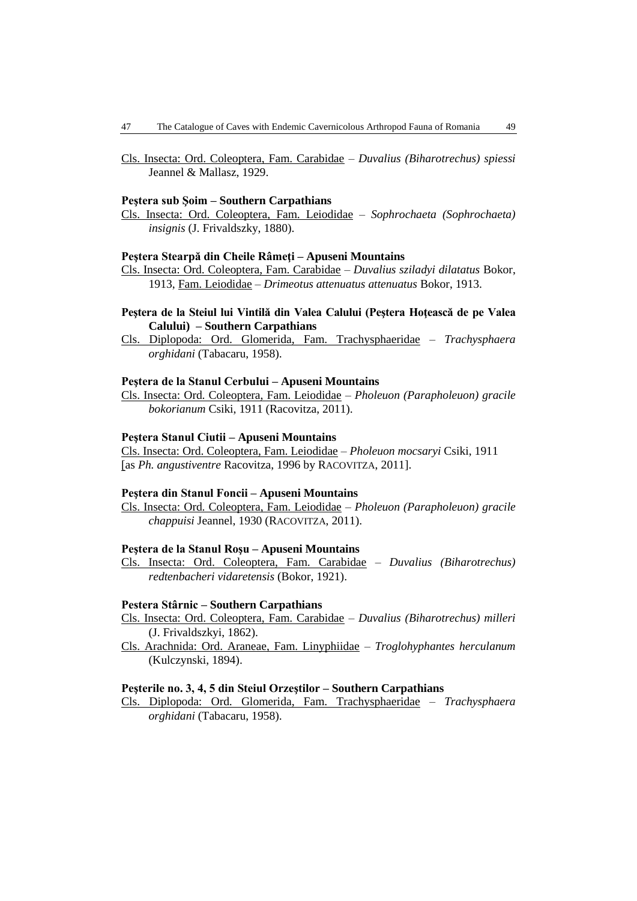Cls. Insecta: Ord. Coleoptera, Fam. Carabidae – *Duvalius (Biharotrechus) spiessi* Jeannel & Mallasz, 1929.

#### **Peştera sub Şoim – Southern Carpathians**

Cls. Insecta: Ord. Coleoptera, Fam. Leiodidae – *Sophrochaeta (Sophrochaeta) insignis* (J. Frivaldszky, 1880).

### **Peştera Stearpă din Cheile Râmeţi – Apuseni Mountains**

- Cls. Insecta: Ord. Coleoptera, Fam. Carabidae *Duvalius sziladyi dilatatus* Bokor, 1913, Fam. Leiodidae – *[Drimeotus attenuatus attenuatus](http://www.biolib.cz/en/taxon/id553479/)* Bokor, 1913.
- **Peştera de la Steiul lui Vintilă din Valea Calului (Peştera Hoţească de pe Valea Calului) – Southern Carpathians**
- Cls. Diplopoda: Ord. Glomerida, Fam. Trachysphaeridae *Trachysphaera orghidani* (Tabacaru, 1958).

### **Peştera de la Stanul Cerbului – Apuseni Mountains**

Cls. Insecta: Ord. Coleoptera, Fam. Leiodidae *– Pholeuon (Parapholeuon) gracile bokorianum* Csiki, 1911 (Racovitza, 2011).

### **Peştera Stanul Ciutii – Apuseni Mountains**

Cls. Insecta: Ord. Coleoptera, Fam. Leiodidae *– Pholeuon mocsaryi* Csiki, 1911 [as *Ph. angustiventre* Racovitza, 1996 by RACOVITZA, 2011].

### **Peştera din Stanul Foncii – Apuseni Mountains**

Cls. Insecta: Ord. Coleoptera, Fam. Leiodidae – *Pholeuon (Parapholeuon) gracile chappuisi* Jeannel, 1930 (RACOVITZA, 2011).

#### **Peştera de la Stanul Roşu – Apuseni Mountains**

Cls. Insecta: Ord. Coleoptera, Fam. Carabidae – *Duvalius (Biharotrechus) redtenbacheri vidaretensis* (Bokor, 1921).

#### **Pestera Stârnic – Southern Carpathians**

- Cls. Insecta: Ord. Coleoptera, Fam. Carabidae *Duvalius (Biharotrechus) milleri* (J. Frivaldszkyi, 1862).
- Cls. Arachnida: Ord. Araneae, Fam. Linyphiidae *Troglohyphantes herculanum*  (Kulczynski, 1894).

#### **Peşterile no. 3, 4, 5 din Steiul Orzeştilor – Southern Carpathians**

Cls. Diplopoda: Ord. Glomerida, Fam. Trachysphaeridae – *Trachysphaera orghidani* (Tabacaru, 1958).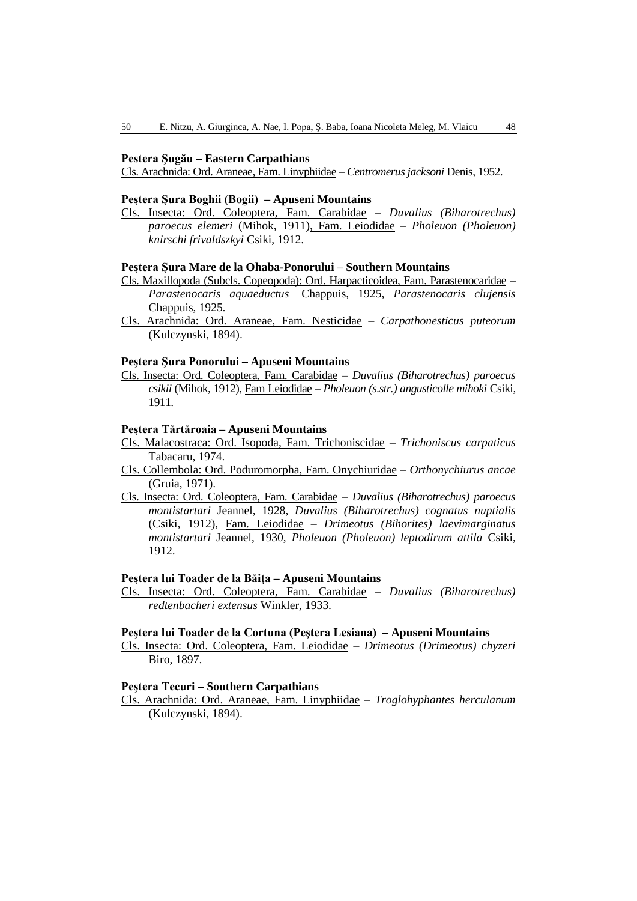#### **Pestera Şugău – Eastern Carpathians**

Cls. Arachnida: Ord. Araneae, Fam. Linyphiidae – *Centromerus jacksoni* Denis, 1952.

### **Peştera Şura Boghii (Bogii) – Apuseni Mountains**

Cls. Insecta: Ord. Coleoptera, Fam. Carabidae – *Duvalius (Biharotrechus) paroecus elemeri* (Mihok, 1911), Fam. Leiodidae – *Pholeuon (Pholeuon) knirschi frivaldszkyi* Csiki, 1912.

### **Peştera Şura Mare de la Ohaba-Ponorului – Southern Mountains**

- Cls. Maxillopoda (Subcls. Copeopoda): Ord. Harpacticoidea, Fam. Parastenocaridae *Parastenocaris aquaeductus* Chappuis, 1925, *Parastenocaris clujensis* Chappuis, 1925.
- Cls. Arachnida: Ord. Araneae, Fam. Nesticidae *Carpathonesticus puteorum*  (Kulczynski, 1894).

### **Peştera Şura Ponorului – Apuseni Mountains**

Cls. Insecta: Ord. Coleoptera, Fam. Carabidae – *Duvalius (Biharotrechus) paroecus csikii* (Mihok, 1912), Fam Leiodidae – *Pholeuon (s.str.) angusticolle mihoki* Csiki, 1911.

### **Peştera Tărtăroaia – Apuseni Mountains**

- Cls. Malacostraca: Ord. Isopoda, Fam. Trichoniscidae *Trichoniscus carpaticus* Tabacaru, 1974.
- Cls. Collembola: Ord. Poduromorpha, Fam. Onychiuridae *Orthonychiurus ancae* (Gruia, 1971).
- Cls. Insecta: Ord. Coleoptera, Fam. Carabidae *Duvalius (Biharotrechus) paroecus montistartari* Jeannel, 1928, *Duvalius (Biharotrechus) cognatus nuptialis* (Csiki, 1912), Fam. Leiodidae – *Drimeotus (Bihorites) laevimarginatus montistartari* Jeannel, 1930, *Pholeuon (Pholeuon) leptodirum attila* Csiki, 1912.

#### **Peştera lui Toader de la Băiţa – Apuseni Mountains**

Cls. Insecta: Ord. Coleoptera, Fam. Carabidae – *Duvalius (Biharotrechus) redtenbacheri extensus* Winkler, 1933.

#### **Peştera lui Toader de la Cortuna (Peştera Lesiana) – Apuseni Mountains**

Cls. Insecta: Ord. Coleoptera, Fam. Leiodidae – *Drimeotus (Drimeotus) chyzeri* Biro, 1897.

### **Peştera Tecuri – Southern Carpathians**

Cls. Arachnida: Ord. Araneae, Fam. Linyphiidae – *Troglohyphantes herculanum*  (Kulczynski, 1894).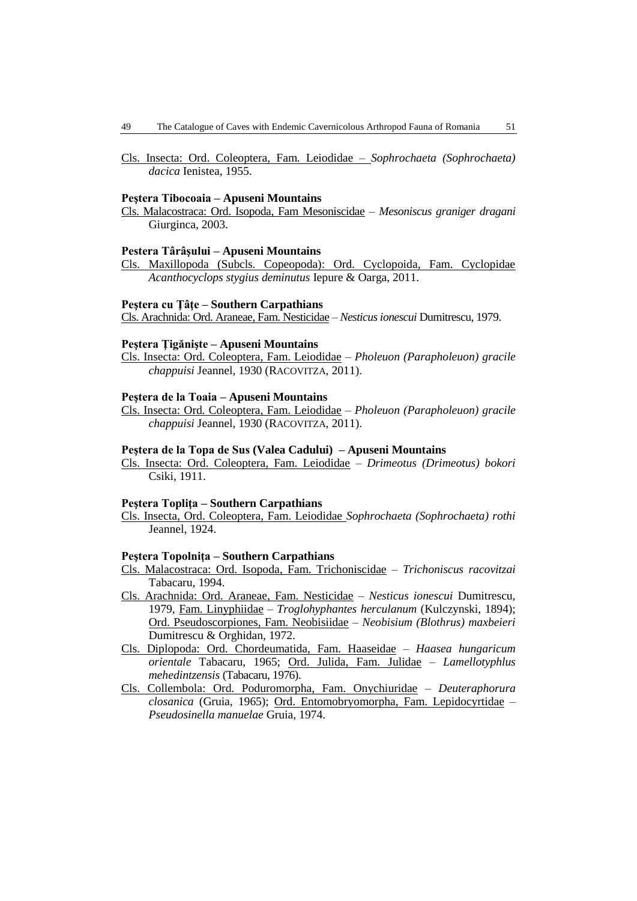Cls. Insecta: Ord. Coleoptera, Fam. Leiodidae – *Sophrochaeta (Sophrochaeta) dacica* Ienistea, 1955.

#### **Peştera Tibocoaia – Apuseni Mountains**

Cls. Malacostraca: Ord. Isopoda, Fam Mesoniscidae – *Mesoniscus graniger dragani* Giurginca, 2003.

#### **Pestera Târâşului – Apuseni Mountains**

Cls. Maxillopoda (Subcls. Copeopoda): Ord. Cyclopoida, Fam. Cyclopidae *Acanthocyclops stygius deminutus* Iepure & Oarga, 2011.

### **Peştera cu Ţâţe – Southern Carpathians**

Cls. Arachnida: Ord. Araneae, Fam. Nesticidae – *Nesticus ionescui* Dumitrescu, 1979.

### **Peştera Ţigănişte – Apuseni Mountains**

Cls. Insecta: Ord. Coleoptera, Fam. Leiodidae – *Pholeuon (Parapholeuon) gracile chappuisi* Jeannel, 1930 (RACOVITZA, 2011).

### **Peştera de la Toaia – Apuseni Mountains**

Cls. Insecta: Ord. Coleoptera, Fam. Leiodidae – *Pholeuon (Parapholeuon) gracile chappuisi* Jeannel, 1930 (RACOVITZA, 2011).

### **Peştera de la Topa de Sus (Valea Cadului) – Apuseni Mountains**

Cls. Insecta: Ord. Coleoptera, Fam. Leiodidae – *Drimeotus (Drimeotus) bokori* Csiki, 1911.

#### **Peştera Topliţa – Southern Carpathians**

Cls. Insecta, Ord. Coleoptera, Fam. Leiodidae *Sophrochaeta (Sophrochaeta) rothi* Jeannel, 1924.

#### **Peştera Topolniţa – Southern Carpathians**

- Cls. Malacostraca: Ord. Isopoda, Fam. Trichoniscidae *Trichoniscus racovitzai* Tabacaru, 1994.
- Cls. Arachnida: Ord. Araneae, Fam. Nesticidae *Nesticus ionescui* Dumitrescu, 1979, Fam. Linyphiidae – *Troglohyphantes herculanum* (Kulczynski, 1894); Ord. Pseudoscorpiones, Fam. Neobisiidae – *Neobisium (Blothrus) maxbeieri* Dumitrescu & Orghidan, 1972.
- Cls. Diplopoda: Ord. Chordeumatida, Fam. Haaseidae *Haasea hungaricum orientale* Tabacaru, 1965; Ord. Julida, Fam. Julidae – *Lamellotyphlus mehedintzensis* (Tabacaru, 1976).
- Cls. Collembola: Ord. Poduromorpha, Fam. Onychiuridae *Deuteraphorura closanica* (Gruia, 1965); Ord. Entomobryomorpha, Fam. Lepidocyrtidae – *Pseudosinella manuelae* Gruia, 1974.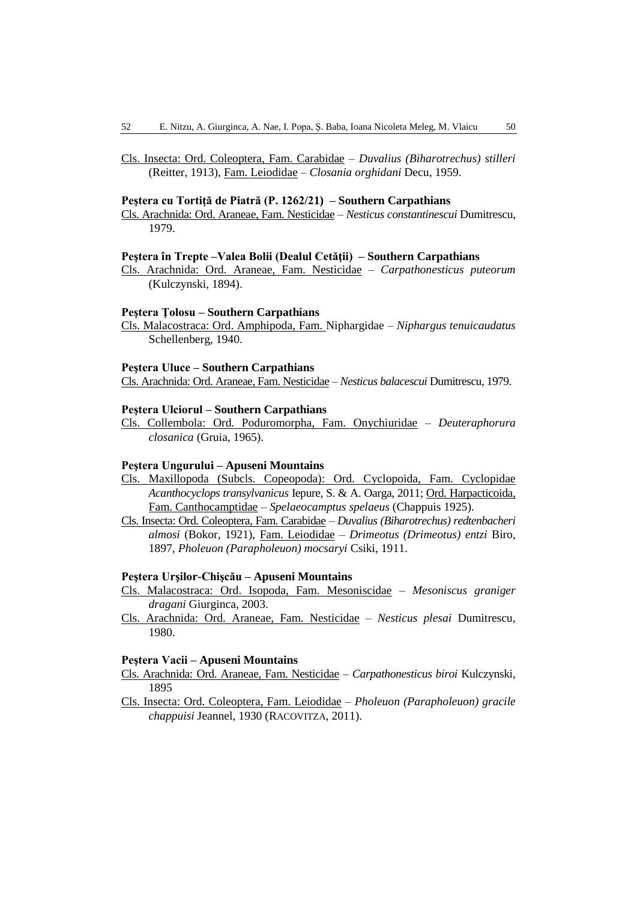Cls. Insecta: Ord. Coleoptera, Fam. Carabidae – *Duvalius (Biharotrechus) stilleri* (Reitter, 1913), Fam. Leiodidae – *Closania orghidani* Decu, 1959.

#### **Peştera cu Tortiţă de Piatră (P. 1262/21) – Southern Carpathians**

Cls. Arachnida: Ord. Araneae, Fam. Nesticidae – *Nesticus constantinescui* Dumitrescu, 1979.

#### **Peştera în Trepte –Valea Bolii (Dealul Cetăţii) – Southern Carpathians**

Cls. Arachnida: Ord. Araneae, Fam. Nesticidae – *Carpathonesticus puteorum*  (Kulczynski, 1894).

#### **Peştera Ţolosu – Southern Carpathians**

Cls. Malacostraca: Ord. Amphipoda, Fam. Niphargidae – *Niphargus tenuicaudatus* Schellenberg, 1940.

### **Peştera Uluce – Southern Carpathians**

Cls. Arachnida: Ord. Araneae, Fam. Nesticidae – *Nesticus balacescui* Dumitrescu, 1979.

### **Peştera Ulciorul – Southern Carpathians**

Cls. Collembola: Ord. Poduromorpha, Fam. Onychiuridae – *Deuteraphorura closanica* (Gruia, 1965).

#### **Peştera Ungurului – Apuseni Mountains**

- Cls. Maxillopoda (Subcls. Copeopoda): Ord. Cyclopoida, Fam. Cyclopidae *Acanthocyclops transylvanicus* Iepure, S. & A. Oarga, 2011; Ord. Harpacticoida, Fam. Canthocamptidae – *Spelaeocamptus spelaeus* (Chappuis 1925).
- Cls. Insecta: Ord. Coleoptera, Fam. Carabidae *Duvalius (Biharotrechus) redtenbacheri almosi* (Bokor, 1921), Fam. Leiodidae – *Drimeotus (Drimeotus) entzi* Biro, 1897, *Pholeuon (Parapholeuon) mocsaryi* Csiki, 1911.

# **Peştera Urşilor-Chişcău – Apuseni Mountains**

- Cls. Malacostraca: Ord. Isopoda, Fam. Mesoniscidae *Mesoniscus graniger dragani* Giurginca, 2003.
- Cls. Arachnida: Ord. Araneae, Fam. Nesticidae *Nesticus plesai* Dumitrescu, 1980.

### **Peştera Vacii – Apuseni Mountains**

- Cls. Arachnida: Ord. Araneae, Fam. Nesticidae *Carpathonesticus biroi* Kulczynski, 1895
- Cls. Insecta: Ord. Coleoptera, Fam. Leiodidae *Pholeuon (Parapholeuon) gracile chappuisi* Jeannel, 1930 (RACOVITZA, 2011).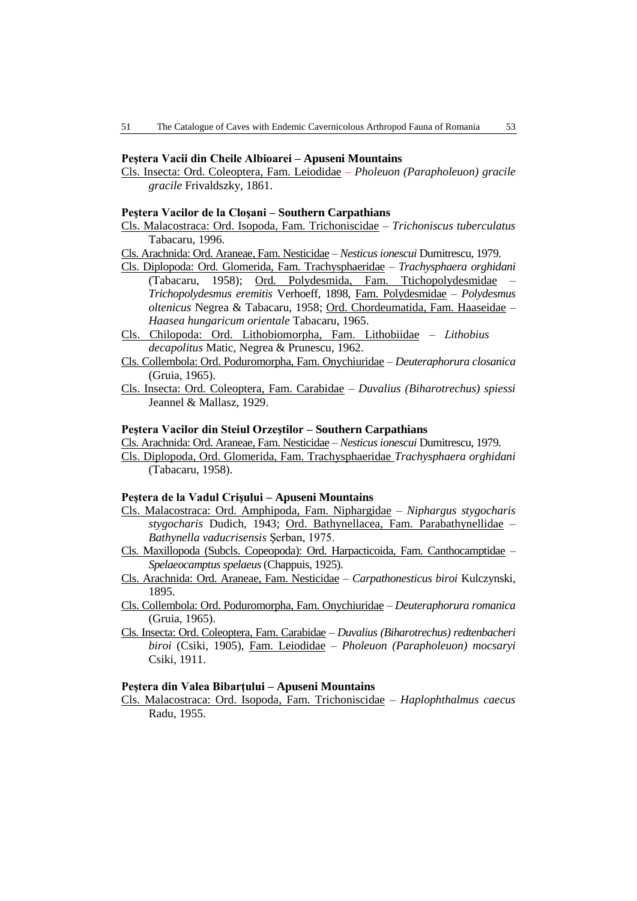### **Peştera Vacii din Cheile Albioarei – Apuseni Mountains**

Cls. Insecta: Ord. Coleoptera, Fam. Leiodidae – *Pholeuon (Parapholeuon) gracile gracile* Frivaldszky, 1861.

#### **Peştera Vacilor de la Cloşani – Southern Carpathians**

- Cls. Malacostraca: Ord. Isopoda, Fam. Trichoniscidae *Trichoniscus tuberculatus*  Tabacaru, 1996.
- Cls. Arachnida: Ord. Araneae, Fam. Nesticidae *Nesticus ionescui* Dumitrescu, 1979.
- Cls. Diplopoda: Ord. Glomerida, Fam. Trachysphaeridae *Trachysphaera orghidani* (Tabacaru, 1958); Ord. Polydesmida, Fam. Ttichopolydesmidae – *Trichopolydesmus eremitis* Verhoeff, 1898, Fam. Polydesmidae – *Polydesmus oltenicus* Negrea & Tabacaru, 1958; Ord. Chordeumatida, Fam. Haaseidae – *Haasea hungaricum orientale* Tabacaru, 1965.
- Cls. Chilopoda: Ord. Lithobiomorpha, Fam. Lithobiidae *Lithobius decapolitus* Matic, Negrea & Prunescu, 1962.
- Cls. Collembola: Ord. Poduromorpha, Fam. Onychiuridae *Deuteraphorura closanica* (Gruia, 1965).
- Cls. Insecta: Ord. Coleoptera, Fam. Carabidae *Duvalius (Biharotrechus) spiessi* Jeannel & Mallasz, 1929.

#### **Peştera Vacilor din Steiul Orzeştilor – Southern Carpathians**

- Cls. Arachnida: Ord. Araneae, Fam. Nesticidae *Nesticus ionescui* Dumitrescu, 1979.
- Cls. Diplopoda, Ord. Glomerida, Fam. Trachysphaeridae *Trachysphaera orghidani* (Tabacaru, 1958).

### **Peştera de la Vadul Crişului – Apuseni Mountains**

- Cls. Malacostraca: Ord. Amphipoda, Fam. Niphargidae *Niphargus stygocharis stygocharis* Dudich, 1943; Ord. Bathynellacea, Fam. Parabathynellidae *– Bathynella vaducrisensis* Şerban, 1975.
- Cls. Maxillopoda (Subcls. Copeopoda): Ord. Harpacticoida, Fam. Canthocamptidae *Spelaeocamptus spelaeus*(Chappuis, 1925).
- Cls. Arachnida: Ord. Araneae, Fam. Nesticidae *Carpathonesticus biroi* Kulczynski, 1895.
- Cls. Collembola: Ord. Poduromorpha, Fam. Onychiuridae *Deuteraphorura romanica* (Gruia, 1965).
- Cls. Insecta: Ord. Coleoptera, Fam. Carabidae *Duvalius (Biharotrechus) redtenbacheri biroi* (Csiki, 1905), Fam. Leiodidae – *Pholeuon (Parapholeuon) mocsaryi* Csiki, 1911.

#### **Peştera din Valea Bibarţului – Apuseni Mountains**

Cls. Malacostraca: Ord. Isopoda, Fam. Trichoniscidae – *Haplophthalmus caecus* Radu, 1955.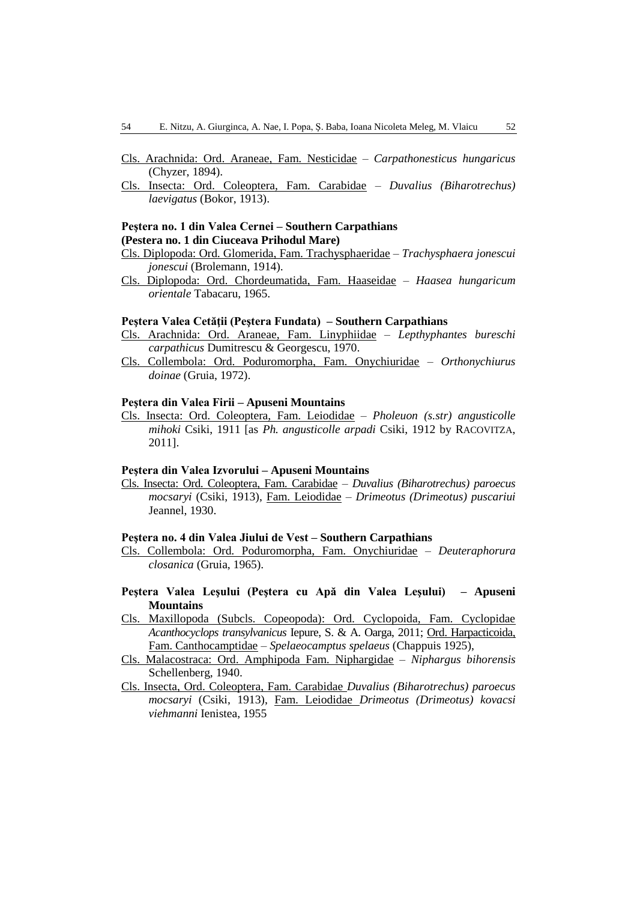- Cls. Arachnida: Ord. Araneae, Fam. Nesticidae *Carpathonesticus hungaricus*  (Chyzer, 1894).
- Cls. Insecta: Ord. Coleoptera, Fam. Carabidae *Duvalius (Biharotrechus) laevigatus* (Bokor, 1913).

# **Peştera no. 1 din Valea Cernei – Southern Carpathians (Pestera no. 1 din Ciuceava Prihodul Mare)**

- Cls. Diplopoda: Ord. Glomerida, Fam. Trachysphaeridae *Trachysphaera jonescui jonescui* (Brolemann, 1914).
- Cls. Diplopoda: Ord. Chordeumatida, Fam. Haaseidae *Haasea hungaricum orientale* Tabacaru, 1965.

### **Peştera Valea Cetăţii (Peştera Fundata) – Southern Carpathians**

- Cls. Arachnida: Ord. Araneae, Fam. Linyphiidae *Lepthyphantes bureschi carpathicus* Dumitrescu & Georgescu, 1970.
- Cls. Collembola: Ord. Poduromorpha, Fam. Onychiuridae *Orthonychiurus doinae* (Gruia, 1972).

# **Peştera din Valea Firii – Apuseni Mountains**

Cls. Insecta: Ord. Coleoptera, Fam. Leiodidae *– Pholeuon (s.str) angusticolle mihoki* Csiki, 1911 [as *Ph. angusticolle arpadi* Csiki, 1912 by RACOVITZA, 2011].

# **Peştera din Valea Izvorului – Apuseni Mountains**

Cls. Insecta: Ord. Coleoptera, Fam. Carabidae – *Duvalius (Biharotrechus) paroecus mocsaryi* (Csiki, 1913), Fam. Leiodidae – *Drimeotus (Drimeotus) puscariui* Jeannel, 1930.

#### **Peştera no. 4 din Valea Jiului de Vest – Southern Carpathians**

Cls. Collembola: Ord. Poduromorpha, Fam. Onychiuridae – *Deuteraphorura closanica* (Gruia, 1965).

# **Peştera Valea Leşului (Peştera cu Apă din Valea Leşului) – Apuseni Mountains**

- Cls. Maxillopoda (Subcls. Copeopoda): Ord. Cyclopoida, Fam. Cyclopidae *Acanthocyclops transylvanicus* Iepure, S. & A. Oarga, 2011; Ord. Harpacticoida, Fam. Canthocamptidae – *Spelaeocamptus spelaeus* (Chappuis 1925),
- Cls. Malacostraca: Ord. Amphipoda Fam. Niphargidae *Niphargus bihorensis* Schellenberg, 1940.
- Cls. Insecta, Ord. Coleoptera, Fam. Carabidae *Duvalius (Biharotrechus) paroecus mocsaryi* (Csiki, 1913), Fam. Leiodidae *Drimeotus (Drimeotus) kovacsi viehmanni* Ienistea, 1955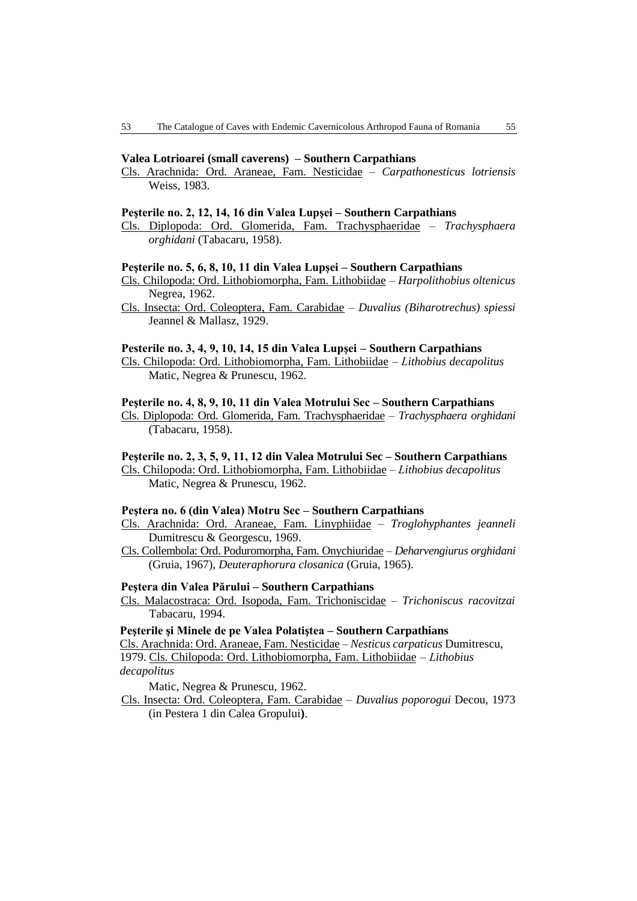#### **Valea Lotrioarei (small caverens) – Southern Carpathians**

Cls. Arachnida: Ord. Araneae, Fam. Nesticidae – *Carpathonesticus lotriensis*  Weiss, 1983.

#### **Peşterile no. 2, 12, 14, 16 din Valea Lupşei – Southern Carpathians**

Cls. Diplopoda: Ord. Glomerida, Fam. Trachysphaeridae – *Trachysphaera orghidani* (Tabacaru, 1958).

### **Peşterile no. 5, 6, 8, 10, 11 din Valea Lupşei – Southern Carpathians**

- Cls. Chilopoda: Ord. Lithobiomorpha, Fam. Lithobiidae *Harpolithobius oltenicus*  Negrea, 1962.
- Cls. Insecta: Ord. Coleoptera, Fam. Carabidae *Duvalius (Biharotrechus) spiessi* Jeannel & Mallasz, 1929.

### **Pesterile no. 3, 4, 9, 10, 14, 15 din Valea Lupşei – Southern Carpathians**

Cls. Chilopoda: Ord. Lithobiomorpha, Fam. Lithobiidae – *Lithobius decapolitus* Matic, Negrea & Prunescu, 1962.

### **Peşterile no. 4, 8, 9, 10, 11 din Valea Motrului Sec – Southern Carpathians**

Cls. Diplopoda: Ord. Glomerida, Fam. Trachysphaeridae – *Trachysphaera orghidani* (Tabacaru, 1958).

#### **Peşterile no. 2, 3, 5, 9, 11, 12 din Valea Motrului Sec – Southern Carpathians**

Cls. Chilopoda: Ord. Lithobiomorpha, Fam. Lithobiidae – *Lithobius decapolitus* Matic, Negrea & Prunescu, 1962.

#### **Peştera no. 6 (din Valea) Motru Sec – Southern Carpathians**

- Cls. Arachnida: Ord. Araneae, Fam. Linyphiidae *Troglohyphantes jeanneli*  Dumitrescu & Georgescu, 1969.
- Cls. Collembola: Ord. Poduromorpha, Fam. Onychiuridae *Deharvengiurus orghidani* (Gruia, 1967), *Deuteraphorura closanica* (Gruia, 1965).

#### **Peştera din Valea Părului – Southern Carpathians**

Cls. Malacostraca: Ord. Isopoda, Fam. Trichoniscidae – *Trichoniscus racovitzai* Tabacaru, 1994.

#### **Peşterile şi Minele de pe Valea Polatiştea – Southern Carpathians**

Cls. Arachnida: Ord. Araneae, Fam. Nesticidae – *Nesticus carpaticus* Dumitrescu, 1979. Cls. Chilopoda: Ord. Lithobiomorpha, Fam. Lithobiidae – *Lithobius*

*decapolitus* 

Matic, Negrea & Prunescu, 1962.

Cls. Insecta: Ord. Coleoptera, Fam. Carabidae – *Duvalius poporogui* Decou, 1973 (in Pestera 1 din Calea Gropului**)**.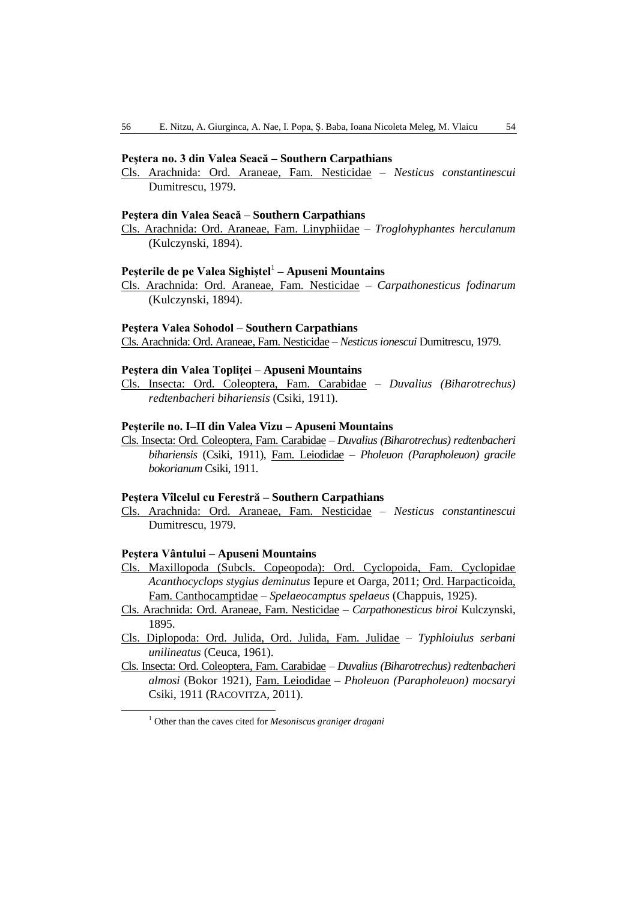### **Peştera no. 3 din Valea Seacă – Southern Carpathians**

Cls. Arachnida: Ord. Araneae, Fam. Nesticidae – *Nesticus constantinescui*  Dumitrescu, 1979.

#### **Peştera din Valea Seacă – Southern Carpathians**

Cls. Arachnida: Ord. Araneae, Fam. Linyphiidae – *Troglohyphantes herculanum*  (Kulczynski, 1894).

# **Peşterile de pe Valea Sighiştel**<sup>1</sup> **– Apuseni Mountains**

Cls. Arachnida: Ord. Araneae, Fam. Nesticidae – *Carpathonesticus fodinarum*  (Kulczynski, 1894).

#### **Peştera Valea Sohodol – Southern Carpathians**

Cls. Arachnida: Ord. Araneae, Fam. Nesticidae – *Nesticus ionescui* Dumitrescu, 1979.

### **Peştera din Valea Topliţei – Apuseni Mountains**

Cls. Insecta: Ord. Coleoptera, Fam. Carabidae – *Duvalius (Biharotrechus) redtenbacheri bihariensis* (Csiki, 1911).

## **Peşterile no. I–II din Valea Vizu – Apuseni Mountains**

Cls. Insecta: Ord. Coleoptera, Fam. Carabidae – *Duvalius (Biharotrechus) redtenbacheri bihariensis* (Csiki, 1911), Fam. Leiodidae – *Pholeuon (Parapholeuon) gracile bokorianum* Csiki, 1911.

### **Peştera Vîlcelul cu Ferestră – Southern Carpathians**

Cls. Arachnida: Ord. Araneae, Fam. Nesticidae – *Nesticus constantinescui*  Dumitrescu, 1979.

### **Peştera Vântului – Apuseni Mountains**

- Cls. Maxillopoda (Subcls. Copeopoda): Ord. Cyclopoida, Fam. Cyclopidae *Acanthocyclops stygius deminutus* Iepure et Oarga, 2011; Ord. Harpacticoida, Fam. Canthocamptidae – *Spelaeocamptus spelaeus* (Chappuis, 1925).
- Cls. Arachnida: Ord. Araneae, Fam. Nesticidae *Carpathonesticus biroi* Kulczynski, 1895.
- Cls. Diplopoda: Ord. Julida, Ord. Julida, Fam. Julidae *Typhloiulus serbani unilineatus* (Ceuca, 1961).
- Cls. Insecta: Ord. Coleoptera, Fam. Carabidae *Duvalius (Biharotrechus) redtenbacheri almosi* (Bokor 1921), Fam. Leiodidae – *Pholeuon (Parapholeuon) mocsaryi* Csiki, 1911 (RACOVITZA, 2011).

<sup>1</sup> Other than the caves cited for *Mesoniscus graniger dragani*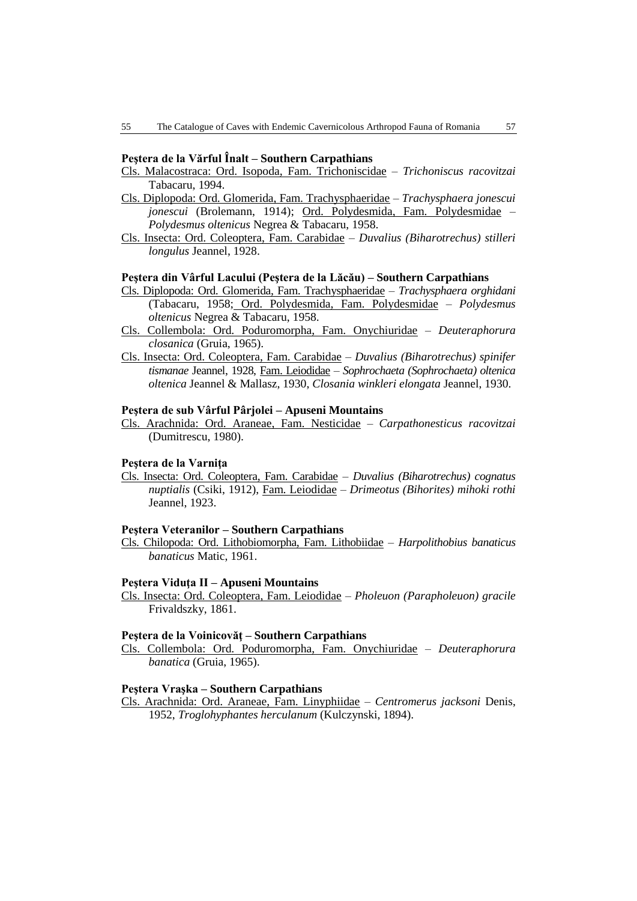### **Peştera de la Vărful Înalt – Southern Carpathians**

- Cls. Malacostraca: Ord. Isopoda, Fam. Trichoniscidae *Trichoniscus racovitzai* Tabacaru, 1994.
- Cls. Diplopoda: Ord. Glomerida, Fam. Trachysphaeridae *Trachysphaera jonescui jonescui* (Brolemann, 1914); Ord. Polydesmida, Fam. Polydesmidae – *Polydesmus oltenicus* Negrea & Tabacaru, 1958.
- Cls. Insecta: Ord. Coleoptera, Fam. Carabidae *Duvalius (Biharotrechus) stilleri longulus* Jeannel, 1928.

### **Peştera din Vârful Lacului (Peştera de la Lăcău) – Southern Carpathians**

- Cls. Diplopoda: Ord. Glomerida, Fam. Trachysphaeridae *Trachysphaera orghidani* (Tabacaru, 1958; Ord. Polydesmida, Fam. Polydesmidae – *Polydesmus oltenicus* Negrea & Tabacaru, 1958.
- Cls. Collembola: Ord. Poduromorpha, Fam. Onychiuridae *Deuteraphorura closanica* (Gruia, 1965).
- Cls. Insecta: Ord. Coleoptera, Fam. Carabidae *Duvalius (Biharotrechus) spinifer tismanae* Jeannel, 1928, Fam. Leiodidae – *Sophrochaeta (Sophrochaeta) oltenica oltenica* Jeannel & Mallasz, 1930, *Closania winkleri elongata* Jeannel, 1930.

### **Peştera de sub Vârful Pârjolei – Apuseni Mountains**

Cls. Arachnida: Ord. Araneae, Fam. Nesticidae – *Carpathonesticus racovitzai*  (Dumitrescu, 1980).

### **Peştera de la Varniţa**

Cls. Insecta: Ord. Coleoptera, Fam. Carabidae – *Duvalius (Biharotrechus) cognatus nuptialis* (Csiki, 1912), Fam. Leiodidae – *Drimeotus (Bihorites) mihoki rothi* Jeannel, 1923.

#### **Peştera Veteranilor – Southern Carpathians**

Cls. Chilopoda: Ord. Lithobiomorpha, Fam. Lithobiidae – *Harpolithobius banaticus banaticus* Matic, 1961.

#### **Peştera Viduţa II – Apuseni Mountains**

Cls. Insecta: Ord. Coleoptera, Fam. Leiodidae – *Pholeuon (Parapholeuon) gracile* Frivaldszky, 1861.

#### **Peştera de la Voinicovăţ – Southern Carpathians**

Cls. Collembola: Ord. Poduromorpha, Fam. Onychiuridae – *Deuteraphorura banatica* (Gruia, 1965).

### **Peştera Vraşka – Southern Carpathians**

Cls. Arachnida: Ord. Araneae, Fam. Linyphiidae – *Centromerus jacksoni* Denis, 1952, *Troglohyphantes herculanum* (Kulczynski, 1894).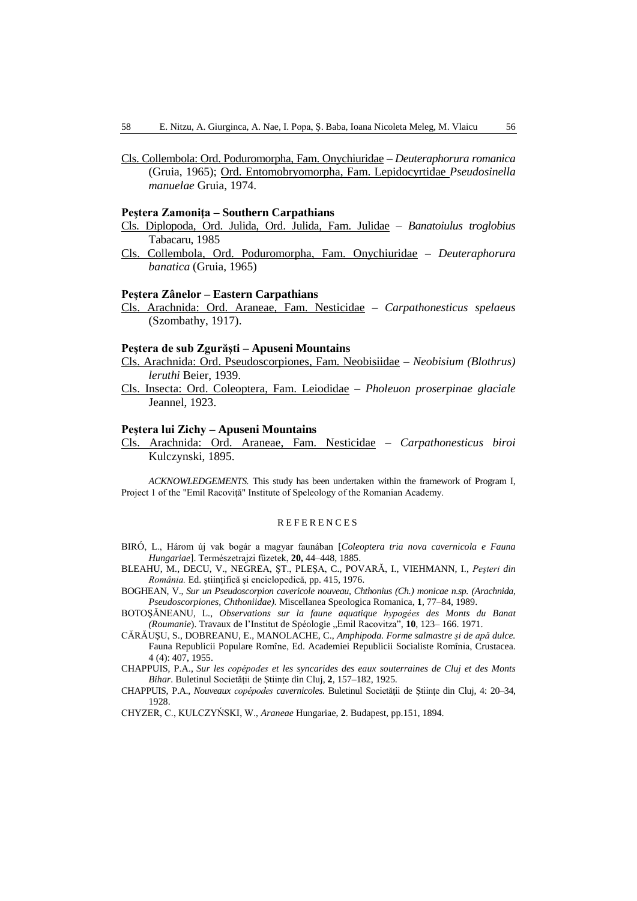Cls. Collembola: Ord. Poduromorpha, Fam. Onychiuridae – *Deuteraphorura romanica* (Gruia, 1965); Ord. Entomobryomorpha, Fam. Lepidocyrtidae *Pseudosinella manuelae* Gruia, 1974.

#### **Peştera Zamoniţa – Southern Carpathians**

- Cls. Diplopoda, Ord. Julida, Ord. Julida, Fam. Julidae *Banatoiulus troglobius* Tabacaru, 1985
- Cls. Collembola, Ord. Poduromorpha, Fam. Onychiuridae *Deuteraphorura banatica* (Gruia, 1965)

#### **Peştera Zânelor – Eastern Carpathians**

Cls. Arachnida: Ord. Araneae, Fam. Nesticidae – *Carpathonesticus spelaeus*  (Szombathy, 1917).

#### **Peştera de sub Zgurăşti – Apuseni Mountains**

- Cls. Arachnida: Ord. Pseudoscorpiones, Fam. Neobisiidae *Neobisium (Blothrus) leruthi* Beier, 1939.
- Cls. Insecta: Ord. Coleoptera, Fam. Leiodidae *Pholeuon proserpinae glaciale* Jeannel, 1923.

#### **Peştera lui Zichy – Apuseni Mountains**

Cls. Arachnida: Ord. Araneae, Fam. Nesticidae – *Carpathonesticus biroi*  Kulczynski, 1895.

*ACKNOWLEDGEMENTS.* This study has been undertaken within the framework of Program I, Project 1 of the "Emil Racoviţă" Institute of Speleology of the Romanian Academy.

#### **REFERENCES**

- BIRÓ, L., Három új vak bogár a magyar faunában [*Coleoptera tria nova cavernicola e Fauna Hungariae*]. Természetrajzi füzetek, **20,** 44–448, 1885.
- BLEAHU, M., DECU, V., NEGREA, ŞT., PLEŞA, C., POVARĂ, I., VIEHMANN, I., *Peşteri din România.* Ed. ştiinţifică şi enciclopedică, pp. 415, 1976.
- BOGHEAN, V., *Sur un Pseudoscorpion cavericole nouveau, Chthonius (Ch.) monicae n.sp. (Arachnida, Pseudoscorpiones, Chthoniidae).* Miscellanea Speologica Romanica, **1**, 77–84, 1989.
- BOTOŞĂNEANU, L., *Observations sur la faune aquatique hypogées des Monts du Banat (Roumanie)*. Travaux de l'Institut de Spéologie "Emil Racovitza", 10, 123-166. 1971.
- CĂRĂUŞU, S., DOBREANU, E., MANOLACHE, C., *Amphipoda. Forme salmastre şi de apă dulce.* Fauna Republicii Populare Romîne, Ed. Academiei Republicii Socialiste Romînia, Crustacea. 4 (4): 407, 1955.
- CHAPPUIS, P.A., *Sur les copépodes et les syncarides des eaux souterraines de Cluj et des Monts Bihar*. Buletinul Societăţii de Ştiinţe din Cluj, **2**, 157–182, 1925.
- CHAPPUIS, P.A., *Nouveaux copépodes cavernicoles*. Buletinul Societății de Stiinte din Cluj, 4: 20–34, 1928.

CHYZER, C., KULCZYŃSKI, W., *Araneae* Hungariae, **2**. Budapest, pp.151, 1894.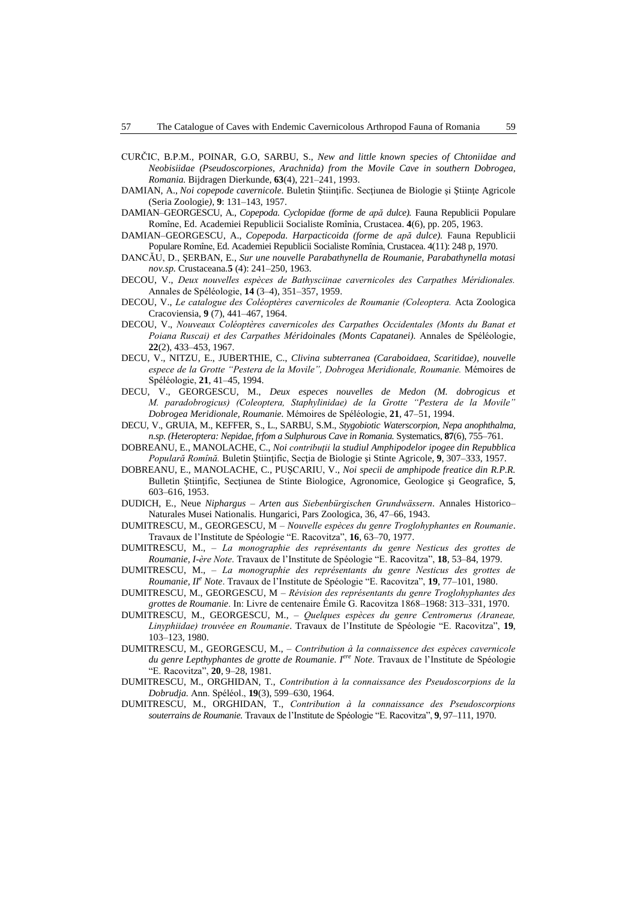- CURČIC, B.P.M., POINAR, G.O, SARBU, S., *New and little known species of Chtoniidae and Neobisiidae (Pseudoscorpiones, Arachnida) from the Movile Cave in southern Dobrogea, Romania.* Bijdragen Dierkunde, **63**(4), 221–241, 1993.
- DAMIAN, A., *Noi copepode cavernicole*. Buletin Ştiinţific. Secţiunea de Biologie şi Ştiinţe Agricole (Seria Zoologie*)*, **9**: 131–143, 1957.
- DAMIAN–GEORGESCU, A., *Copepoda. Cyclopidae (forme de apă dulce).* Fauna Republicii Populare Romîne, Ed. Academiei Republicii Socialiste Romînia, Crustacea. **4**(6), pp. 205, 1963.
- DAMIAN–GEORGESCU, A., *Copepoda. Harpacticoida (forme de apă dulce).* Fauna Republicii Populare Romîne, Ed. Academiei Republicii Socialiste Romînia, Crustacea. 4(11): 248 p, 1970.
- DANCĂU, D., ŞERBAN, E., *Sur une nouvelle Parabathynella de Roumanie, Parabathynella motasi nov.sp.* Crustaceana.**5** (4): 241–250, 1963.
- DECOU, V., *Deux nouvelles espèces de Bathysciinae cavernicoles des Carpathes Méridionales.* Annales de Spéléologie, **14** (3–4), 351–357, 1959.
- DECOU, V., *Le catalogue des Coléoptères cavernicoles de Roumanie (Coleoptera.* Acta Zoologica Cracoviensia, **9** (7), 441–467, 1964.
- DECOU, V., *Nouveaux Coléoptères cavernicoles des Carpathes Occidentales (Monts du Banat et Poiana Ruscai) et des Carpathes Méridoinales (Monts Capatanei).* Annales de Spéléologie, **22**(2), 433–453, 1967.
- DECU, V., NITZU, E., JUBERTHIE, C., *Clivina subterranea (Caraboidaea, Scaritidae), nouvelle espece de la Grotte "Pestera de la Movile", Dobrogea Meridionale, Roumanie.* Mémoires de Spéléologie, **21**, 41–45, 1994.
- DECU, V., GEORGESCU, M., *Deux especes nouvelles de Medon (M. dobrogicus et M. paradobrogicus) (Coleoptera, Staphylinidae) de la Grotte "Pestera de la Movile" Dobrogea Meridionale, Roumanie.* Mémoires de Spéléologie, **21**, 47–51, 1994.
- DECU, V., GRUIA, M., KEFFER, S., L., SARBU, S.M., *Stygobiotic Waterscorpion, Nepa anophthalma, n.sp. (Heteroptera: Nepidae, frfom a Sulphurous Cave in Romania.* Systematics, **87**(6), 755–761.
- DOBREANU, E., MANOLACHE, C., *Noi contribuţii la studiul Amphipodelor ipogee din Repubblica Populară Romînă.* Buletin Ştiinţific, Secţia de Biologie şi Stinte Agricole, **9**, 307–333, 1957.
- DOBREANU, E., MANOLACHE, C., PUŞCARIU, V., *Noi specii de amphipode freatice din R.P.R.* Bulletin Ştiinţific, Secţiunea de Stinte Biologice, Agronomice, Geologice şi Geografice, **5**, 603–616, 1953.
- DUDICH, E., Neue *Niphargus – Arten aus Siebenbürgischen Grundwässern*. Annales Historico– Naturales Musei Nationalis. Hungarici, Pars Zoologica, 36, 47–66, 1943.
- DUMITRESCU, M., GEORGESCU, M *Nouvelle espèces du genre Troglohyphantes en Roumanie*. Travaux de l'Institute de Spéologie "E. Racovitza", **16**, 63–70, 1977.
- DUMITRESCU, M., *La monographie des représentants du genre Nesticus des grottes de Roumanie, I-ère Note*. Travaux de l'Institute de Spéologie "E. Racovitza", **18**, 53–84, 1979.
- DUMITRESCU, M., *La monographie des représentants du genre Nesticus des grottes de Roumanie, II<sup>e</sup> Note*. Travaux de l'Institute de Spéologie "E. Racovitza", **19**, 77–101, 1980.
- DUMITRESCU, M., GEORGESCU, M *Révision des représentants du genre Troglohyphantes des grottes de Roumanie*. In: Livre de centenaire Émile G. Racovitza 1868–1968: 313–331, 1970.
- DUMITRESCU, M., GEORGESCU, M., *Quelques espèces du genre Centromerus (Araneae, Linyphiidae) trouvéee en Roumanie*. Travaux de l'Institute de Spéologie "E. Racovitza", **19**, 103–123, 1980.
- DUMITRESCU, M., GEORGESCU, M., *Contribution à la connaissence des espèces cavernicole du genre Lepthyphantes de grotte de Roumanie. Iere Note*. Travaux de l'Institute de Spéologie "E. Racovitza", **20**, 9–28, 1981.
- DUMITRESCU, M., ORGHIDAN, T., *Contribution à la connaissance des Pseudoscorpions de la Dobrudja.* Ann. Spéléol., **19**(3), 599–630, 1964.
- DUMITRESCU, M., ORGHIDAN, T., *Contribution à la connaissance des Pseudoscorpions souterrains de Roumanie.* Travaux de l'Institute de Spéologie "E. Racovitza", **9**, 97–111, 1970.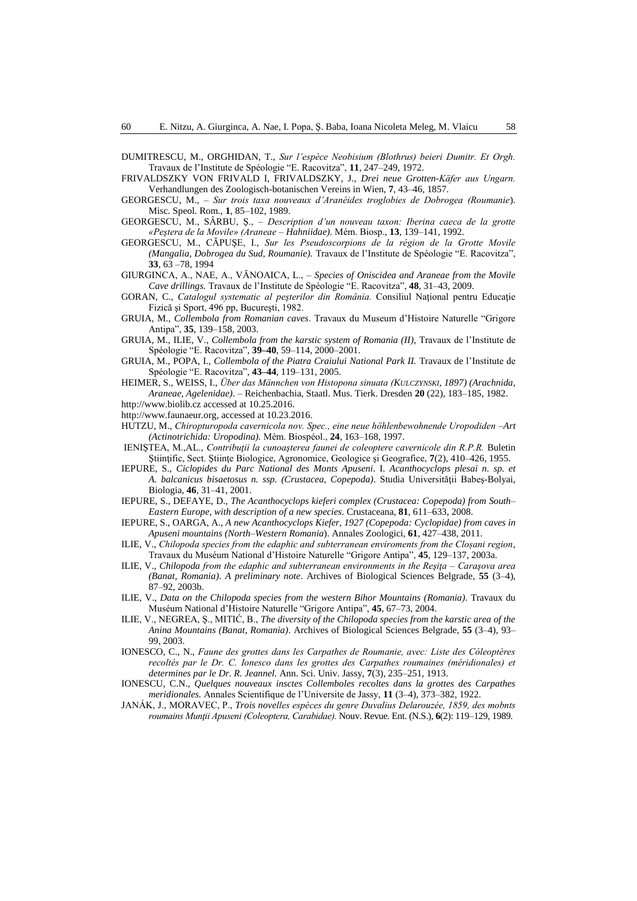DUMITRESCU, M., ORGHIDAN, T., *Sur l'espèce Neobisium (Blothrus) beieri Dumitr. Et Orgh.* Travaux de l'Institute de Spéologie "E. Racovitza", **11**, 247–249, 1972.

FRIVALDSZKY VON FRIVALD I, FRIVALDSZKY, J., *Drei neue Grotten-Käfer aus Ungarn.*  Verhandlungen des Zoologisch-botanischen Vereins in Wien, **7**, 43–46, 1857.

- GEORGESCU, M., *Sur trois taxa nouveaux d'Aranéides troglobies de Dobrogea (Roumanie*). Misc. Speol. Rom., **1**, 85–102, 1989.
- GEORGESCU, M., SÂRBU, Ş., *Description d'un nouveau taxon: Iberina caeca de la grotte «Peştera de la Movile» (Araneae – Hahniidae).* Mém. Biosp., **13**, 139–141, 1992.
- GEORGESCU, M., CĂPUŞE, I., *Sur les Pseudoscorpions de la région de la Grotte Movile (Mangalia, Dobrogea du Sud, Roumanie).* Travaux de l'Institute de Spéologie "E. Racovitza", **33**, 63 –78, 1994
- GIURGINCA, A., NAE, A., VĂNOAICA, L., *Species of Oniscidea and Araneae from the Movile Cave drillings.* Travaux de l'Institute de Spéologie "E. Racovitza", **48**, 31–43, 2009.
- GORAN, C., *Catalogul systematic al peșterilor din România*. Consiliul Național pentru Educație Fizică şi Sport, 496 pp, Bucureşti, 1982.
- GRUIA, M., *Collembola from Romanian caves*. Travaux du Museum d'Histoire Naturelle "Grigore Antipa", **35**, 139–158, 2003.
- GRUIA, M., ILIE, V., *Collembola from the karstic system of Romania (II),* Travaux de l'Institute de Spéologie "E. Racovitza", **39–40**, 59–114, 2000–2001.
- GRUIA, M., POPA, I., *Collembola of the Piatra Craiului National Park II*. Travaux de l'Institute de Spéologie "E. Racovitza", **43–44**, 119–131, 2005.

HEIMER, S., WEISS, I., *Über das Männchen von Histopona sinuata (KULCZYNSKI, 1897) (Arachnida, Araneae, Agelenidae)*. – Reichenbachia, Staatl. Mus. Tierk. Dresden **20** (22), 183–185, 1982. http:/[/www.biolib.cz](http://www.biolib.cz/) accessed at 10.25.2016.

- [http://www.faunaeur.org,](http://www.faunaeur.org/) accessed at 10.23.2016.
- HUTZU, M., *Chiropturopoda cavernicola nov. Spec., eine neue höhlenbewohnende Uropodiden –Art (Actinotrichida: Uropodina).* Mém. Biospéol., **24**, 163–168, 1997.
- IENIŞTEA, M.,AL., *Contribuţii la cunoaşterea faunei de coleoptere cavernicole din R.P.R.* Buletin Ştiinţific, Sect. Ştiinţe Biologice, Agronomice, Geologice şi Geografice, **7**(2), 410–426, 1955.
- IEPURE, S., *Ciclopides du Parc National des Monts Apuseni*. I. *Acanthocyclops plesai n. sp. et A. balcanicus bisaetosus n. ssp. (Crustacea, Copepoda)*. Studia Universităţii Babeş-Bolyai, Biologia, **46**, 31–41, 2001.
- IEPURE, S., DEFAYE, D., *The Acanthocyclops kieferi complex (Crustacea: Copepoda) from South– Eastern Europe, with description of a new species*. Crustaceana, **81**, 611–633, 2008.
- IEPURE, S., OARGA, A., *A new Acanthocyclops Kiefer, 1927 (Copepoda: Cyclopidae) from caves in Apuseni mountains (North–Western Romania*). Annales Zoologici, **61**, 427–438, 2011.
- ILIE, V., *Chilopoda species from the edaphic and subterranean enviroments from the Cloșani region*, Travaux du Muséum National d'Histoire Naturelle "Grigore Antipa", **45**, 129–137, 2003a.
- ILIE, V., *Chilopoda from the edaphic and subterranean environments in the Reşiţa – Caraşova area (Banat, Romania)*. *A preliminary note*. Archives of Biological Sciences Belgrade, **55** (3–4), 87–92, 2003b.
- ILIE, V., *Data on the Chilopoda species from the western Bihor Mountains (Romania)*. Travaux du Muséum National d'Histoire Naturelle "Grigore Antipa", **45**, 67–73, 2004.
- ILIE, V., NEGREA, Ş., MITIĆ, B., *The diversity of the Chilopoda species from the karstic area of the Anina Mountains (Banat, Romania)*. Archives of Biological Sciences Belgrade, **55** (3–4), 93– 99, 2003.
- IONESCO, C., N., *Faune des grottes dans les Carpathes de Roumanie, avec: Liste des Cóleoptères*  recoltés par le Dr. C. Ionesco dans les grottes des Carpathes roumaines (méridionales) et *determines par le Dr. R. Jeannel.* Ann. Sci. Univ. Jassy, **7**(3), 235–251, 1913.
- IONESCU, C.N., *Quelques nouveaux insctes Collemboles recoltes dans la grottes des Carpathes meridionales.* Annales Scientifique de l'Universite de Jassy, **11** (3–4), 373–382, 1922.

JANÁK, J., MORAVEC, P., *Trois novelles espèces du genre Duvalius Delarouzée, 1859, des mobnts roumains Munţii Apuseni (Coleoptera, Carabidae).* Nouv. Revue. Ent. (N.S.), **6**(2): 119–129, 1989.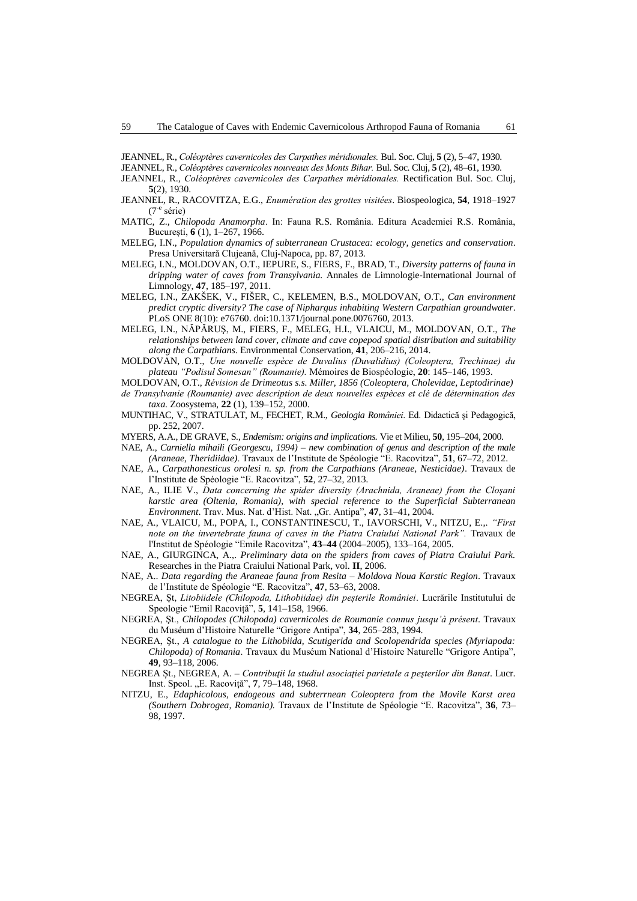JEANNEL, R., *Coléoptères cavernicoles des Carpathes méridionales.* Bul. Soc. Cluj, **5** (2), 5–47, 1930.

- JEANNEL, R., *Coléoptères cavernicoles nouveaux des Monts Bihar.* Bul. Soc. Cluj, **5** (2), 48–61, 1930.
- JEANNEL, R., *Coléoptères cavernicoles des Carpathes méridionales.* Rectification Bul. Soc. Cluj, **5**(2), 1930.
- JEANNEL, R., RACOVITZA, E.G., *Enumération des grottes visitées*. Biospeologica, **54**, 1918–1927 (7-e série)
- MATIC, Z., *Chilopoda Anamorpha*. In: Fauna R.S. România. Editura Academiei R.S. România, București, **6** (1), 1–267, 1966.
- MELEG, I.N., *Population dynamics of subterranean Crustacea: ecology, genetics and conservation*. Presa Universitară Clujeană, Cluj-Napoca, pp. 87, 2013.
- MELEG, I.N., MOLDOVAN, O.T., IEPURE, S., FIERS, F., BRAD, T., *Diversity patterns of fauna in dripping water of caves from Transylvania.* Annales de Limnologie-International Journal of Limnology, **47**, 185–197, 2011.
- MELEG, I.N., ZAKŠEK, V., FIŠER, C., KELEMEN, B.S., MOLDOVAN, O.T., *Can environment predict cryptic diversity? The case of Niphargus inhabiting Western Carpathian groundwater*. PLoS ONE 8(10): e76760. doi:10.1371/journal.pone.0076760, 2013.
- MELEG, I.N., NĂPĂRUŞ, M., FIERS, F., MELEG, H.I., VLAICU, M., MOLDOVAN, O.T., *The relationships between land cover, climate and cave copepod spatial distribution and suitability along the Carpathians*. Environmental Conservation, **41**, 206–216, 2014.
- MOLDOVAN, O.T., *Une nouvelle espèce de Duvalius (Duvalidius) (Coleoptera, Trechinae) du plateau "Podisul Somesan" (Roumanie).* Mémoires de Biospéologie, **20**: 145–146, 1993.
- MOLDOVAN, O.T., *Révision de Drimeotus s.s. Miller, 1856 (Coleoptera, Cholevidae, Leptodirinae) de Transylvanie (Roumanie) avec description de deux nouvelles espèces et clé de détermination des taxa.* Zoosystema, **22** (1), 139–152, 2000.
- MUNTIHAC, V., STRATULAT, M., FECHET, R.M., *Geologia României*. Ed. Didactică şi Pedagogică, pp. 252, 2007.
- MYERS, A.A., DE GRAVE, S*., Endemism: origins and implications.* Vie et Milieu, **50**, 195–204, 2000.
- NAE, A., *Carniella mihaili (Georgescu, 1994) – new combination of genus and description of the male (Araneae, Theridiidae)*. Travaux de l'Institute de Spéologie "E. Racovitza", **51**, 67–72, 2012.
- NAE, A., *[Carpathonesticus orolesi n. sp. from the Carpathians \(Araneae, Nesticidae\)](http://speotravaux.iser.ro/13/art02.pdf)*. Travaux de l'Institute de Spéologie "E. Racovitza", **52**, 27–32, 2013*.*
- NAE, A., ILIE V., *Data concerning the spider diversity (Arachnida, Araneae) from the Cloșani karstic area (Oltenia, Romania), with special reference to the Superficial Subterranean Environment*. Trav. Mus. Nat. d'Hist. Nat. "Gr. Antipa", **47**, 31–41, 2004.
- NAE, A., VLAICU, M., POPA, I., CONSTANTINESCU, T., IAVORSCHI, V., NITZU, E.,. *"First note on the invertebrate fauna of caves in the Piatra Craiului National Park"*. Travaux de l'Institut de Spéologie "Emile Racovitza", **43–44** (2004–2005), 133–164, 2005.
- NAE, A., GIURGINCA, A.,. *Preliminary data on the spiders from caves of Piatra Craiului Park.* Researches in the Piatra Craiului National Park, vol. **II**, 2006.
- NAE, A.. *Data regarding the Araneae fauna from Resita – Moldova Noua Karstic Region*. Travaux de l'Institute de Spéologie "E. Racovitza", **47**, 53–63, 2008.
- NEGREA, Șt, *Litobiidele (Chilopoda, Lithobiidae) din peșterile României*. Lucrările Institutului de Speologie "Emil Racoviță", **5**, 141–158, 1966.
- NEGREA, Şt., *Chilopodes (Chilopoda) cavernicoles de Roumanie connus jusqu'à présent*. Travaux du Muséum d'Histoire Naturelle "Grigore Antipa", **34**, 265–283, 1994.
- NEGREA, Şt., *A catalogue to the Lithobiida, Scutigerida and Scolopendrida species (Myriapoda: Chilopoda) of Romania*. Travaux du Muséum National d'Histoire Naturelle "Grigore Antipa", **49**, 93–118, 2006.
- NEGREA Șt., NEGREA, A. *Contribuţii la studiul asociaţiei parietale a peşterilor din Banat*. Lucr. Inst. Speol. "E. Racoviță", 7, 79-148, 1968.
- NITZU, E., *Edaphicolous, endogeous and subterrnean Coleoptera from the Movile Karst area (Southern Dobrogea, Romania).* Travaux de l'Institute de Spéologie "E. Racovitza", **36**, 73– 98, 1997.